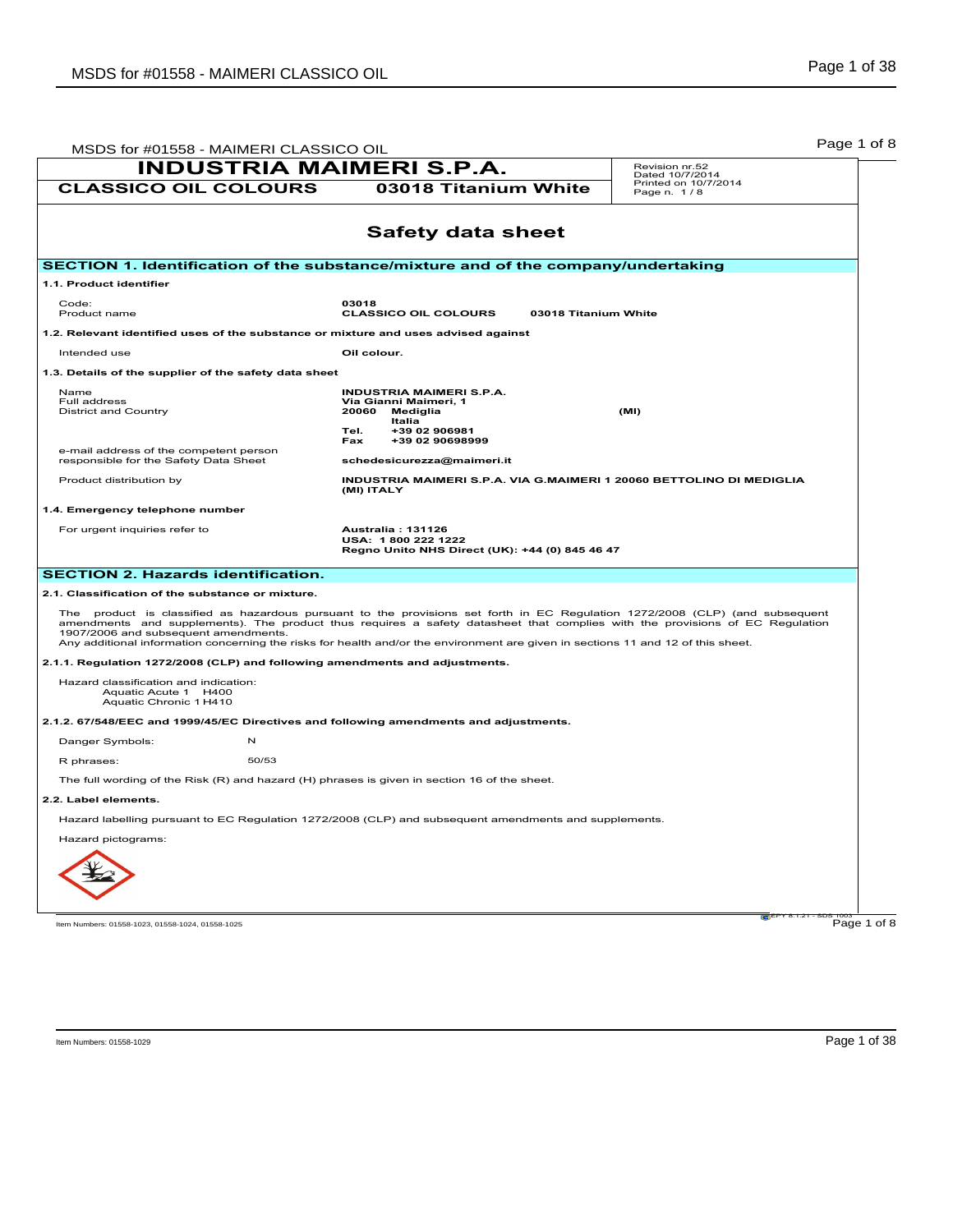| MSDS for #01558 - MAIMERI CLASSICO OIL                                                       |                                                                                                                                                                                                                                                                  | Page 1 of 8                         |
|----------------------------------------------------------------------------------------------|------------------------------------------------------------------------------------------------------------------------------------------------------------------------------------------------------------------------------------------------------------------|-------------------------------------|
| <b>INDUSTRIA MAIMERI S.P.A.</b>                                                              |                                                                                                                                                                                                                                                                  | Revision nr.52<br>Dated 10/7/2014   |
| <b>CLASSICO OIL COLOURS</b>                                                                  | 03018 Titanium White                                                                                                                                                                                                                                             | Printed on 10/7/2014<br>Page n. 1/8 |
|                                                                                              | <b>Safety data sheet</b>                                                                                                                                                                                                                                         |                                     |
|                                                                                              |                                                                                                                                                                                                                                                                  |                                     |
| SECTION 1. Identification of the substance/mixture and of the company/undertaking            |                                                                                                                                                                                                                                                                  |                                     |
| 1.1. Product identifier                                                                      |                                                                                                                                                                                                                                                                  |                                     |
| Code:<br>Product name                                                                        | 03018<br><b>CLASSICO OIL COLOURS</b><br>03018 Titanium White                                                                                                                                                                                                     |                                     |
| 1.2. Relevant identified uses of the substance or mixture and uses advised against           |                                                                                                                                                                                                                                                                  |                                     |
| Intended use                                                                                 | Oil colour.                                                                                                                                                                                                                                                      |                                     |
| 1.3. Details of the supplier of the safety data sheet                                        |                                                                                                                                                                                                                                                                  |                                     |
| <b>Name</b>                                                                                  | <b>INDUSTRIA MAIMERI S.P.A.</b>                                                                                                                                                                                                                                  |                                     |
| Full address<br><b>District and Country</b>                                                  | Via Gianni Maimeri, 1<br>20060<br>Mediglia                                                                                                                                                                                                                       | (MI)                                |
|                                                                                              | Italia<br>+39 02 906981<br>Tel.                                                                                                                                                                                                                                  |                                     |
| e-mail address of the competent person                                                       | +39 02 90698999<br>Fax                                                                                                                                                                                                                                           |                                     |
| responsible for the Safety Data Sheet                                                        | schedesicurezza@maimeri.it                                                                                                                                                                                                                                       |                                     |
| Product distribution by                                                                      | INDUSTRIA MAIMERI S.P.A. VIA G.MAIMERI 1 20060 BETTOLINO DI MEDIGLIA<br>(MI) ITALY                                                                                                                                                                               |                                     |
| 1.4. Emergency telephone number                                                              |                                                                                                                                                                                                                                                                  |                                     |
| For urgent inquiries refer to                                                                | <b>Australia: 131126</b><br>USA: 1800 222 1222<br>Regno Unito NHS Direct (UK): +44 (0) 845 46 47                                                                                                                                                                 |                                     |
| <b>SECTION 2. Hazards identification.</b>                                                    |                                                                                                                                                                                                                                                                  |                                     |
| 2.1. Classification of the substance or mixture.                                             |                                                                                                                                                                                                                                                                  |                                     |
|                                                                                              | The product is classified as hazardous pursuant to the provisions set forth in EC Regulation 1272/2008 (CLP) (and subsequent                                                                                                                                     |                                     |
| 1907/2006 and subsequent amendments.                                                         | amendments and supplements). The product thus requires a safety datasheet that complies with the provisions of EC Regulation<br>Any additional information concerning the risks for health and/or the environment are given in sections 11 and 12 of this sheet. |                                     |
| 2.1.1. Regulation 1272/2008 (CLP) and following amendments and adjustments.                  |                                                                                                                                                                                                                                                                  |                                     |
| Hazard classification and indication:<br>Aquatic Acute 1 H400<br>Aquatic Chronic 1 H410      |                                                                                                                                                                                                                                                                  |                                     |
| 2.1.2. 67/548/EEC and 1999/45/EC Directives and following amendments and adjustments.        |                                                                                                                                                                                                                                                                  |                                     |
| Danger Symbols:<br>$\mathsf{N}$                                                              |                                                                                                                                                                                                                                                                  |                                     |
| 50/53<br>R phrases:                                                                          |                                                                                                                                                                                                                                                                  |                                     |
| The full wording of the Risk (R) and hazard (H) phrases is given in section 16 of the sheet. |                                                                                                                                                                                                                                                                  |                                     |
| 2.2. Label elements.                                                                         |                                                                                                                                                                                                                                                                  |                                     |
|                                                                                              | Hazard labelling pursuant to EC Regulation 1272/2008 (CLP) and subsequent amendments and supplements.                                                                                                                                                            |                                     |
| Hazard pictograms:                                                                           |                                                                                                                                                                                                                                                                  |                                     |
|                                                                                              |                                                                                                                                                                                                                                                                  |                                     |
|                                                                                              |                                                                                                                                                                                                                                                                  |                                     |
|                                                                                              |                                                                                                                                                                                                                                                                  |                                     |
|                                                                                              |                                                                                                                                                                                                                                                                  |                                     |
| Item Numbers: 01558-1023, 01558-1024, 01558-1025                                             |                                                                                                                                                                                                                                                                  | Page 1 of 8                         |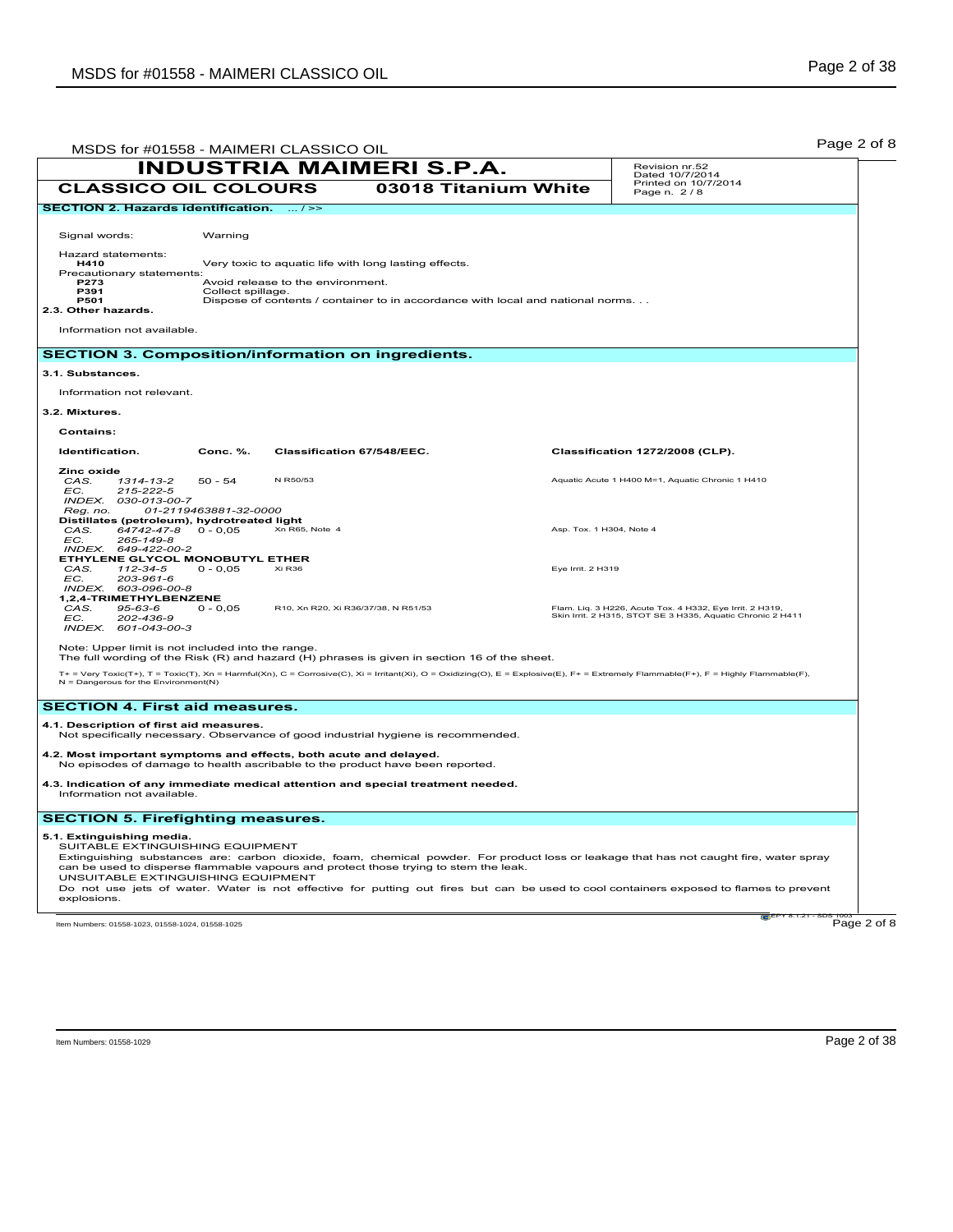| MSDS for #01558 - MAIMERI CLASSICO OIL                                                                                                                                                                     |                       |                                                       |                                 |                                                                                 | Page 2 of 8                                                                                                                                                                                                                                                                      |
|------------------------------------------------------------------------------------------------------------------------------------------------------------------------------------------------------------|-----------------------|-------------------------------------------------------|---------------------------------|---------------------------------------------------------------------------------|----------------------------------------------------------------------------------------------------------------------------------------------------------------------------------------------------------------------------------------------------------------------------------|
|                                                                                                                                                                                                            |                       |                                                       | <b>INDUSTRIA MAIMERI S.P.A.</b> |                                                                                 | Revision nr.52<br>Dated 10/7/2014                                                                                                                                                                                                                                                |
| <b>CLASSICO OIL COLOURS</b>                                                                                                                                                                                |                       |                                                       |                                 | 03018 Titanium White                                                            | Printed on 10/7/2014<br>Page n. 2/8                                                                                                                                                                                                                                              |
| SECTION 2. Hazards identification.  / >>                                                                                                                                                                   |                       |                                                       |                                 |                                                                                 |                                                                                                                                                                                                                                                                                  |
| Signal words:                                                                                                                                                                                              | Warning               |                                                       |                                 |                                                                                 |                                                                                                                                                                                                                                                                                  |
| Hazard statements:<br>H410                                                                                                                                                                                 |                       |                                                       |                                 |                                                                                 |                                                                                                                                                                                                                                                                                  |
| Precautionary statements:<br><b>P273</b>                                                                                                                                                                   |                       | Very toxic to aquatic life with long lasting effects. |                                 |                                                                                 |                                                                                                                                                                                                                                                                                  |
| P391<br><b>P501</b>                                                                                                                                                                                        | Collect spillage.     | Avoid release to the environment.                     |                                 |                                                                                 |                                                                                                                                                                                                                                                                                  |
| 2.3. Other hazards.                                                                                                                                                                                        |                       |                                                       |                                 | Dispose of contents / container to in accordance with local and national norms. |                                                                                                                                                                                                                                                                                  |
| Information not available.                                                                                                                                                                                 |                       |                                                       |                                 |                                                                                 |                                                                                                                                                                                                                                                                                  |
| <b>SECTION 3. Composition/information on ingredients.</b>                                                                                                                                                  |                       |                                                       |                                 |                                                                                 |                                                                                                                                                                                                                                                                                  |
| 3.1. Substances.                                                                                                                                                                                           |                       |                                                       |                                 |                                                                                 |                                                                                                                                                                                                                                                                                  |
| Information not relevant.                                                                                                                                                                                  |                       |                                                       |                                 |                                                                                 |                                                                                                                                                                                                                                                                                  |
| 3.2. Mixtures.                                                                                                                                                                                             |                       |                                                       |                                 |                                                                                 |                                                                                                                                                                                                                                                                                  |
| Contains:                                                                                                                                                                                                  |                       |                                                       |                                 |                                                                                 |                                                                                                                                                                                                                                                                                  |
| Identification.                                                                                                                                                                                            | Conc. %.              | Classification 67/548/EEC.                            |                                 |                                                                                 | Classification 1272/2008 (CLP).                                                                                                                                                                                                                                                  |
| Zinc oxide<br>CAS.<br>1314-13-2                                                                                                                                                                            | $50 - 54$             | N R50/53                                              |                                 |                                                                                 | Aquatic Acute 1 H400 M=1, Aquatic Chronic 1 H410                                                                                                                                                                                                                                 |
| $215 - 222 - 5$<br>EC.<br>INDEX. 030-013-00-7                                                                                                                                                              |                       |                                                       |                                 |                                                                                 |                                                                                                                                                                                                                                                                                  |
| Reg. no.<br>Distillates (petroleum), hydrotreated light                                                                                                                                                    | 01-2119463881-32-0000 |                                                       |                                 |                                                                                 |                                                                                                                                                                                                                                                                                  |
| 64742-47-8<br>CAS.<br>265-149-8                                                                                                                                                                            | $0 - 0,05$            | Xn R65, Note 4                                        |                                 |                                                                                 | Asp. Tox. 1 H304, Note 4                                                                                                                                                                                                                                                         |
| EC.<br>INDEX. 649-422-00-2                                                                                                                                                                                 |                       |                                                       |                                 |                                                                                 |                                                                                                                                                                                                                                                                                  |
| <b>ETHYLENE GLYCOL MONOBUTYL ETHER</b><br>CAS.<br>112-34-5                                                                                                                                                 | $0 - 0,05$            | Xi R <sub>36</sub>                                    |                                 | Eve Irrit, 2 H319                                                               |                                                                                                                                                                                                                                                                                  |
| 203-961-6<br>EC.<br>INDEX. 603-096-00-8                                                                                                                                                                    |                       |                                                       |                                 |                                                                                 |                                                                                                                                                                                                                                                                                  |
| 1,2,4-TRIMETHYLBENZENE<br>CAS.<br>$95 - 63 - 6$                                                                                                                                                            | $0 - 0,05$            | R10, Xn R20, Xi R36/37/38, N R51/53                   |                                 |                                                                                 | Flam. Liq. 3 H226, Acute Tox. 4 H332, Eye Irrit. 2 H319,                                                                                                                                                                                                                         |
| EC.<br>202-436-9<br>INDEX. 601-043-00-3                                                                                                                                                                    |                       |                                                       |                                 |                                                                                 | Skin Irrit. 2 H315, STOT SE 3 H335, Aquatic Chronic 2 H411                                                                                                                                                                                                                       |
| Note: Upper limit is not included into the range.                                                                                                                                                          |                       |                                                       |                                 |                                                                                 |                                                                                                                                                                                                                                                                                  |
| The full wording of the Risk (R) and hazard (H) phrases is given in section 16 of the sheet.                                                                                                               |                       |                                                       |                                 |                                                                                 |                                                                                                                                                                                                                                                                                  |
| $N =$ Dangerous for the Environment(N)                                                                                                                                                                     |                       |                                                       |                                 |                                                                                 | T+ = Very Toxic(T+), T = Toxic(T), Xn = Harmful(Xn), C = Corrosive(C), Xi = Irritant(Xi), O = Oxidizing(O), E = Explosive(E), F+ = Extremely Flammable(F+), F = Highly Flammable(F),                                                                                             |
| <b>SECTION 4. First aid measures.</b>                                                                                                                                                                      |                       |                                                       |                                 |                                                                                 |                                                                                                                                                                                                                                                                                  |
| 4.1. Description of first aid measures.                                                                                                                                                                    |                       |                                                       |                                 |                                                                                 |                                                                                                                                                                                                                                                                                  |
| Not specifically necessary. Observance of good industrial hygiene is recommended.                                                                                                                          |                       |                                                       |                                 |                                                                                 |                                                                                                                                                                                                                                                                                  |
| 4.2. Most important symptoms and effects, both acute and delayed.<br>No episodes of damage to health ascribable to the product have been reported.                                                         |                       |                                                       |                                 |                                                                                 |                                                                                                                                                                                                                                                                                  |
| 4.3. Indication of any immediate medical attention and special treatment needed.<br>Information not available.                                                                                             |                       |                                                       |                                 |                                                                                 |                                                                                                                                                                                                                                                                                  |
| <b>SECTION 5. Firefighting measures.</b>                                                                                                                                                                   |                       |                                                       |                                 |                                                                                 |                                                                                                                                                                                                                                                                                  |
| 5.1. Extinguishing media.<br>SUITABLE EXTINGUISHING EQUIPMENT<br>can be used to disperse flammable vapours and protect those trying to stem the leak.<br>UNSUITABLE EXTINGUISHING EQUIPMENT<br>explosions. |                       |                                                       |                                 |                                                                                 | Extinguishing substances are: carbon dioxide, foam, chemical powder. For product loss or leakage that has not caught fire, water spray<br>Do not use jets of water. Water is not effective for putting out fires but can be used to cool containers exposed to flames to prevent |
| Item Numbers: 01558-1023, 01558-1024, 01558-1025                                                                                                                                                           |                       |                                                       |                                 |                                                                                 | Page 2 of 8                                                                                                                                                                                                                                                                      |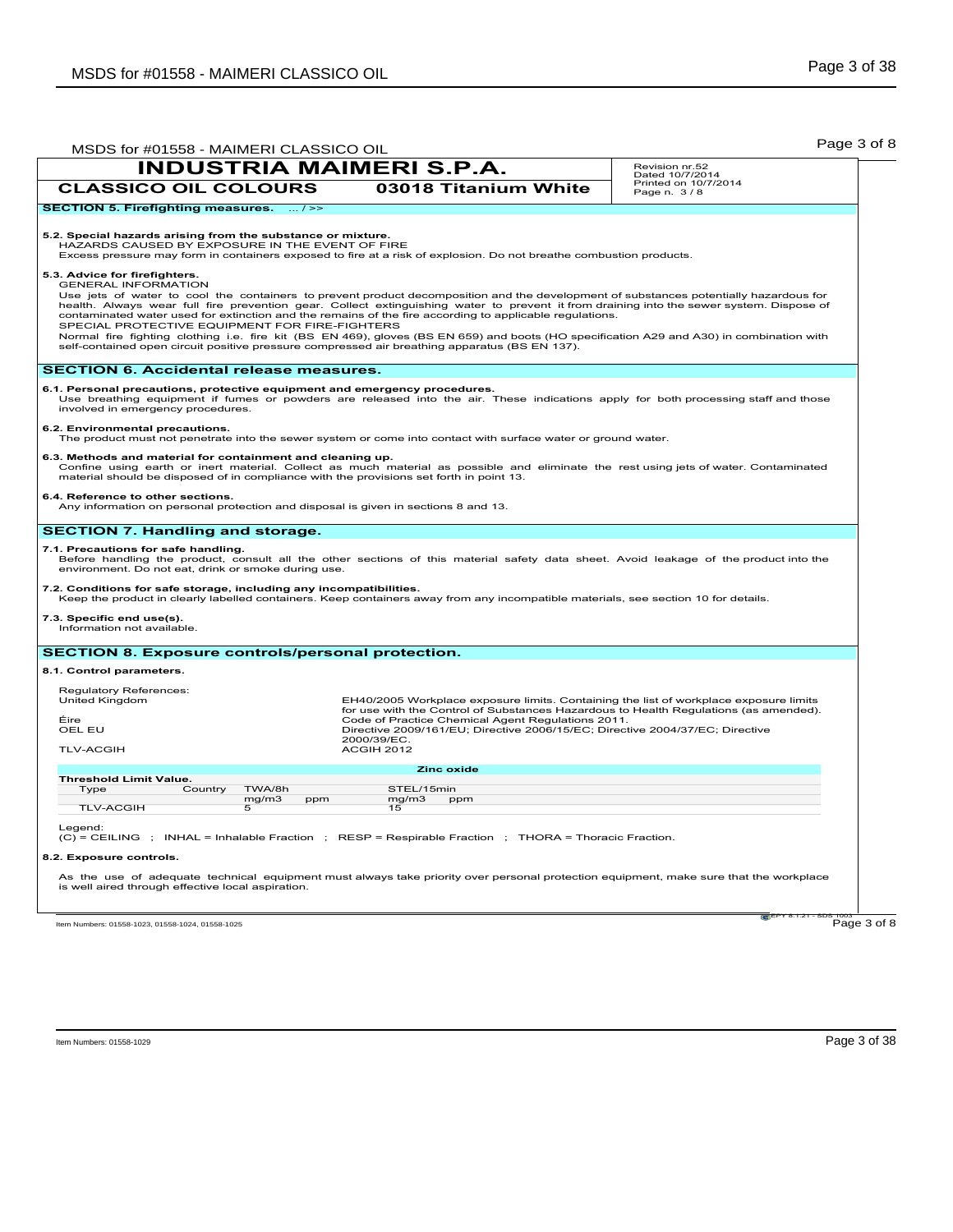| MSDS for #01558 - MAIMERI CLASSICO OIL                                                                                                                                                                                                                                                        |                                                                                                                                                                                                                                                                                                                                                                                                                                                                                                                                                                                                                                                                                             | Page 3 of 8                         |  |  |  |
|-----------------------------------------------------------------------------------------------------------------------------------------------------------------------------------------------------------------------------------------------------------------------------------------------|---------------------------------------------------------------------------------------------------------------------------------------------------------------------------------------------------------------------------------------------------------------------------------------------------------------------------------------------------------------------------------------------------------------------------------------------------------------------------------------------------------------------------------------------------------------------------------------------------------------------------------------------------------------------------------------------|-------------------------------------|--|--|--|
| <b>INDUSTRIA MAIMERI S.P.A.</b>                                                                                                                                                                                                                                                               |                                                                                                                                                                                                                                                                                                                                                                                                                                                                                                                                                                                                                                                                                             | Revision nr.52<br>Dated 10/7/2014   |  |  |  |
| <b>CLASSICO OIL COLOURS</b>                                                                                                                                                                                                                                                                   | 03018 Titanium White                                                                                                                                                                                                                                                                                                                                                                                                                                                                                                                                                                                                                                                                        | Printed on 10/7/2014<br>Page n. 3/8 |  |  |  |
| <b>SECTION 5. Firefighting measures.</b><br>$\dots l \ge$                                                                                                                                                                                                                                     |                                                                                                                                                                                                                                                                                                                                                                                                                                                                                                                                                                                                                                                                                             |                                     |  |  |  |
| 5.2. Special hazards arising from the substance or mixture.<br>HAZARDS CAUSED BY EXPOSURE IN THE EVENT OF FIRE<br>Excess pressure may form in containers exposed to fire at a risk of explosion. Do not breathe combustion products.                                                          |                                                                                                                                                                                                                                                                                                                                                                                                                                                                                                                                                                                                                                                                                             |                                     |  |  |  |
| 5.3. Advice for firefighters.<br><b>GENERAL INFORMATION</b>                                                                                                                                                                                                                                   | Use jets of water to cool the containers to prevent product decomposition and the development of substances potentially hazardous for<br>health. Always wear full fire prevention gear. Collect extinguishing water to prevent it from draining into the sewer system. Dispose of<br>contaminated water used for extinction and the remains of the fire according to applicable regulations.<br>SPECIAL PROTECTIVE EQUIPMENT FOR FIRE-FIGHTERS<br>Normal fire fighting clothing i.e. fire kit (BS EN 469), gloves (BS EN 659) and boots (HO specification A29 and A30) in combination with<br>self-contained open circuit positive pressure compressed air breathing apparatus (BS EN 137). |                                     |  |  |  |
| <b>SECTION 6. Accidental release measures.</b>                                                                                                                                                                                                                                                |                                                                                                                                                                                                                                                                                                                                                                                                                                                                                                                                                                                                                                                                                             |                                     |  |  |  |
| 6.1. Personal precautions, protective equipment and emergency procedures.<br>Use breathing equipment if fumes or powders are released into the air. These indications apply for both processing staff and those<br>involved in emergency procedures.                                          |                                                                                                                                                                                                                                                                                                                                                                                                                                                                                                                                                                                                                                                                                             |                                     |  |  |  |
| 6.2. Environmental precautions.<br>The product must not penetrate into the sewer system or come into contact with surface water or ground water.                                                                                                                                              |                                                                                                                                                                                                                                                                                                                                                                                                                                                                                                                                                                                                                                                                                             |                                     |  |  |  |
| 6.3. Methods and material for containment and cleaning up.<br>Confine using earth or inert material. Collect as much material as possible and eliminate the rest using jets of water. Contaminated<br>material should be disposed of in compliance with the provisions set forth in point 13. |                                                                                                                                                                                                                                                                                                                                                                                                                                                                                                                                                                                                                                                                                             |                                     |  |  |  |
| 6.4. Reference to other sections.<br>Any information on personal protection and disposal is given in sections 8 and 13.                                                                                                                                                                       |                                                                                                                                                                                                                                                                                                                                                                                                                                                                                                                                                                                                                                                                                             |                                     |  |  |  |
| <b>SECTION 7. Handling and storage.</b>                                                                                                                                                                                                                                                       |                                                                                                                                                                                                                                                                                                                                                                                                                                                                                                                                                                                                                                                                                             |                                     |  |  |  |
| 7.1. Precautions for safe handling.<br>Before handling the product, consult all the other sections of this material safety data sheet. Avoid leakage of the product into the<br>environment. Do not eat, drink or smoke during use.                                                           |                                                                                                                                                                                                                                                                                                                                                                                                                                                                                                                                                                                                                                                                                             |                                     |  |  |  |
| 7.2. Conditions for safe storage, including any incompatibilities.<br>Keep the product in clearly labelled containers. Keep containers away from any incompatible materials, see section 10 for details.                                                                                      |                                                                                                                                                                                                                                                                                                                                                                                                                                                                                                                                                                                                                                                                                             |                                     |  |  |  |
| 7.3. Specific end use(s).<br>Information not available.                                                                                                                                                                                                                                       |                                                                                                                                                                                                                                                                                                                                                                                                                                                                                                                                                                                                                                                                                             |                                     |  |  |  |
| SECTION 8. Exposure controls/personal protection.                                                                                                                                                                                                                                             |                                                                                                                                                                                                                                                                                                                                                                                                                                                                                                                                                                                                                                                                                             |                                     |  |  |  |
| 8.1. Control parameters.                                                                                                                                                                                                                                                                      |                                                                                                                                                                                                                                                                                                                                                                                                                                                                                                                                                                                                                                                                                             |                                     |  |  |  |
| Regulatory References:<br>United Kingdom<br>Éire<br>OEL EU<br><b>TLV-ACGIH</b>                                                                                                                                                                                                                | EH40/2005 Workplace exposure limits. Containing the list of workplace exposure limits<br>for use with the Control of Substances Hazardous to Health Regulations (as amended).<br>Code of Practice Chemical Agent Regulations 2011.<br>Directive 2009/161/EU; Directive 2006/15/EC; Directive 2004/37/EC; Directive<br>2000/39/EC.<br>ACGIH 2012                                                                                                                                                                                                                                                                                                                                             |                                     |  |  |  |
|                                                                                                                                                                                                                                                                                               | Zinc oxide                                                                                                                                                                                                                                                                                                                                                                                                                                                                                                                                                                                                                                                                                  |                                     |  |  |  |
| <b>Threshold Limit Value.</b><br>TWA/8h<br>Type<br>Country                                                                                                                                                                                                                                    | STEL/15min                                                                                                                                                                                                                                                                                                                                                                                                                                                                                                                                                                                                                                                                                  |                                     |  |  |  |
| mg/m3<br>ppm<br><b>TLV-ACGIH</b><br>5                                                                                                                                                                                                                                                         | mg/m3<br>ppm<br>15                                                                                                                                                                                                                                                                                                                                                                                                                                                                                                                                                                                                                                                                          |                                     |  |  |  |
| Legend:<br>(C) = CEILING ; INHAL = Inhalable Fraction ; RESP = Respirable Fraction ; THORA = Thoracic Fraction.<br>8.2. Exposure controls.                                                                                                                                                    |                                                                                                                                                                                                                                                                                                                                                                                                                                                                                                                                                                                                                                                                                             |                                     |  |  |  |
| As the use of adequate technical equipment must always take priority over personal protection equipment, make sure that the workplace<br>is well aired through effective local aspiration.                                                                                                    |                                                                                                                                                                                                                                                                                                                                                                                                                                                                                                                                                                                                                                                                                             |                                     |  |  |  |

 $Page 3 of 8$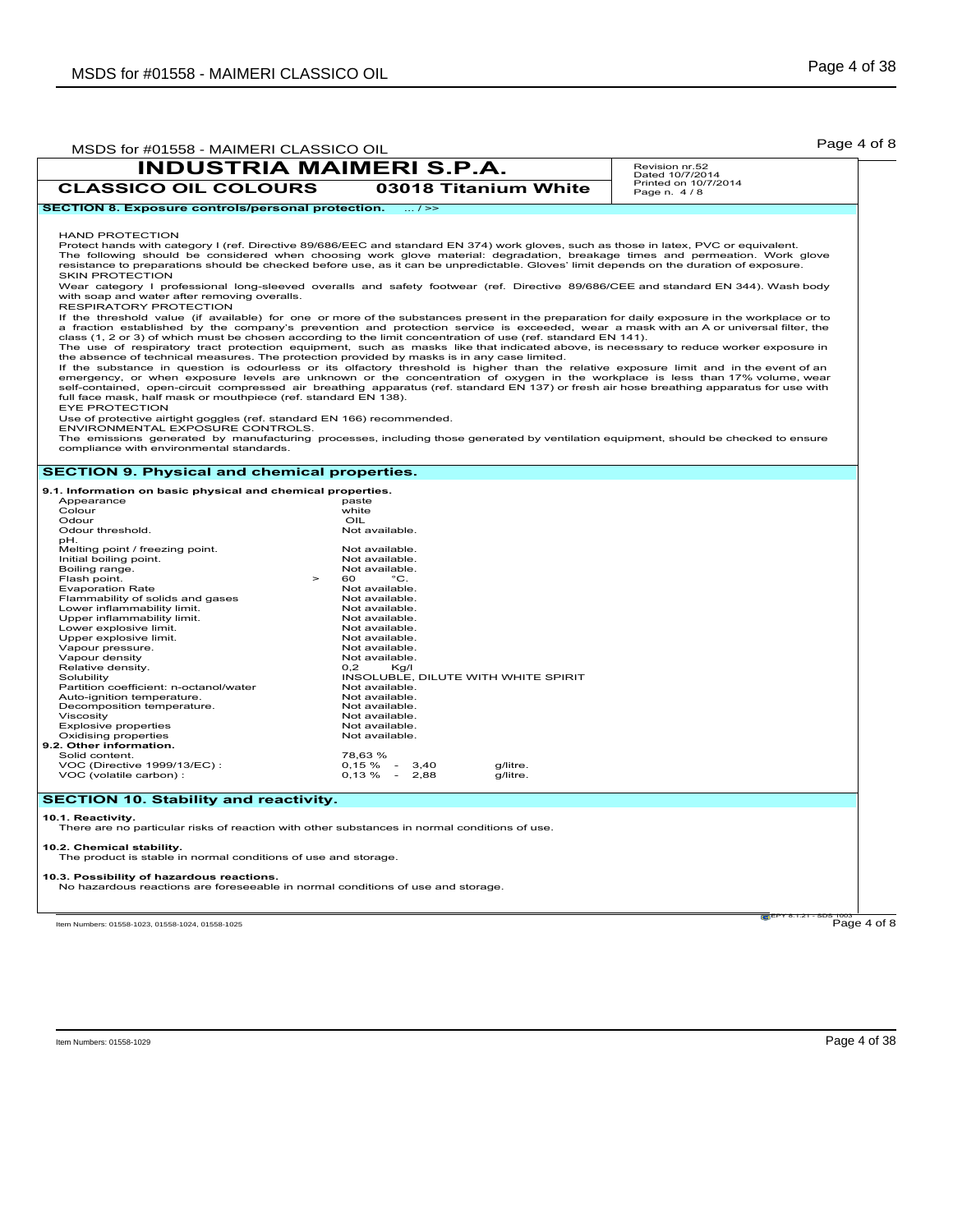|                                                                                                 | <b>INDUSTRIA MAIMERI S.P.A.</b>                                                                                                                                                                                                                                                                                                                                                                                     | Revision nr.52                                         |
|-------------------------------------------------------------------------------------------------|---------------------------------------------------------------------------------------------------------------------------------------------------------------------------------------------------------------------------------------------------------------------------------------------------------------------------------------------------------------------------------------------------------------------|--------------------------------------------------------|
| <b>CLASSICO OIL COLOURS</b>                                                                     | 03018 Titanium White                                                                                                                                                                                                                                                                                                                                                                                                | Dated 10/7/2014<br>Printed on 10/7/2014<br>Page n. 4/8 |
| <b>SECTION 8. Exposure controls/personal protection.</b>                                        | $\dots / \ge$                                                                                                                                                                                                                                                                                                                                                                                                       |                                                        |
|                                                                                                 |                                                                                                                                                                                                                                                                                                                                                                                                                     |                                                        |
| <b>HAND PROTECTION</b>                                                                          |                                                                                                                                                                                                                                                                                                                                                                                                                     |                                                        |
| <b>SKIN PROTECTION</b>                                                                          | Protect hands with category I (ref. Directive 89/686/EEC and standard EN 374) work gloves, such as those in latex, PVC or equivalent.<br>The following should be considered when choosing work glove material: degradation, breakage times and permeation. Work glove<br>resistance to preparations should be checked before use, as it can be unpredictable. Gloves' limit depends on the duration of exposure.    |                                                        |
| with soap and water after removing overalls.<br>RESPIRATORY PROTECTION                          | Wear category I professional long-sleeved overalls and safety footwear (ref. Directive 89/686/CEE and standard EN 344). Wash body                                                                                                                                                                                                                                                                                   |                                                        |
|                                                                                                 | If the threshold value (if available) for one or more of the substances present in the preparation for daily exposure in the workplace or to<br>a fraction established by the company's prevention and protection service is exceeded, wear a mask with an A or universal filter, the<br>class (1, 2 or 3) of which must be chosen according to the limit concentration of use (ref. standard EN 141).              |                                                        |
| the absence of technical measures. The protection provided by masks is in any case limited.     | The use of respiratory tract protection equipment, such as masks like that indicated above, is necessary to reduce worker exposure in                                                                                                                                                                                                                                                                               |                                                        |
| full face mask, half mask or mouthpiece (ref. standard EN 138).                                 | If the substance in question is odourless or its olfactory threshold is higher than the relative exposure limit and in the event of an<br>emergency, or when exposure levels are unknown or the concentration of oxygen in the workplace is less than 17% volume, wear<br>self-contained, open-circuit compressed air breathing apparatus (ref. standard EN 137) or fresh air hose breathing apparatus for use with |                                                        |
| <b>EYE PROTECTION</b><br>Use of protective airtight goggles (ref. standard EN 166) recommended. |                                                                                                                                                                                                                                                                                                                                                                                                                     |                                                        |
| ENVIRONMENTAL EXPOSURE CONTROLS.<br>compliance with environmental standards.                    | The emissions generated by manufacturing processes, including those generated by ventilation equipment, should be checked to ensure                                                                                                                                                                                                                                                                                 |                                                        |
| <b>SECTION 9. Physical and chemical properties.</b>                                             |                                                                                                                                                                                                                                                                                                                                                                                                                     |                                                        |
| 9.1. Information on basic physical and chemical properties.                                     |                                                                                                                                                                                                                                                                                                                                                                                                                     |                                                        |
| Appearance                                                                                      | paste                                                                                                                                                                                                                                                                                                                                                                                                               |                                                        |
|                                                                                                 | white                                                                                                                                                                                                                                                                                                                                                                                                               |                                                        |
| Colour                                                                                          |                                                                                                                                                                                                                                                                                                                                                                                                                     |                                                        |
| Odour                                                                                           | OIL                                                                                                                                                                                                                                                                                                                                                                                                                 |                                                        |
| Odour threshold.                                                                                | Not available.                                                                                                                                                                                                                                                                                                                                                                                                      |                                                        |
| pH.                                                                                             | Not available.                                                                                                                                                                                                                                                                                                                                                                                                      |                                                        |
| Melting point / freezing point.<br>Initial boiling point.                                       | Not available.                                                                                                                                                                                                                                                                                                                                                                                                      |                                                        |
| Boiling range.                                                                                  | Not available.                                                                                                                                                                                                                                                                                                                                                                                                      |                                                        |
| Flash point.<br>$\geq$                                                                          | $^{\circ}C.$<br>60                                                                                                                                                                                                                                                                                                                                                                                                  |                                                        |
| <b>Evaporation Rate</b>                                                                         | Not available.                                                                                                                                                                                                                                                                                                                                                                                                      |                                                        |
| Flammability of solids and gases                                                                | Not available.                                                                                                                                                                                                                                                                                                                                                                                                      |                                                        |
| Lower inflammability limit.                                                                     | Not available.                                                                                                                                                                                                                                                                                                                                                                                                      |                                                        |
| Upper inflammability limit.                                                                     | Not available.                                                                                                                                                                                                                                                                                                                                                                                                      |                                                        |
| Lower explosive limit.                                                                          | Not available.                                                                                                                                                                                                                                                                                                                                                                                                      |                                                        |
| Upper explosive limit.                                                                          | Not available.                                                                                                                                                                                                                                                                                                                                                                                                      |                                                        |
| Vapour pressure.                                                                                | Not available.<br>Not available.                                                                                                                                                                                                                                                                                                                                                                                    |                                                        |
| Vapour density<br>Relative density.                                                             | 0.2<br>Kq/l                                                                                                                                                                                                                                                                                                                                                                                                         |                                                        |
| Solubility                                                                                      | INSOLUBLE, DILUTE WITH WHITE SPIRIT                                                                                                                                                                                                                                                                                                                                                                                 |                                                        |
| Partition coefficient: n-octanol/water                                                          | Not available.                                                                                                                                                                                                                                                                                                                                                                                                      |                                                        |
| Auto-ignition temperature.                                                                      | Not available.                                                                                                                                                                                                                                                                                                                                                                                                      |                                                        |
| Decomposition temperature.                                                                      | Not available.                                                                                                                                                                                                                                                                                                                                                                                                      |                                                        |
| Viscosity                                                                                       | Not available.                                                                                                                                                                                                                                                                                                                                                                                                      |                                                        |
| <b>Explosive properties</b>                                                                     | Not available.                                                                                                                                                                                                                                                                                                                                                                                                      |                                                        |
| Oxidising properties                                                                            | Not available.                                                                                                                                                                                                                                                                                                                                                                                                      |                                                        |
|                                                                                                 |                                                                                                                                                                                                                                                                                                                                                                                                                     |                                                        |
| 9.2. Other information.<br>Solid content.                                                       | 78,63%                                                                                                                                                                                                                                                                                                                                                                                                              |                                                        |
| VOC (Directive 1999/13/EC) :<br>VOC (volatile carbon) :                                         | $0,15 \%$ -<br>3,40<br>g/litre.<br>$0,13\% - 2,88$<br>g/litre.                                                                                                                                                                                                                                                                                                                                                      |                                                        |
| <b>SECTION 10. Stability and reactivity.</b>                                                    |                                                                                                                                                                                                                                                                                                                                                                                                                     |                                                        |

**10.2. Chemical stability.** The product is stable in normal conditions of use and storage.

**10.3. Possibility of hazardous reactions.** No hazardous reactions are foreseeable in normal conditions of use and storage.

Item Numbers: 01558-1023, 01558-1024, 01558-1025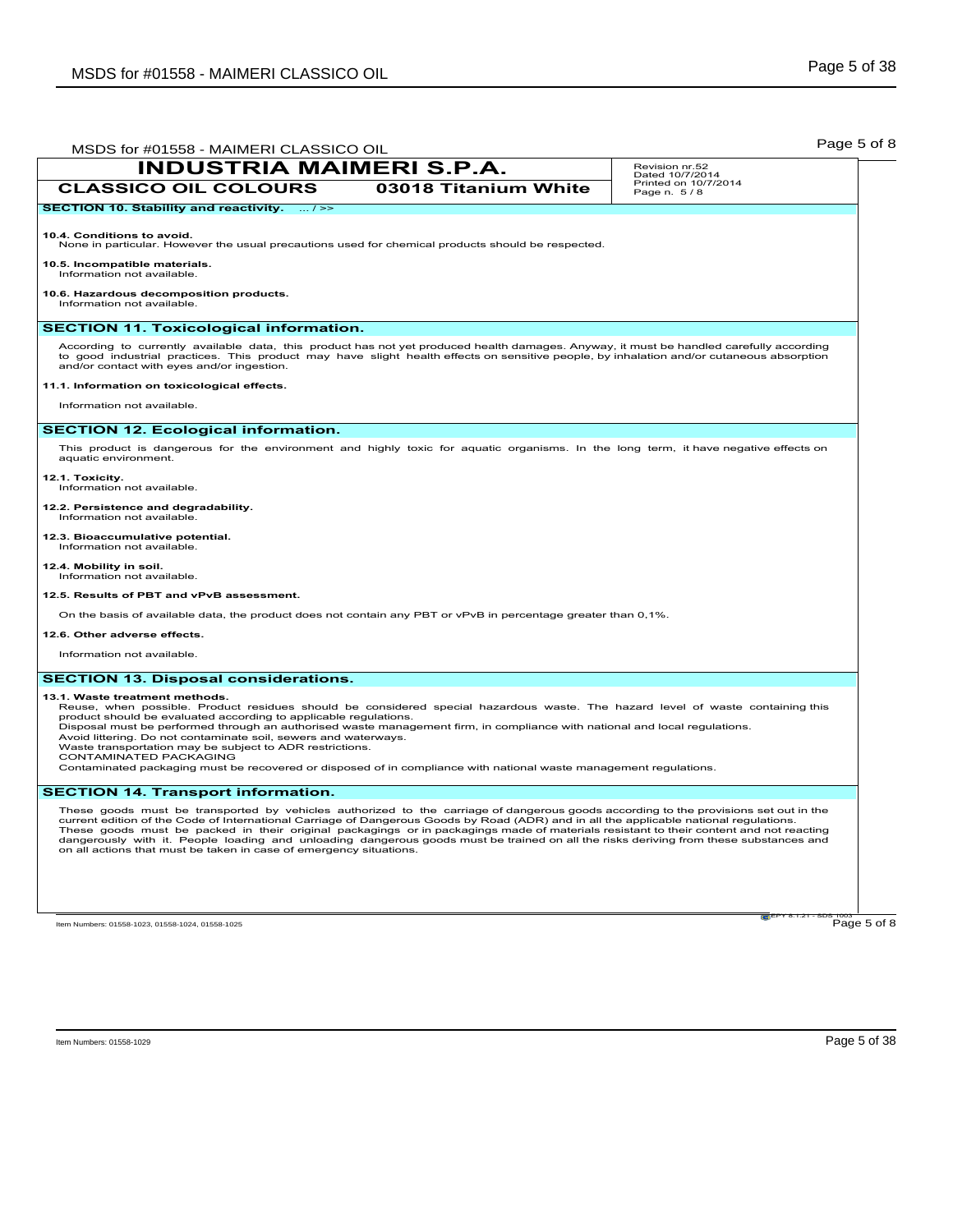| MSDS for #01558 - MAIMERI CLASSICO OIL                                                                                                                                                                                                                                                                                                                                                                                                                                                                                                                                                                                                           |                      | Page 5 of 8                         |
|--------------------------------------------------------------------------------------------------------------------------------------------------------------------------------------------------------------------------------------------------------------------------------------------------------------------------------------------------------------------------------------------------------------------------------------------------------------------------------------------------------------------------------------------------------------------------------------------------------------------------------------------------|----------------------|-------------------------------------|
| <b>INDUSTRIA MAIMERI S.P.A.</b>                                                                                                                                                                                                                                                                                                                                                                                                                                                                                                                                                                                                                  |                      | Revision nr.52<br>Dated 10/7/2014   |
| <b>CLASSICO OIL COLOURS</b>                                                                                                                                                                                                                                                                                                                                                                                                                                                                                                                                                                                                                      | 03018 Titanium White | Printed on 10/7/2014<br>Page n. 5/8 |
| SECTION 10. Stability and reactivity.  / >>                                                                                                                                                                                                                                                                                                                                                                                                                                                                                                                                                                                                      |                      |                                     |
| 10.4. Conditions to avoid.<br>None in particular. However the usual precautions used for chemical products should be respected.                                                                                                                                                                                                                                                                                                                                                                                                                                                                                                                  |                      |                                     |
| 10.5. Incompatible materials.<br>Information not available.                                                                                                                                                                                                                                                                                                                                                                                                                                                                                                                                                                                      |                      |                                     |
| 10.6. Hazardous decomposition products.<br>Information not available.                                                                                                                                                                                                                                                                                                                                                                                                                                                                                                                                                                            |                      |                                     |
| <b>SECTION 11. Toxicological information.</b>                                                                                                                                                                                                                                                                                                                                                                                                                                                                                                                                                                                                    |                      |                                     |
| According to currently available data, this product has not yet produced health damages. Anyway, it must be handled carefully according<br>to good industrial practices. This product may have slight health effects on sensitive people, by inhalation and/or cutaneous absorption<br>and/or contact with eyes and/or ingestion.<br>11.1. Information on toxicological effects.                                                                                                                                                                                                                                                                 |                      |                                     |
| Information not available.                                                                                                                                                                                                                                                                                                                                                                                                                                                                                                                                                                                                                       |                      |                                     |
|                                                                                                                                                                                                                                                                                                                                                                                                                                                                                                                                                                                                                                                  |                      |                                     |
| <b>SECTION 12. Ecological information.</b>                                                                                                                                                                                                                                                                                                                                                                                                                                                                                                                                                                                                       |                      |                                     |
| This product is dangerous for the environment and highly toxic for aquatic organisms. In the long term, it have negative effects on<br>aquatic environment.                                                                                                                                                                                                                                                                                                                                                                                                                                                                                      |                      |                                     |
| 12.1. Toxicity.<br>Information not available.                                                                                                                                                                                                                                                                                                                                                                                                                                                                                                                                                                                                    |                      |                                     |
| 12.2. Persistence and degradability.<br>Information not available.                                                                                                                                                                                                                                                                                                                                                                                                                                                                                                                                                                               |                      |                                     |
| 12.3. Bioaccumulative potential.<br>Information not available.                                                                                                                                                                                                                                                                                                                                                                                                                                                                                                                                                                                   |                      |                                     |
| 12.4. Mobility in soil.<br>Information not available.                                                                                                                                                                                                                                                                                                                                                                                                                                                                                                                                                                                            |                      |                                     |
| 12.5. Results of PBT and vPvB assessment.                                                                                                                                                                                                                                                                                                                                                                                                                                                                                                                                                                                                        |                      |                                     |
| On the basis of available data, the product does not contain any PBT or vPvB in percentage greater than 0,1%.                                                                                                                                                                                                                                                                                                                                                                                                                                                                                                                                    |                      |                                     |
| 12.6. Other adverse effects.                                                                                                                                                                                                                                                                                                                                                                                                                                                                                                                                                                                                                     |                      |                                     |
| Information not available.                                                                                                                                                                                                                                                                                                                                                                                                                                                                                                                                                                                                                       |                      |                                     |
| <b>SECTION 13. Disposal considerations.</b>                                                                                                                                                                                                                                                                                                                                                                                                                                                                                                                                                                                                      |                      |                                     |
| 13.1. Waste treatment methods.<br>Reuse, when possible. Product residues should be considered special hazardous waste. The hazard level of waste containing this<br>product should be evaluated according to applicable regulations.<br>Disposal must be performed through an authorised waste management firm, in compliance with national and local regulations.<br>Avoid littering. Do not contaminate soil, sewers and waterways.<br>Waste transportation may be subject to ADR restrictions.<br>CONTAMINATED PACKAGING<br>Contaminated packaging must be recovered or disposed of in compliance with national waste management regulations. |                      |                                     |
| <b>SECTION 14. Transport information.</b>                                                                                                                                                                                                                                                                                                                                                                                                                                                                                                                                                                                                        |                      |                                     |
| These goods must be transported by vehicles authorized to the carriage of dangerous goods according to the provisions set out in the<br>current edition of the Code of International Carriage of Dangerous Goods by Road (ADR) and in all the applicable national regulations.<br>These goods must be packed in their original packagings or in packagings made of materials resistant to their content and not reacting<br>dangerously with it. People loading and unloading dangerous goods must be trained on all the risks deriving from these substances and<br>on all actions that must be taken in case of emergency situations.          |                      |                                     |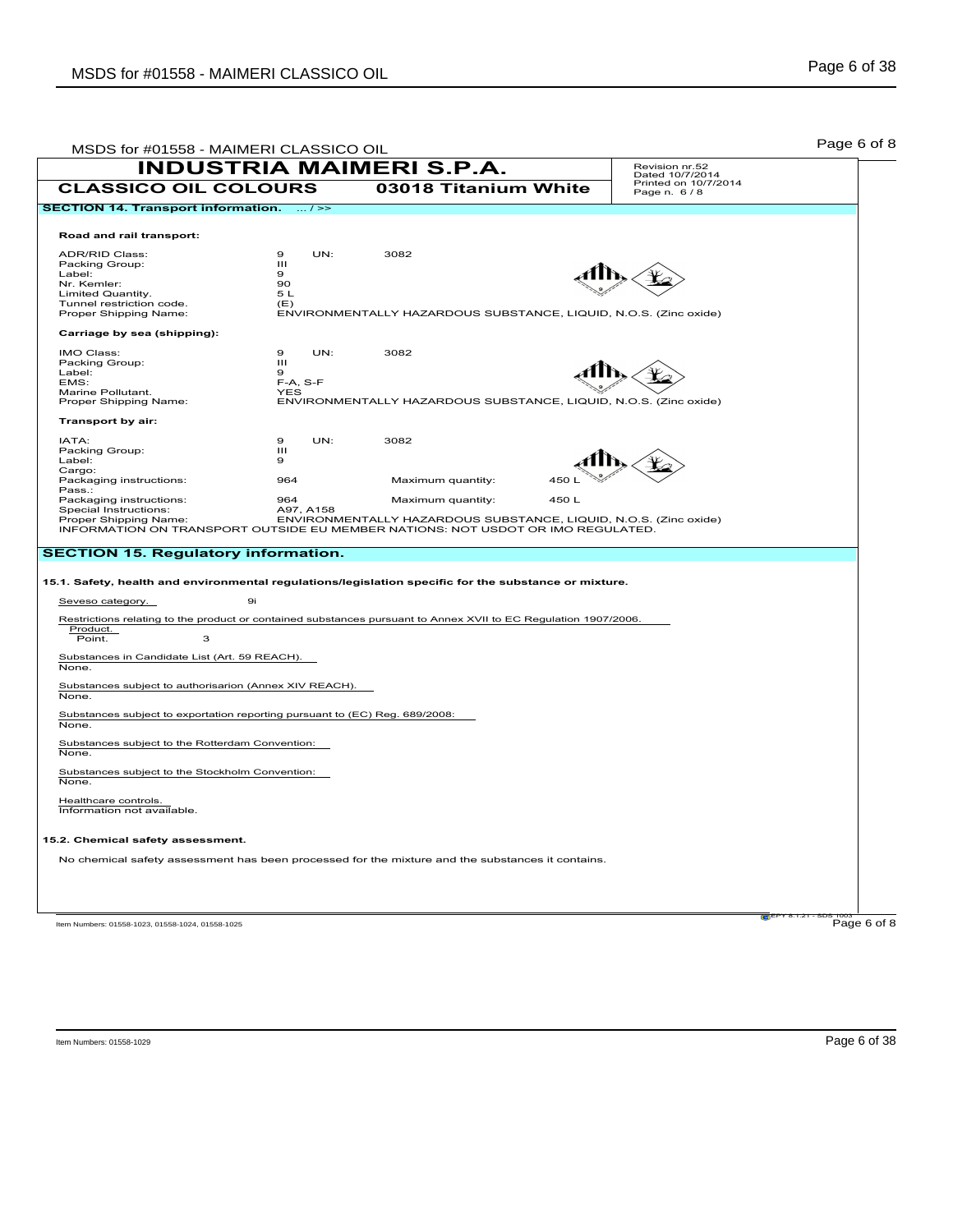| MSDS for #01558 - MAIMERI CLASSICO OIL                                                                |                     |                                                                                                                 |       |                                     | Page 6 of 8 |
|-------------------------------------------------------------------------------------------------------|---------------------|-----------------------------------------------------------------------------------------------------------------|-------|-------------------------------------|-------------|
|                                                                                                       |                     | <b>INDUSTRIA MAIMERI S.P.A.</b>                                                                                 |       | Revision nr.52<br>Dated 10/7/2014   |             |
| <b>CLASSICO OIL COLOURS</b>                                                                           |                     | 03018 Titanium White                                                                                            |       | Printed on 10/7/2014<br>Page n. 6/8 |             |
| <b>SECTION 14. Transport information.</b>                                                             | $\ldots$ / $\geq$   |                                                                                                                 |       |                                     |             |
|                                                                                                       |                     |                                                                                                                 |       |                                     |             |
| Road and rail transport:                                                                              |                     |                                                                                                                 |       |                                     |             |
| ADR/RID Class:                                                                                        | $\mathbf 9$<br>UN:  | 3082                                                                                                            |       |                                     |             |
| Packing Group:                                                                                        | Ш                   |                                                                                                                 |       |                                     |             |
| Label:                                                                                                | 9                   |                                                                                                                 |       |                                     |             |
| Nr. Kemler:                                                                                           | 90<br>5 L           |                                                                                                                 |       |                                     |             |
| Limited Quantity.<br>Tunnel restriction code.                                                         | (E)                 |                                                                                                                 |       |                                     |             |
| Proper Shipping Name:                                                                                 |                     | ENVIRONMENTALLY HAZARDOUS SUBSTANCE, LIQUID, N.O.S. (Zinc oxide)                                                |       |                                     |             |
| Carriage by sea (shipping):                                                                           |                     |                                                                                                                 |       |                                     |             |
| IMO Class:                                                                                            | UN:<br>$\mathbf{Q}$ | 3082                                                                                                            |       |                                     |             |
| Packing Group:                                                                                        | Ш                   |                                                                                                                 |       |                                     |             |
| Label:                                                                                                | 9                   |                                                                                                                 |       |                                     |             |
| EMS:                                                                                                  | $F-A, S-F$          |                                                                                                                 |       |                                     |             |
| Marine Pollutant.                                                                                     | YES                 |                                                                                                                 |       |                                     |             |
| Proper Shipping Name:                                                                                 |                     | ENVIRONMENTALLY HAZARDOUS SUBSTANCE, LIQUID, N.O.S. (Zinc oxide)                                                |       |                                     |             |
| Transport by air:                                                                                     |                     |                                                                                                                 |       |                                     |             |
| IATA:                                                                                                 | 9<br>UN:            | 3082                                                                                                            |       |                                     |             |
| Packing Group:                                                                                        | Ш                   |                                                                                                                 |       |                                     |             |
| Label:                                                                                                | 9                   |                                                                                                                 |       |                                     |             |
| Cargo:                                                                                                |                     |                                                                                                                 |       |                                     |             |
| Packaging instructions:                                                                               | 964                 | Maximum quantity:                                                                                               | 450 L |                                     |             |
| Pass.:<br>Packaging instructions:                                                                     | 964                 | Maximum quantity:                                                                                               | 450L  |                                     |             |
| Special Instructions:                                                                                 | A97, A158           |                                                                                                                 |       |                                     |             |
| Proper Shipping Name:                                                                                 |                     | ENVIRONMENTALLY HAZARDOUS SUBSTANCE, LIQUID, N.O.S. (Zinc oxide)                                                |       |                                     |             |
|                                                                                                       |                     | INFORMATION ON TRANSPORT OUTSIDE EU MEMBER NATIONS: NOT USDOT OR IMO REGULATED.                                 |       |                                     |             |
| <b>SECTION 15. Regulatory information.</b>                                                            |                     |                                                                                                                 |       |                                     |             |
|                                                                                                       |                     |                                                                                                                 |       |                                     |             |
| 15.1. Safety, health and environmental regulations/legislation specific for the substance or mixture. |                     |                                                                                                                 |       |                                     |             |
| Seveso category.                                                                                      | 9i                  |                                                                                                                 |       |                                     |             |
|                                                                                                       |                     | Restrictions relating to the product or contained substances pursuant to Annex XVII to EC Regulation 1907/2006. |       |                                     |             |
| Product.                                                                                              |                     |                                                                                                                 |       |                                     |             |
| Point.<br>3                                                                                           |                     |                                                                                                                 |       |                                     |             |
| Substances in Candidate List (Art. 59 REACH).                                                         |                     |                                                                                                                 |       |                                     |             |
| None.                                                                                                 |                     |                                                                                                                 |       |                                     |             |
| Substances subject to authorisarion (Annex XIV REACH).                                                |                     |                                                                                                                 |       |                                     |             |
| None.                                                                                                 |                     |                                                                                                                 |       |                                     |             |
| Substances subject to exportation reporting pursuant to (EC) Reg. 689/2008:                           |                     |                                                                                                                 |       |                                     |             |
| None.                                                                                                 |                     |                                                                                                                 |       |                                     |             |
| Substances subject to the Rotterdam Convention:                                                       |                     |                                                                                                                 |       |                                     |             |
| None.                                                                                                 |                     |                                                                                                                 |       |                                     |             |
| Substances subject to the Stockholm Convention:                                                       |                     |                                                                                                                 |       |                                     |             |
| None.                                                                                                 |                     |                                                                                                                 |       |                                     |             |
|                                                                                                       |                     |                                                                                                                 |       |                                     |             |
| Healthcare controls.                                                                                  |                     |                                                                                                                 |       |                                     |             |
| Information not available.                                                                            |                     |                                                                                                                 |       |                                     |             |
| 15.2. Chemical safety assessment.                                                                     |                     |                                                                                                                 |       |                                     |             |
|                                                                                                       |                     |                                                                                                                 |       |                                     |             |
|                                                                                                       |                     | No chemical safety assessment has been processed for the mixture and the substances it contains.                |       |                                     |             |
|                                                                                                       |                     |                                                                                                                 |       |                                     |             |
|                                                                                                       |                     |                                                                                                                 |       |                                     |             |
|                                                                                                       |                     |                                                                                                                 |       |                                     |             |
| Item Numbers: 01558-1023, 01558-1024, 01558-1025                                                      |                     |                                                                                                                 |       |                                     | Page 6 of 8 |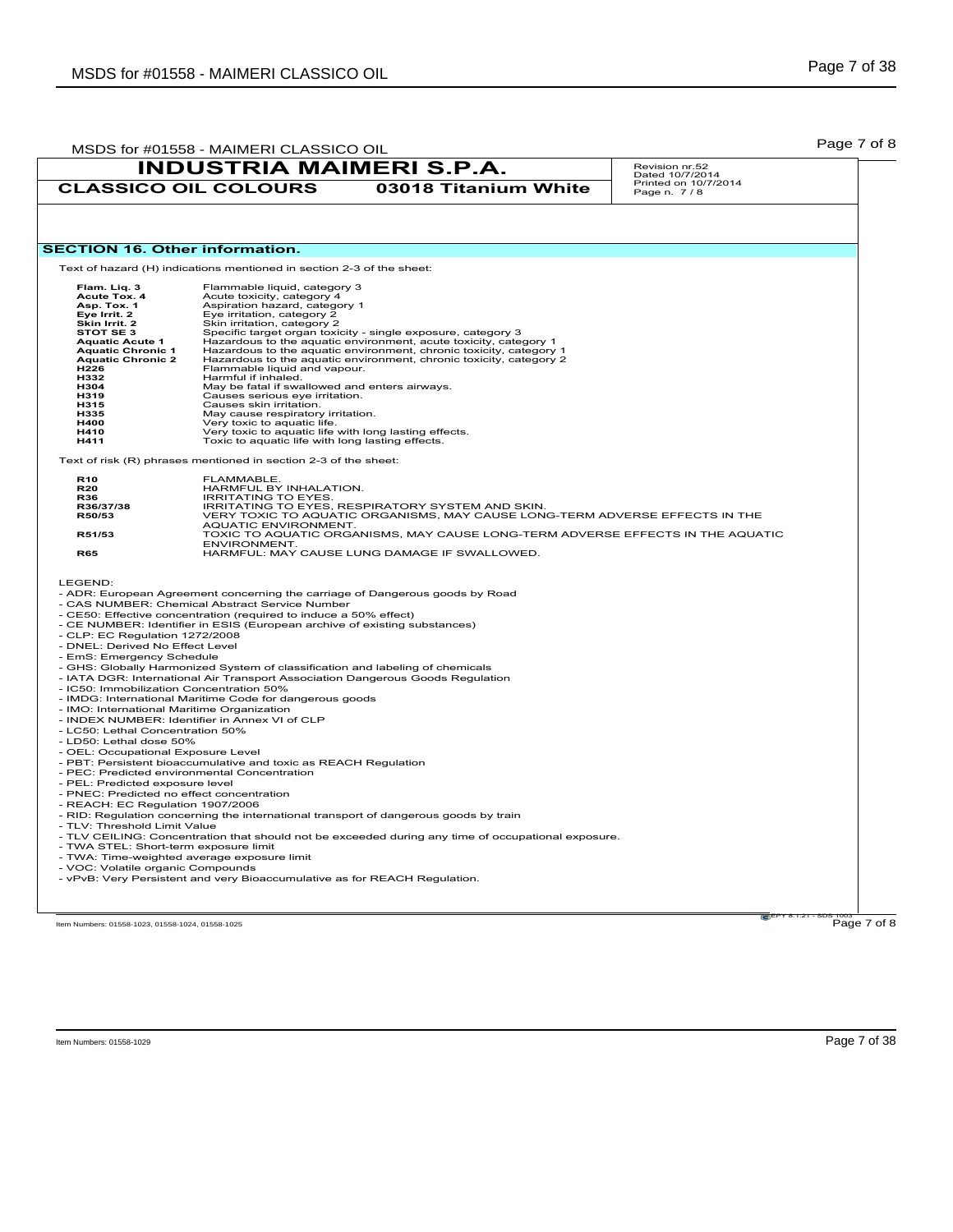|                                                                   |                                                                                                                     | <b>INDUSTRIA MAIMERI S.P.A.</b>                                                                                                          | Revision nr.52<br>Dated 10/7/2014   |
|-------------------------------------------------------------------|---------------------------------------------------------------------------------------------------------------------|------------------------------------------------------------------------------------------------------------------------------------------|-------------------------------------|
|                                                                   | <b>CLASSICO OIL COLOURS</b>                                                                                         | 03018 Titanium White                                                                                                                     | Printed on 10/7/2014<br>Page n. 7/8 |
|                                                                   |                                                                                                                     |                                                                                                                                          |                                     |
| <b>SECTION 16. Other information.</b>                             |                                                                                                                     |                                                                                                                                          |                                     |
|                                                                   | Text of hazard (H) indications mentioned in section 2-3 of the sheet:                                               |                                                                                                                                          |                                     |
| Flam. Liq. 3                                                      | Flammable liquid, category 3                                                                                        |                                                                                                                                          |                                     |
| Acute Tox. 4                                                      | Acute toxicity, category 4                                                                                          |                                                                                                                                          |                                     |
| Asp. Tox. 1<br>Eve Irrit. 2                                       | Aspiration hazard, category 1<br>Eye irritation, category 2                                                         |                                                                                                                                          |                                     |
| Skin Irrit. 2                                                     | Skin irritation, category 2                                                                                         |                                                                                                                                          |                                     |
| STOT SE 3                                                         |                                                                                                                     | Specific target organ toxicity - single exposure, category 3                                                                             |                                     |
| <b>Aquatic Acute 1</b>                                            |                                                                                                                     | Hazardous to the aquatic environment, acute toxicity, category 1                                                                         |                                     |
| <b>Aquatic Chronic 1</b><br><b>Aquatic Chronic 2</b>              |                                                                                                                     | Hazardous to the aquatic environment, chronic toxicity, category 1<br>Hazardous to the aquatic environment, chronic toxicity, category 2 |                                     |
| H226                                                              | Flammable liquid and vapour.                                                                                        |                                                                                                                                          |                                     |
| H332                                                              | Harmful if inhaled.                                                                                                 |                                                                                                                                          |                                     |
| <b>H304</b>                                                       | May be fatal if swallowed and enters airways.                                                                       |                                                                                                                                          |                                     |
| H319<br>H315                                                      | Causes serious eye irritation.<br>Causes skin irritation.                                                           |                                                                                                                                          |                                     |
| H335                                                              | May cause respiratory irritation.                                                                                   |                                                                                                                                          |                                     |
| H400                                                              | Very toxic to aquatic life.                                                                                         |                                                                                                                                          |                                     |
| H410                                                              | Very toxic to aquatic life with long lasting effects.                                                               |                                                                                                                                          |                                     |
| H411                                                              | Toxic to aquatic life with long lasting effects.                                                                    |                                                                                                                                          |                                     |
|                                                                   | Text of risk (R) phrases mentioned in section 2-3 of the sheet:                                                     |                                                                                                                                          |                                     |
| R <sub>10</sub><br><b>R20</b>                                     | FLAMMABLE.<br>HARMFUL BY INHALATION.                                                                                |                                                                                                                                          |                                     |
| R36                                                               | <b>IRRITATING TO EYES.</b>                                                                                          |                                                                                                                                          |                                     |
| R36/37/38                                                         |                                                                                                                     | IRRITATING TO EYES, RESPIRATORY SYSTEM AND SKIN.                                                                                         |                                     |
| R50/53                                                            |                                                                                                                     | VERY TOXIC TO AQUATIC ORGANISMS, MAY CAUSE LONG-TERM ADVERSE EFFECTS IN THE                                                              |                                     |
|                                                                   | AQUATIC ENVIRONMENT.                                                                                                |                                                                                                                                          |                                     |
| R51/53                                                            | <b>ENVIRONMENT.</b>                                                                                                 | TOXIC TO AQUATIC ORGANISMS, MAY CAUSE LONG-TERM ADVERSE EFFECTS IN THE AQUATIC                                                           |                                     |
| <b>R65</b>                                                        |                                                                                                                     | HARMFUL: MAY CAUSE LUNG DAMAGE IF SWALLOWED.                                                                                             |                                     |
| LEGEND:                                                           | - CAS NUMBER: Chemical Abstract Service Number<br>- CE50: Effective concentration (required to induce a 50% effect) | - ADR: European Agreement concerning the carriage of Dangerous goods by Road                                                             |                                     |
|                                                                   | - CE NUMBER: Identifier in ESIS (European archive of existing substances)                                           |                                                                                                                                          |                                     |
| - CLP: EC Regulation 1272/2008<br>- DNEL: Derived No Effect Level |                                                                                                                     |                                                                                                                                          |                                     |
| - EmS: Emergency Schedule                                         |                                                                                                                     |                                                                                                                                          |                                     |
|                                                                   | - GHS: Globally Harmonized System of classification and labeling of chemicals                                       |                                                                                                                                          |                                     |
|                                                                   |                                                                                                                     | - IATA DGR: International Air Transport Association Dangerous Goods Regulation                                                           |                                     |
| - IC50: Immobilization Concentration 50%                          |                                                                                                                     |                                                                                                                                          |                                     |
|                                                                   | - IMDG: International Maritime Code for dangerous goods                                                             |                                                                                                                                          |                                     |
| - IMO: International Maritime Organization                        |                                                                                                                     |                                                                                                                                          |                                     |
|                                                                   | - INDEX NUMBER: Identifier in Annex VI of CLP                                                                       |                                                                                                                                          |                                     |
| - LC50: Lethal Concentration 50%                                  |                                                                                                                     |                                                                                                                                          |                                     |
| - LD50: Lethal dose 50%<br>- OEL: Occupational Exposure Level     |                                                                                                                     |                                                                                                                                          |                                     |
|                                                                   | - PBT: Persistent bioaccumulative and toxic as REACH Regulation                                                     |                                                                                                                                          |                                     |
|                                                                   | - PEC: Predicted environmental Concentration                                                                        |                                                                                                                                          |                                     |
| - PEL: Predicted exposure level                                   |                                                                                                                     |                                                                                                                                          |                                     |
| - PNEC: Predicted no effect concentration                         |                                                                                                                     |                                                                                                                                          |                                     |
| - REACH: EC Regulation 1907/2006                                  |                                                                                                                     |                                                                                                                                          |                                     |
|                                                                   |                                                                                                                     | - RID: Regulation concerning the international transport of dangerous goods by train                                                     |                                     |
| - TLV: Threshold Limit Value                                      |                                                                                                                     |                                                                                                                                          |                                     |
|                                                                   |                                                                                                                     | - TLV CEILING: Concentration that should not be exceeded during any time of occupational exposure.                                       |                                     |
| - TWA STEL: Short-term exposure limit                             |                                                                                                                     |                                                                                                                                          |                                     |
|                                                                   | - TWA: Time-weighted average exposure limit                                                                         |                                                                                                                                          |                                     |
| - VOC: Volatile organic Compounds                                 | - vPvB: Very Persistent and very Bioaccumulative as for REACH Regulation.                                           |                                                                                                                                          |                                     |
|                                                                   |                                                                                                                     |                                                                                                                                          |                                     |
|                                                                   |                                                                                                                     |                                                                                                                                          |                                     |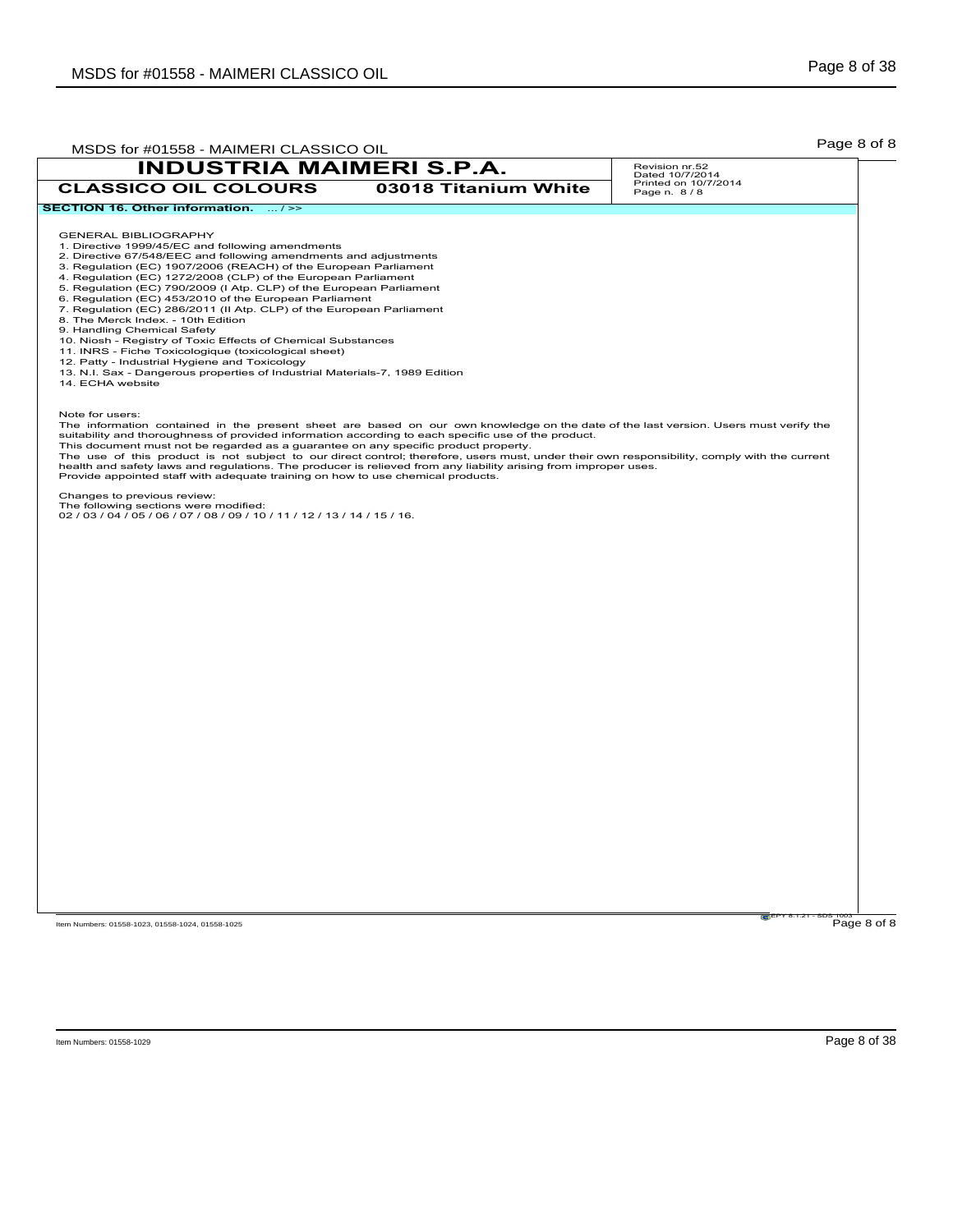| MSDS for #01558 - MAIMERI CLASSICO OIL                                                                                                                                                                                                                                                                                                                                                                                                                                                                                                                                                                                                                                                                                                                                                                                                                           |                      | Page 8 of 8                                               |
|------------------------------------------------------------------------------------------------------------------------------------------------------------------------------------------------------------------------------------------------------------------------------------------------------------------------------------------------------------------------------------------------------------------------------------------------------------------------------------------------------------------------------------------------------------------------------------------------------------------------------------------------------------------------------------------------------------------------------------------------------------------------------------------------------------------------------------------------------------------|----------------------|-----------------------------------------------------------|
| <b>INDUSTRIA MAIMERI S.P.A.</b><br><b>CLASSICO OIL COLOURS</b>                                                                                                                                                                                                                                                                                                                                                                                                                                                                                                                                                                                                                                                                                                                                                                                                   | 03018 Titanium White | Revision nr.52<br>Dated 10/7/2014<br>Printed on 10/7/2014 |
| SECTION 16. Other information.  />>                                                                                                                                                                                                                                                                                                                                                                                                                                                                                                                                                                                                                                                                                                                                                                                                                              |                      | Page n. 8/8                                               |
| <b>GENERAL BIBLIOGRAPHY</b><br>1. Directive 1999/45/EC and following amendments<br>2. Directive 67/548/EEC and following amendments and adjustments<br>3. Regulation (EC) 1907/2006 (REACH) of the European Parliament<br>4. Regulation (EC) 1272/2008 (CLP) of the European Parliament<br>5. Regulation (EC) 790/2009 (I Atp. CLP) of the European Parliament<br>6. Regulation (EC) 453/2010 of the European Parliament<br>7. Regulation (EC) 286/2011 (II Atp. CLP) of the European Parliament<br>8. The Merck Index. - 10th Edition<br>9. Handling Chemical Safety<br>10. Niosh - Registry of Toxic Effects of Chemical Substances<br>11. INRS - Fiche Toxicologique (toxicological sheet)<br>12. Patty - Industrial Hygiene and Toxicology<br>13. N.I. Sax - Dangerous properties of Industrial Materials-7, 1989 Edition<br>14. ECHA website                |                      |                                                           |
| Note for users:<br>The information contained in the present sheet are based on our own knowledge on the date of the last version. Users must verify the<br>suitability and thoroughness of provided information according to each specific use of the product.<br>This document must not be regarded as a guarantee on any specific product property.<br>The use of this product is not subject to our direct control; therefore, users must, under their own responsibility, comply with the current<br>health and safety laws and regulations. The producer is relieved from any liability arising from improper uses.<br>Provide appointed staff with adequate training on how to use chemical products.<br>Changes to previous review:<br>The following sections were modified:<br>02 / 03 / 04 / 05 / 06 / 07 / 08 / 09 / 10 / 11 / 12 / 13 / 14 / 15 / 16. |                      |                                                           |
|                                                                                                                                                                                                                                                                                                                                                                                                                                                                                                                                                                                                                                                                                                                                                                                                                                                                  |                      |                                                           |
|                                                                                                                                                                                                                                                                                                                                                                                                                                                                                                                                                                                                                                                                                                                                                                                                                                                                  |                      |                                                           |
|                                                                                                                                                                                                                                                                                                                                                                                                                                                                                                                                                                                                                                                                                                                                                                                                                                                                  |                      |                                                           |
|                                                                                                                                                                                                                                                                                                                                                                                                                                                                                                                                                                                                                                                                                                                                                                                                                                                                  |                      |                                                           |
|                                                                                                                                                                                                                                                                                                                                                                                                                                                                                                                                                                                                                                                                                                                                                                                                                                                                  |                      |                                                           |
|                                                                                                                                                                                                                                                                                                                                                                                                                                                                                                                                                                                                                                                                                                                                                                                                                                                                  |                      |                                                           |
|                                                                                                                                                                                                                                                                                                                                                                                                                                                                                                                                                                                                                                                                                                                                                                                                                                                                  |                      |                                                           |
|                                                                                                                                                                                                                                                                                                                                                                                                                                                                                                                                                                                                                                                                                                                                                                                                                                                                  |                      |                                                           |
|                                                                                                                                                                                                                                                                                                                                                                                                                                                                                                                                                                                                                                                                                                                                                                                                                                                                  |                      |                                                           |
|                                                                                                                                                                                                                                                                                                                                                                                                                                                                                                                                                                                                                                                                                                                                                                                                                                                                  |                      |                                                           |
|                                                                                                                                                                                                                                                                                                                                                                                                                                                                                                                                                                                                                                                                                                                                                                                                                                                                  |                      |                                                           |

 $Page 8 of 8$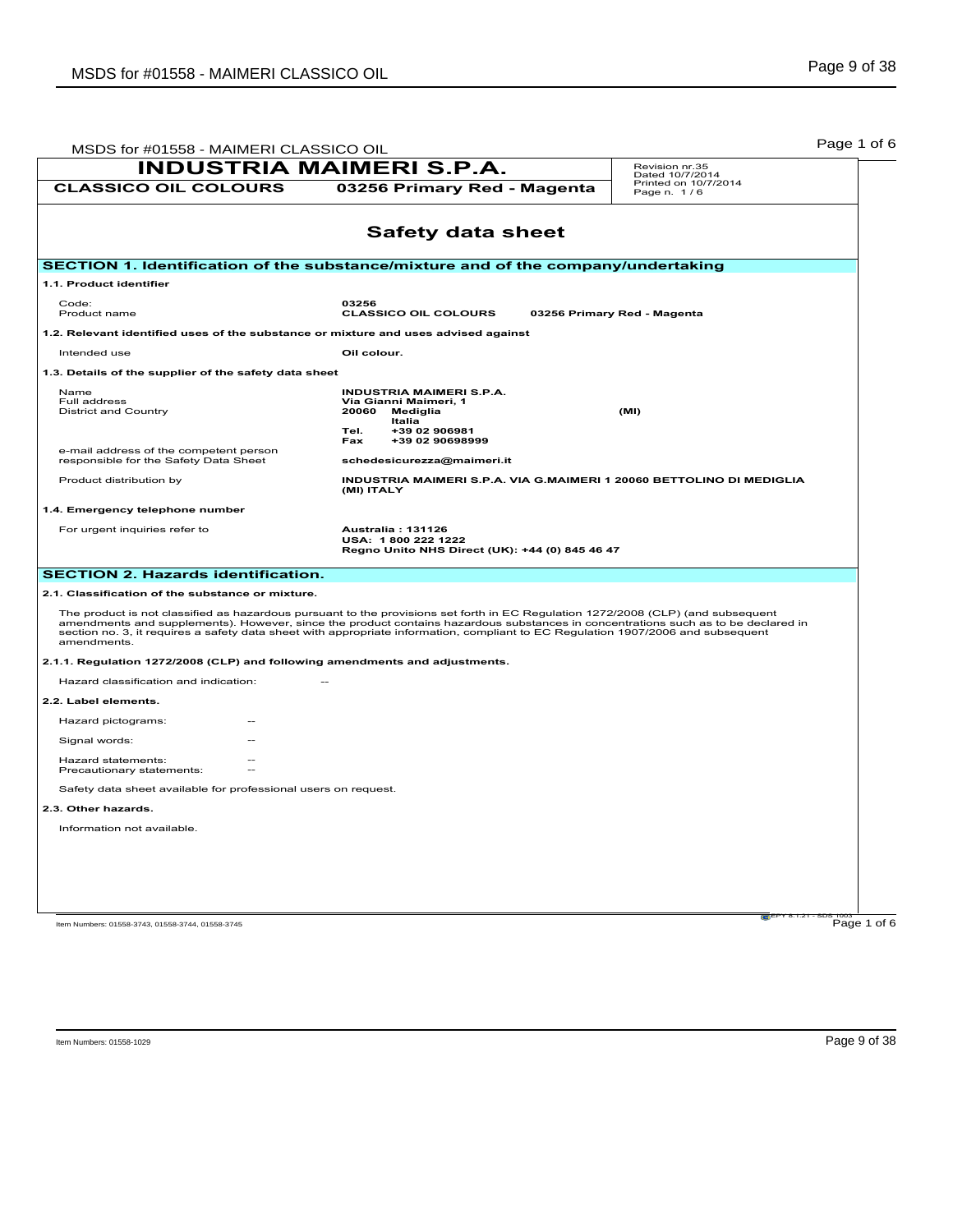| MSDS for #01558 - MAIMERI CLASSICO OIL                                             |                                                                                                                                                                                                                                                                                                                                                                                                           | Page 1 of 6                         |
|------------------------------------------------------------------------------------|-----------------------------------------------------------------------------------------------------------------------------------------------------------------------------------------------------------------------------------------------------------------------------------------------------------------------------------------------------------------------------------------------------------|-------------------------------------|
| <b>INDUSTRIA MAIMERI S.P.A.</b>                                                    | Revision nr.35<br>Dated 10/7/2014                                                                                                                                                                                                                                                                                                                                                                         |                                     |
| <b>CLASSICO OIL COLOURS</b>                                                        | 03256 Primary Red - Magenta                                                                                                                                                                                                                                                                                                                                                                               | Printed on 10/7/2014<br>Page n. 1/6 |
|                                                                                    | <b>Safety data sheet</b>                                                                                                                                                                                                                                                                                                                                                                                  |                                     |
|                                                                                    | SECTION 1. Identification of the substance/mixture and of the company/undertaking                                                                                                                                                                                                                                                                                                                         |                                     |
| 1.1. Product identifier                                                            |                                                                                                                                                                                                                                                                                                                                                                                                           |                                     |
| Code:<br>Product name                                                              | 03256<br><b>CLASSICO OIL COLOURS</b>                                                                                                                                                                                                                                                                                                                                                                      | 03256 Primary Red - Magenta         |
| 1.2. Relevant identified uses of the substance or mixture and uses advised against |                                                                                                                                                                                                                                                                                                                                                                                                           |                                     |
| Intended use                                                                       | Oil colour.                                                                                                                                                                                                                                                                                                                                                                                               |                                     |
| 1.3. Details of the supplier of the safety data sheet                              |                                                                                                                                                                                                                                                                                                                                                                                                           |                                     |
| Name<br>Full address<br><b>District and Country</b>                                | <b>INDUSTRIA MAIMERI S.P.A.</b><br>Via Gianni Maimeri, 1<br>20060<br>Mediglia<br><b>Italia</b><br>+39 02 906981<br>Tel.<br>+39 02 90698999<br>Fax                                                                                                                                                                                                                                                         | (MI)                                |
| e-mail address of the competent person<br>responsible for the Safety Data Sheet    | schedesicurezza@maimeri.it                                                                                                                                                                                                                                                                                                                                                                                |                                     |
| Product distribution by                                                            | INDUSTRIA MAIMERI S.P.A. VIA G.MAIMERI 1 20060 BETTOLINO DI MEDIGLIA<br>(MI) ITALY                                                                                                                                                                                                                                                                                                                        |                                     |
| 1.4. Emergency telephone number                                                    |                                                                                                                                                                                                                                                                                                                                                                                                           |                                     |
| For urgent inquiries refer to                                                      | Australia: 131126<br>USA: 1800 222 1222<br>Regno Unito NHS Direct (UK): +44 (0) 845 46 47                                                                                                                                                                                                                                                                                                                 |                                     |
| <b>SECTION 2. Hazards identification.</b>                                          |                                                                                                                                                                                                                                                                                                                                                                                                           |                                     |
| 2.1. Classification of the substance or mixture.                                   |                                                                                                                                                                                                                                                                                                                                                                                                           |                                     |
| amendments.                                                                        | The product is not classified as hazardous pursuant to the provisions set forth in EC Regulation 1272/2008 (CLP) (and subsequent<br>amendments and supplements). However, since the product contains hazardous substances in concentrations such as to be declared in<br>section no. 3, it requires a safety data sheet with appropriate information, compliant to EC Regulation 1907/2006 and subsequent |                                     |
| 2.1.1. Regulation 1272/2008 (CLP) and following amendments and adjustments.        |                                                                                                                                                                                                                                                                                                                                                                                                           |                                     |
| Hazard classification and indication:                                              |                                                                                                                                                                                                                                                                                                                                                                                                           |                                     |
| 2.2. Label elements.                                                               |                                                                                                                                                                                                                                                                                                                                                                                                           |                                     |
| Hazard pictograms:                                                                 |                                                                                                                                                                                                                                                                                                                                                                                                           |                                     |
| Signal words:                                                                      |                                                                                                                                                                                                                                                                                                                                                                                                           |                                     |
| Hazard statements:<br>Precautionary statements:                                    |                                                                                                                                                                                                                                                                                                                                                                                                           |                                     |
| Safety data sheet available for professional users on request.                     |                                                                                                                                                                                                                                                                                                                                                                                                           |                                     |
| 2.3. Other hazards.                                                                |                                                                                                                                                                                                                                                                                                                                                                                                           |                                     |
| Information not available.                                                         |                                                                                                                                                                                                                                                                                                                                                                                                           |                                     |
|                                                                                    |                                                                                                                                                                                                                                                                                                                                                                                                           |                                     |
|                                                                                    |                                                                                                                                                                                                                                                                                                                                                                                                           |                                     |
|                                                                                    |                                                                                                                                                                                                                                                                                                                                                                                                           |                                     |
|                                                                                    |                                                                                                                                                                                                                                                                                                                                                                                                           | $\approx$ EPY 8.1.2                 |
| Item Numbers: 01558-3743, 01558-3744, 01558-3745                                   |                                                                                                                                                                                                                                                                                                                                                                                                           | Page 1 of 6                         |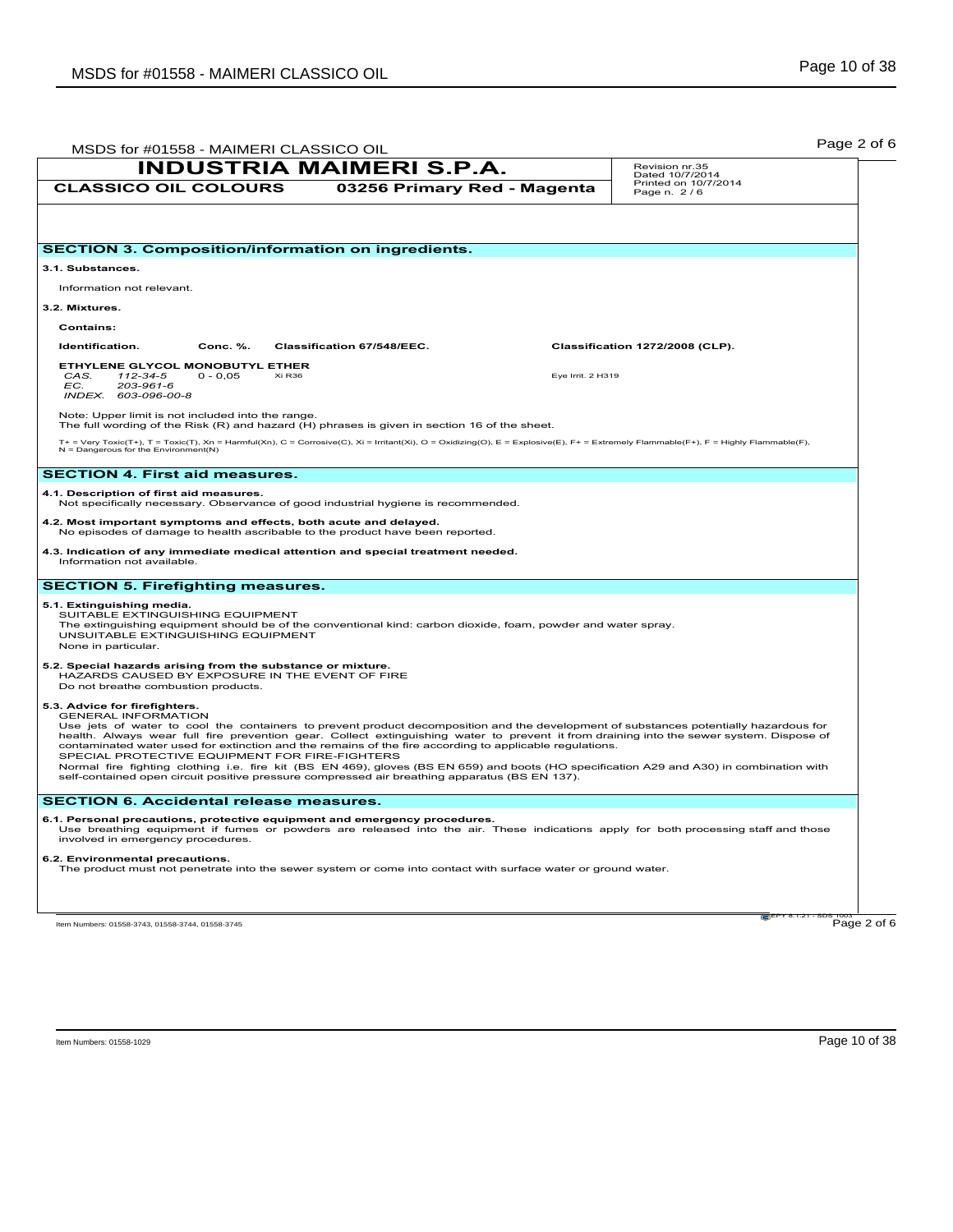| <b>INDUSTRIA MAIMERI S.P.A.</b>                                                                                                                                                                                                                                                                                                                                                                                                                                                                                                                                                                                                                                                                                                                            |                             |                   | Revision nr.35<br>Dated 10/7/2014   |
|------------------------------------------------------------------------------------------------------------------------------------------------------------------------------------------------------------------------------------------------------------------------------------------------------------------------------------------------------------------------------------------------------------------------------------------------------------------------------------------------------------------------------------------------------------------------------------------------------------------------------------------------------------------------------------------------------------------------------------------------------------|-----------------------------|-------------------|-------------------------------------|
| <b>CLASSICO OIL COLOURS</b>                                                                                                                                                                                                                                                                                                                                                                                                                                                                                                                                                                                                                                                                                                                                | 03256 Primary Red - Magenta |                   | Printed on 10/7/2014<br>Page n. 2/6 |
|                                                                                                                                                                                                                                                                                                                                                                                                                                                                                                                                                                                                                                                                                                                                                            |                             |                   |                                     |
| <b>SECTION 3. Composition/information on ingredients.</b>                                                                                                                                                                                                                                                                                                                                                                                                                                                                                                                                                                                                                                                                                                  |                             |                   |                                     |
| 3.1. Substances.                                                                                                                                                                                                                                                                                                                                                                                                                                                                                                                                                                                                                                                                                                                                           |                             |                   |                                     |
| Information not relevant.                                                                                                                                                                                                                                                                                                                                                                                                                                                                                                                                                                                                                                                                                                                                  |                             |                   |                                     |
| 3.2. Mixtures.                                                                                                                                                                                                                                                                                                                                                                                                                                                                                                                                                                                                                                                                                                                                             |                             |                   |                                     |
| <b>Contains:</b>                                                                                                                                                                                                                                                                                                                                                                                                                                                                                                                                                                                                                                                                                                                                           |                             |                   |                                     |
| Identification.<br>Conc. %.                                                                                                                                                                                                                                                                                                                                                                                                                                                                                                                                                                                                                                                                                                                                | Classification 67/548/EEC.  |                   | Classification 1272/2008 (CLP).     |
| ETHYLENE GLYCOL MONOBUTYL ETHER<br>Xi R <sub>36</sub><br>CAS.<br>112-34-5<br>$0 - 0,05$<br>EC.<br>203-961-6<br>INDEX. 603-096-00-8                                                                                                                                                                                                                                                                                                                                                                                                                                                                                                                                                                                                                         |                             | Eye Irrit. 2 H319 |                                     |
| Note: Upper limit is not included into the range.<br>The full wording of the Risk (R) and hazard (H) phrases is given in section 16 of the sheet.                                                                                                                                                                                                                                                                                                                                                                                                                                                                                                                                                                                                          |                             |                   |                                     |
| T+ = Very Toxic(T+), T = Toxic(T), Xn = Harmful(Xn), C = Corrosive(C), Xi = Irritant(Xi), O = Oxidizing(O), E = Explosive(E), F+ = Extremely Flammable(F+), F = Highly Flammable(F),<br>$N =$ Dangerous for the Environment(N)                                                                                                                                                                                                                                                                                                                                                                                                                                                                                                                             |                             |                   |                                     |
| <b>SECTION 4. First aid measures.</b>                                                                                                                                                                                                                                                                                                                                                                                                                                                                                                                                                                                                                                                                                                                      |                             |                   |                                     |
| 4.1. Description of first aid measures.<br>Not specifically necessary. Observance of good industrial hygiene is recommended.                                                                                                                                                                                                                                                                                                                                                                                                                                                                                                                                                                                                                               |                             |                   |                                     |
| 4.2. Most important symptoms and effects, both acute and delayed.<br>No episodes of damage to health ascribable to the product have been reported.                                                                                                                                                                                                                                                                                                                                                                                                                                                                                                                                                                                                         |                             |                   |                                     |
| 4.3. Indication of any immediate medical attention and special treatment needed.<br>Information not available.                                                                                                                                                                                                                                                                                                                                                                                                                                                                                                                                                                                                                                             |                             |                   |                                     |
| <b>SECTION 5. Firefighting measures.</b>                                                                                                                                                                                                                                                                                                                                                                                                                                                                                                                                                                                                                                                                                                                   |                             |                   |                                     |
| 5.1. Extinguishing media.<br>SUITABLE EXTINGUISHING EQUIPMENT<br>The extinguishing equipment should be of the conventional kind: carbon dioxide, foam, powder and water spray.<br>UNSUITABLE EXTINGUISHING EQUIPMENT<br>None in particular.                                                                                                                                                                                                                                                                                                                                                                                                                                                                                                                |                             |                   |                                     |
| 5.2. Special hazards arising from the substance or mixture.<br>HAZARDS CAUSED BY EXPOSURE IN THE EVENT OF FIRE<br>Do not breathe combustion products.                                                                                                                                                                                                                                                                                                                                                                                                                                                                                                                                                                                                      |                             |                   |                                     |
| 5.3. Advice for firefighters.<br><b>GENERAL INFORMATION</b><br>Use jets of water to cool the containers to prevent product decomposition and the development of substances potentially hazardous for<br>health. Always wear full fire prevention gear. Collect extinguishing water to prevent it from draining into the sewer system. Dispose of<br>contaminated water used for extinction and the remains of the fire according to applicable regulations.<br>SPECIAL PROTECTIVE EQUIPMENT FOR FIRE-FIGHTERS<br>Normal fire fighting clothing i.e. fire kit (BS EN 469), gloves (BS EN 659) and boots (HO specification A29 and A30) in combination with<br>self-contained open circuit positive pressure compressed air breathing apparatus (BS EN 137). |                             |                   |                                     |
| <b>SECTION 6. Accidental release measures.</b>                                                                                                                                                                                                                                                                                                                                                                                                                                                                                                                                                                                                                                                                                                             |                             |                   |                                     |
| 6.1. Personal precautions, protective equipment and emergency procedures.<br>Use breathing equipment if fumes or powders are released into the air. These indications apply for both processing staff and those<br>involved in emergency procedures.                                                                                                                                                                                                                                                                                                                                                                                                                                                                                                       |                             |                   |                                     |
| 6.2. Environmental precautions.<br>The product must not penetrate into the sewer system or come into contact with surface water or ground water.                                                                                                                                                                                                                                                                                                                                                                                                                                                                                                                                                                                                           |                             |                   |                                     |
|                                                                                                                                                                                                                                                                                                                                                                                                                                                                                                                                                                                                                                                                                                                                                            |                             |                   | Page 2 of 6                         |
| Item Numbers: 01558-3743, 01558-3744, 01558-3745                                                                                                                                                                                                                                                                                                                                                                                                                                                                                                                                                                                                                                                                                                           |                             |                   |                                     |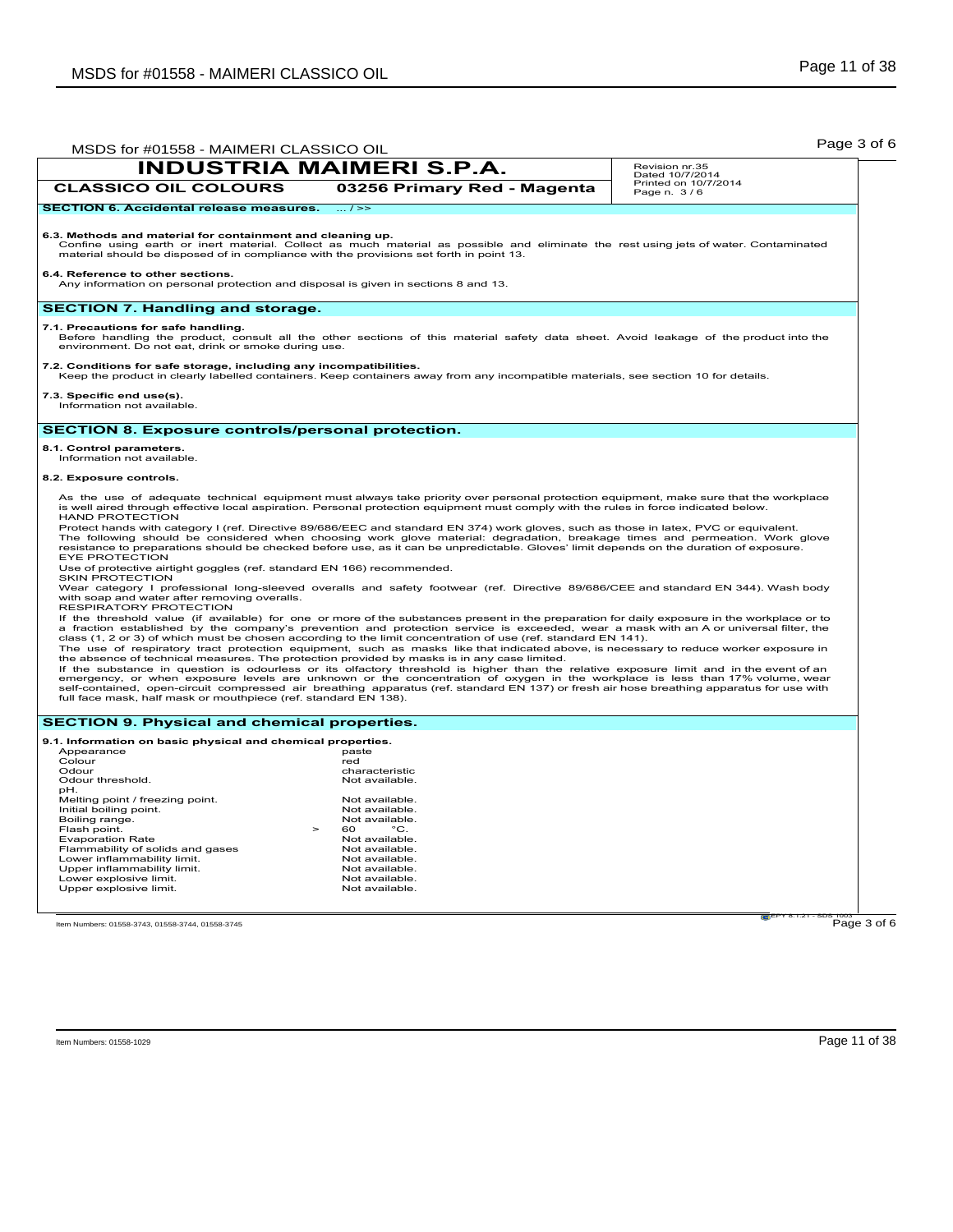|                                                                                                                                                       | <b>INDUSTRIA MAIMERI S.P.A.</b>                                                                                                                                                                                                                                                                                                                                                                                                                                                                                                                 | Revision nr.35                          |
|-------------------------------------------------------------------------------------------------------------------------------------------------------|-------------------------------------------------------------------------------------------------------------------------------------------------------------------------------------------------------------------------------------------------------------------------------------------------------------------------------------------------------------------------------------------------------------------------------------------------------------------------------------------------------------------------------------------------|-----------------------------------------|
| <b>CLASSICO OIL COLOURS</b>                                                                                                                           | 03256 Primary Red - Magenta                                                                                                                                                                                                                                                                                                                                                                                                                                                                                                                     | Dated 10/7/2014<br>Printed on 10/7/2014 |
| <b>SECTION 6. Accidental release measures.</b>                                                                                                        | $\overline{\cdot \cdot \cdot}$ / >>                                                                                                                                                                                                                                                                                                                                                                                                                                                                                                             | Page n. 3/6                             |
|                                                                                                                                                       |                                                                                                                                                                                                                                                                                                                                                                                                                                                                                                                                                 |                                         |
| 6.3. Methods and material for containment and cleaning up.<br>material should be disposed of in compliance with the provisions set forth in point 13. | Confine using earth or inert material. Collect as much material as possible and eliminate the rest using jets of water. Contaminated                                                                                                                                                                                                                                                                                                                                                                                                            |                                         |
| 6.4. Reference to other sections.<br>Any information on personal protection and disposal is given in sections 8 and 13.                               |                                                                                                                                                                                                                                                                                                                                                                                                                                                                                                                                                 |                                         |
| <b>SECTION 7. Handling and storage.</b>                                                                                                               |                                                                                                                                                                                                                                                                                                                                                                                                                                                                                                                                                 |                                         |
| 7.1. Precautions for safe handling.<br>environment. Do not eat, drink or smoke during use.                                                            | Before handling the product, consult all the other sections of this material safety data sheet. Avoid leakage of the product into the                                                                                                                                                                                                                                                                                                                                                                                                           |                                         |
| 7.2. Conditions for safe storage, including any incompatibilities.                                                                                    | Keep the product in clearly labelled containers. Keep containers away from any incompatible materials, see section 10 for details.                                                                                                                                                                                                                                                                                                                                                                                                              |                                         |
| 7.3. Specific end use(s).<br>Information not available.                                                                                               |                                                                                                                                                                                                                                                                                                                                                                                                                                                                                                                                                 |                                         |
| <b>SECTION 8. Exposure controls/personal protection.</b>                                                                                              |                                                                                                                                                                                                                                                                                                                                                                                                                                                                                                                                                 |                                         |
| 8.1. Control parameters.                                                                                                                              |                                                                                                                                                                                                                                                                                                                                                                                                                                                                                                                                                 |                                         |
| Information not available.                                                                                                                            |                                                                                                                                                                                                                                                                                                                                                                                                                                                                                                                                                 |                                         |
| 8.2. Exposure controls.                                                                                                                               |                                                                                                                                                                                                                                                                                                                                                                                                                                                                                                                                                 |                                         |
| <b>HAND PROTECTION</b>                                                                                                                                | As the use of adequate technical equipment must always take priority over personal protection equipment, make sure that the workplace<br>is well aired through effective local aspiration. Personal protection equipment must comply with the rules in force indicated below.<br>Protect hands with category I (ref. Directive 89/686/EEC and standard EN 374) work gloves, such as those in latex, PVC or equivalent.                                                                                                                          |                                         |
| <b>EYE PROTECTION</b><br>Use of protective airtight goggles (ref. standard EN 166) recommended.                                                       | The following should be considered when choosing work glove material: degradation, breakage times and permeation. Work glove<br>resistance to preparations should be checked before use, as it can be unpredictable. Gloves' limit depends on the duration of exposure.                                                                                                                                                                                                                                                                         |                                         |
| <b>SKIN PROTECTION</b><br>with soap and water after removing overalls.<br>RESPIRATORY PROTECTION                                                      | Wear category I professional long-sleeved overalls and safety footwear (ref. Directive 89/686/CEE and standard EN 344). Wash body                                                                                                                                                                                                                                                                                                                                                                                                               |                                         |
|                                                                                                                                                       | If the threshold value (if available) for one or more of the substances present in the preparation for daily exposure in the workplace or to<br>a fraction established by the company's prevention and protection service is exceeded, wear a mask with an A or universal filter, the<br>class (1, 2 or 3) of which must be chosen according to the limit concentration of use (ref. standard EN 141).<br>The use of respiratory tract protection equipment, such as masks like that indicated above, is necessary to reduce worker exposure in |                                         |
| full face mask, half mask or mouthpiece (ref. standard EN 138).                                                                                       | the absence of technical measures. The protection provided by masks is in any case limited.<br>If the substance in question is odourless or its olfactory threshold is higher than the relative exposure limit and in the event of an<br>emergency, or when exposure levels are unknown or the concentration of oxygen in the workplace is less than 17% volume, wear<br>self-contained, open-circuit compressed air breathing apparatus (ref. standard EN 137) or fresh air hose breathing apparatus for use with                              |                                         |
| <b>SECTION 9. Physical and chemical properties.</b>                                                                                                   |                                                                                                                                                                                                                                                                                                                                                                                                                                                                                                                                                 |                                         |
| 9.1. Information on basic physical and chemical properties.                                                                                           |                                                                                                                                                                                                                                                                                                                                                                                                                                                                                                                                                 |                                         |
| Appearance<br>Colour                                                                                                                                  | paste<br>red                                                                                                                                                                                                                                                                                                                                                                                                                                                                                                                                    |                                         |
| Odour                                                                                                                                                 | characteristic                                                                                                                                                                                                                                                                                                                                                                                                                                                                                                                                  |                                         |
| Odour threshold.<br>pH.                                                                                                                               | Not available.                                                                                                                                                                                                                                                                                                                                                                                                                                                                                                                                  |                                         |
| Melting point / freezing point.                                                                                                                       | Not available.                                                                                                                                                                                                                                                                                                                                                                                                                                                                                                                                  |                                         |
| Initial boiling point.                                                                                                                                | Not available.                                                                                                                                                                                                                                                                                                                                                                                                                                                                                                                                  |                                         |
| Boiling range.<br>Flash point.                                                                                                                        | Not available.<br>$^{\circ}$ C.<br>$\geq$<br>60                                                                                                                                                                                                                                                                                                                                                                                                                                                                                                 |                                         |
| <b>Evaporation Rate</b>                                                                                                                               | Not available.                                                                                                                                                                                                                                                                                                                                                                                                                                                                                                                                  |                                         |
| Flammability of solids and gases                                                                                                                      | Not available.                                                                                                                                                                                                                                                                                                                                                                                                                                                                                                                                  |                                         |
|                                                                                                                                                       | Not available.                                                                                                                                                                                                                                                                                                                                                                                                                                                                                                                                  |                                         |
| Lower inflammability limit.                                                                                                                           |                                                                                                                                                                                                                                                                                                                                                                                                                                                                                                                                                 |                                         |
| Upper inflammability limit.                                                                                                                           | Not available.                                                                                                                                                                                                                                                                                                                                                                                                                                                                                                                                  |                                         |
| Lower explosive limit.                                                                                                                                | Not available.                                                                                                                                                                                                                                                                                                                                                                                                                                                                                                                                  |                                         |
| Upper explosive limit.                                                                                                                                | Not available.                                                                                                                                                                                                                                                                                                                                                                                                                                                                                                                                  |                                         |

Item Numbers: 01558-1029 **Page 11 of 38**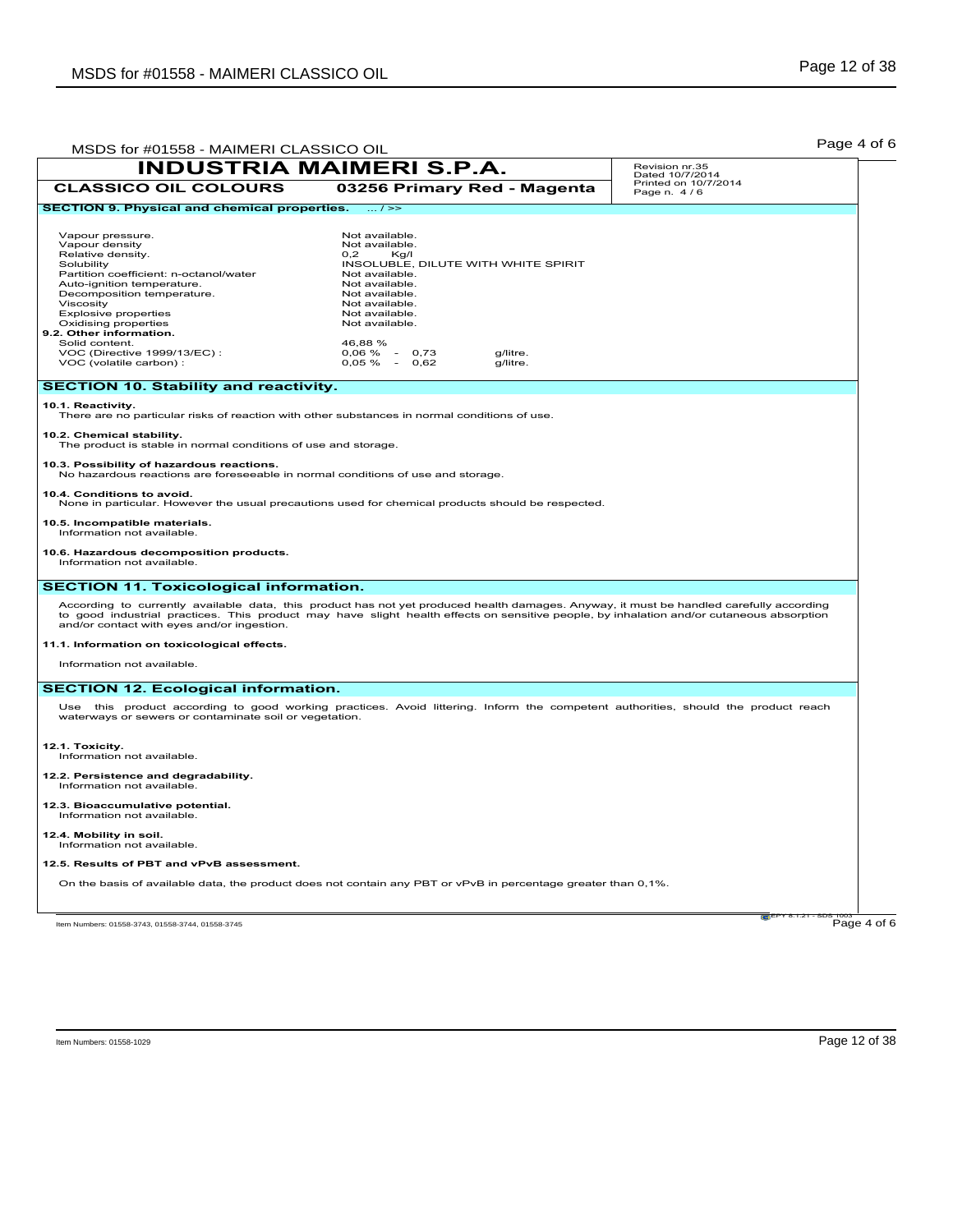| MSDS for #01558 - MAIMERI CLASSICO OIL                                                                                                                                                                                                                                                                                                                 |                                                                                                                                                                                                                                                                                     | Page 4 of 6 |  |  |
|--------------------------------------------------------------------------------------------------------------------------------------------------------------------------------------------------------------------------------------------------------------------------------------------------------------------------------------------------------|-------------------------------------------------------------------------------------------------------------------------------------------------------------------------------------------------------------------------------------------------------------------------------------|-------------|--|--|
| <b>INDUSTRIA MAIMERI S.P.A.</b>                                                                                                                                                                                                                                                                                                                        | Revision nr.35<br>Dated 10/7/2014                                                                                                                                                                                                                                                   |             |  |  |
| <b>CLASSICO OIL COLOURS</b>                                                                                                                                                                                                                                                                                                                            | Printed on 10/7/2014<br>03256 Primary Red - Magenta<br>Page n. 4/6                                                                                                                                                                                                                  |             |  |  |
| <b>SECTION 9. Physical and chemical properties.</b>                                                                                                                                                                                                                                                                                                    | $\ldots$ / >>                                                                                                                                                                                                                                                                       |             |  |  |
| Vapour pressure.<br>Vapour density<br>Relative density.<br>Solubility<br>Partition coefficient: n-octanol/water<br>Auto-ignition temperature.<br>Decomposition temperature.<br>Viscosity<br><b>Explosive properties</b><br>Oxidising properties<br>9.2. Other information.<br>Solid content.<br>VOC (Directive 1999/13/EC):<br>VOC (volatile carbon) : | Not available.<br>Not available.<br>0.2<br>Kg/I<br>INSOLUBLE, DILUTE WITH WHITE SPIRIT<br>Not available.<br>Not available.<br>Not available.<br>Not available.<br>Not available.<br>Not available.<br>46.88%<br>$0,06\% - 0,73$<br>g/litre.<br>$0,05\% - 0,62$<br>g/litre.          |             |  |  |
| <b>SECTION 10. Stability and reactivity.</b>                                                                                                                                                                                                                                                                                                           |                                                                                                                                                                                                                                                                                     |             |  |  |
| 10.1. Reactivity.<br>There are no particular risks of reaction with other substances in normal conditions of use.<br>10.2. Chemical stability.<br>The product is stable in normal conditions of use and storage.                                                                                                                                       |                                                                                                                                                                                                                                                                                     |             |  |  |
| 10.3. Possibility of hazardous reactions.<br>No hazardous reactions are foreseeable in normal conditions of use and storage.                                                                                                                                                                                                                           |                                                                                                                                                                                                                                                                                     |             |  |  |
| 10.4. Conditions to avoid.                                                                                                                                                                                                                                                                                                                             | None in particular. However the usual precautions used for chemical products should be respected.                                                                                                                                                                                   |             |  |  |
| 10.5. Incompatible materials.<br>Information not available.                                                                                                                                                                                                                                                                                            |                                                                                                                                                                                                                                                                                     |             |  |  |
| 10.6. Hazardous decomposition products.<br>Information not available.                                                                                                                                                                                                                                                                                  |                                                                                                                                                                                                                                                                                     |             |  |  |
| <b>SECTION 11. Toxicological information.</b>                                                                                                                                                                                                                                                                                                          |                                                                                                                                                                                                                                                                                     |             |  |  |
| and/or contact with eyes and/or ingestion.                                                                                                                                                                                                                                                                                                             | According to currently available data, this product has not yet produced health damages. Anyway, it must be handled carefully according<br>to good industrial practices. This product may have slight health effects on sensitive people, by inhalation and/or cutaneous absorption |             |  |  |
| 11.1. Information on toxicological effects.                                                                                                                                                                                                                                                                                                            |                                                                                                                                                                                                                                                                                     |             |  |  |
| Information not available.                                                                                                                                                                                                                                                                                                                             |                                                                                                                                                                                                                                                                                     |             |  |  |
| <b>SECTION 12. Ecological information.</b>                                                                                                                                                                                                                                                                                                             |                                                                                                                                                                                                                                                                                     |             |  |  |
| waterways or sewers or contaminate soil or vegetation.                                                                                                                                                                                                                                                                                                 | Use this product according to good working practices. Avoid littering. Inform the competent authorities, should the product reach                                                                                                                                                   |             |  |  |
| 12.1. Toxicity.<br>Information not available.                                                                                                                                                                                                                                                                                                          |                                                                                                                                                                                                                                                                                     |             |  |  |
| 12.2. Persistence and degradability.<br>Information not available.                                                                                                                                                                                                                                                                                     |                                                                                                                                                                                                                                                                                     |             |  |  |
| 12.3. Bioaccumulative potential.<br>Information not available.                                                                                                                                                                                                                                                                                         |                                                                                                                                                                                                                                                                                     |             |  |  |
| 12.4. Mobility in soil.<br>Information not available.                                                                                                                                                                                                                                                                                                  |                                                                                                                                                                                                                                                                                     |             |  |  |
| 12.5. Results of PBT and vPvB assessment.                                                                                                                                                                                                                                                                                                              |                                                                                                                                                                                                                                                                                     |             |  |  |
|                                                                                                                                                                                                                                                                                                                                                        | On the basis of available data, the product does not contain any PBT or vPvB in percentage greater than 0,1%.                                                                                                                                                                       |             |  |  |
| Item Numbers: 01558-3743, 01558-3744, 01558-3745                                                                                                                                                                                                                                                                                                       |                                                                                                                                                                                                                                                                                     | Page 4 of 6 |  |  |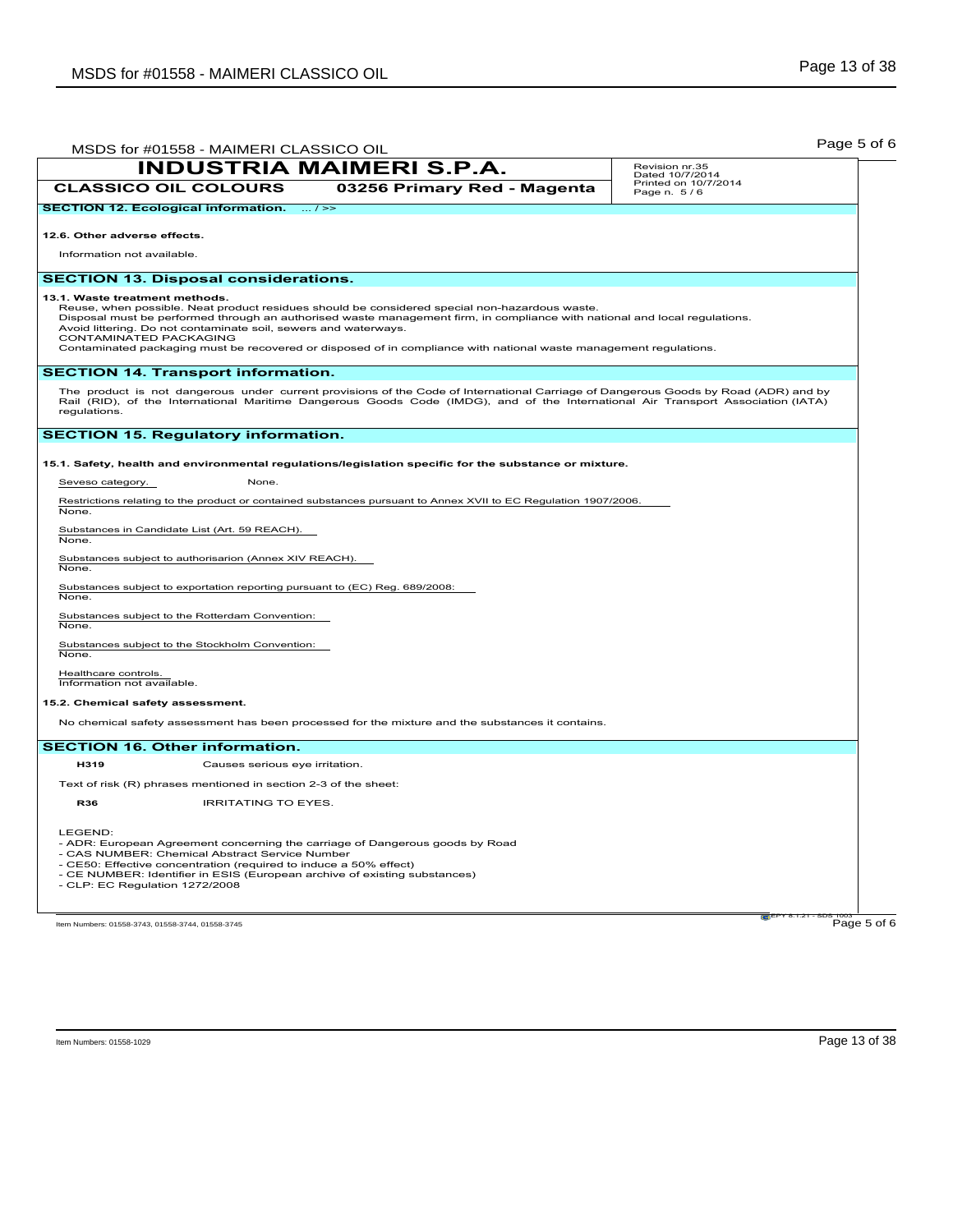| MSDS for #01558 - MAIMERI CLASSICO OIL                                                                                                                                                                                                                                                                                                                                                                                                                                          |                                 | Page 5 of 6                                                                                                                                                                                                                                                             |
|---------------------------------------------------------------------------------------------------------------------------------------------------------------------------------------------------------------------------------------------------------------------------------------------------------------------------------------------------------------------------------------------------------------------------------------------------------------------------------|---------------------------------|-------------------------------------------------------------------------------------------------------------------------------------------------------------------------------------------------------------------------------------------------------------------------|
|                                                                                                                                                                                                                                                                                                                                                                                                                                                                                 | <b>INDUSTRIA MAIMERI S.P.A.</b> | Revision nr.35<br>Dated 10/7/2014                                                                                                                                                                                                                                       |
| <b>CLASSICO OIL COLOURS</b>                                                                                                                                                                                                                                                                                                                                                                                                                                                     | 03256 Primary Red - Magenta     | Printed on 10/7/2014<br>Page n. 5/6                                                                                                                                                                                                                                     |
| <b>SECTION 12. Ecological information.</b>                                                                                                                                                                                                                                                                                                                                                                                                                                      | $\ldots$ / $\geq$               |                                                                                                                                                                                                                                                                         |
| 12.6. Other adverse effects.                                                                                                                                                                                                                                                                                                                                                                                                                                                    |                                 |                                                                                                                                                                                                                                                                         |
| Information not available.                                                                                                                                                                                                                                                                                                                                                                                                                                                      |                                 |                                                                                                                                                                                                                                                                         |
| <b>SECTION 13. Disposal considerations.</b>                                                                                                                                                                                                                                                                                                                                                                                                                                     |                                 |                                                                                                                                                                                                                                                                         |
| 13.1. Waste treatment methods.<br>Reuse, when possible. Neat product residues should be considered special non-hazardous waste.<br>Disposal must be performed through an authorised waste management firm, in compliance with national and local regulations.<br>Avoid littering. Do not contaminate soil, sewers and waterways.<br>CONTAMINATED PACKAGING<br>Contaminated packaging must be recovered or disposed of in compliance with national waste management regulations. |                                 |                                                                                                                                                                                                                                                                         |
| <b>SECTION 14. Transport information.</b>                                                                                                                                                                                                                                                                                                                                                                                                                                       |                                 |                                                                                                                                                                                                                                                                         |
| regulations.                                                                                                                                                                                                                                                                                                                                                                                                                                                                    |                                 | The product is not dangerous under current provisions of the Code of International Carriage of Dangerous Goods by Road (ADR) and by<br>Rail (RID), of the International Maritime Dangerous Goods Code (IMDG), and of the International Air Transport Association (IATA) |
| <b>SECTION 15. Regulatory information.</b>                                                                                                                                                                                                                                                                                                                                                                                                                                      |                                 |                                                                                                                                                                                                                                                                         |
| 15.1. Safety, health and environmental regulations/legislation specific for the substance or mixture.                                                                                                                                                                                                                                                                                                                                                                           |                                 |                                                                                                                                                                                                                                                                         |
| Seveso category.<br>None.                                                                                                                                                                                                                                                                                                                                                                                                                                                       |                                 |                                                                                                                                                                                                                                                                         |
| Restrictions relating to the product or contained substances pursuant to Annex XVII to EC Regulation 1907/2006.<br>None.                                                                                                                                                                                                                                                                                                                                                        |                                 |                                                                                                                                                                                                                                                                         |
| Substances in Candidate List (Art. 59 REACH).<br>None.                                                                                                                                                                                                                                                                                                                                                                                                                          |                                 |                                                                                                                                                                                                                                                                         |
| Substances subject to authorisarion (Annex XIV REACH).<br>None.                                                                                                                                                                                                                                                                                                                                                                                                                 |                                 |                                                                                                                                                                                                                                                                         |
| Substances subject to exportation reporting pursuant to (EC) Reg. 689/2008:<br>None.                                                                                                                                                                                                                                                                                                                                                                                            |                                 |                                                                                                                                                                                                                                                                         |
| Substances subject to the Rotterdam Convention:<br>None.                                                                                                                                                                                                                                                                                                                                                                                                                        |                                 |                                                                                                                                                                                                                                                                         |
| Substances subject to the Stockholm Convention:<br>None.                                                                                                                                                                                                                                                                                                                                                                                                                        |                                 |                                                                                                                                                                                                                                                                         |
| Healthcare controls.<br>Information not available.                                                                                                                                                                                                                                                                                                                                                                                                                              |                                 |                                                                                                                                                                                                                                                                         |
| 15.2. Chemical safety assessment.                                                                                                                                                                                                                                                                                                                                                                                                                                               |                                 |                                                                                                                                                                                                                                                                         |
| No chemical safety assessment has been processed for the mixture and the substances it contains.                                                                                                                                                                                                                                                                                                                                                                                |                                 |                                                                                                                                                                                                                                                                         |
| <b>SECTION 16. Other information.</b>                                                                                                                                                                                                                                                                                                                                                                                                                                           |                                 |                                                                                                                                                                                                                                                                         |
| H319<br>Causes serious eye irritation.                                                                                                                                                                                                                                                                                                                                                                                                                                          |                                 |                                                                                                                                                                                                                                                                         |
| Text of risk (R) phrases mentioned in section 2-3 of the sheet:                                                                                                                                                                                                                                                                                                                                                                                                                 |                                 |                                                                                                                                                                                                                                                                         |
| <b>IRRITATING TO EYES.</b><br><b>R36</b>                                                                                                                                                                                                                                                                                                                                                                                                                                        |                                 |                                                                                                                                                                                                                                                                         |
| LEGEND:<br>- ADR: European Agreement concerning the carriage of Dangerous goods by Road<br>- CAS NUMBER: Chemical Abstract Service Number<br>- CE50: Effective concentration (required to induce a 50% effect)<br>- CE NUMBER: Identifier in ESIS (European archive of existing substances)<br>- CLP: EC Regulation 1272/2008                                                                                                                                                   |                                 |                                                                                                                                                                                                                                                                         |
| Item Numbers: 01558-3743, 01558-3744, 01558-3745                                                                                                                                                                                                                                                                                                                                                                                                                                |                                 | Page 5 of 6                                                                                                                                                                                                                                                             |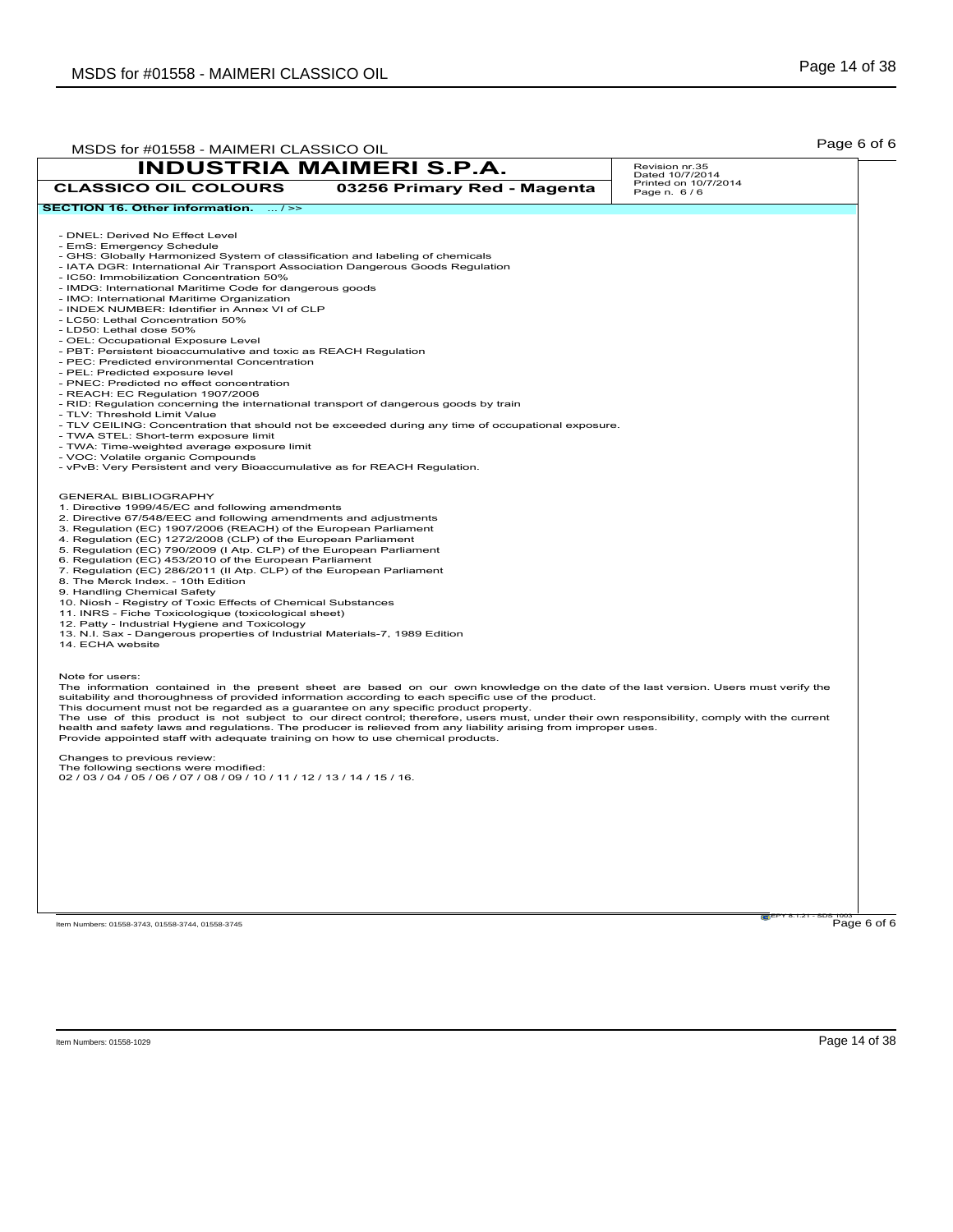| MSDS for #01558 - MAIMERI CLASSICO OIL                                                                                                                                                                                                                          |                                 | Page 6 of 6                         |             |
|-----------------------------------------------------------------------------------------------------------------------------------------------------------------------------------------------------------------------------------------------------------------|---------------------------------|-------------------------------------|-------------|
|                                                                                                                                                                                                                                                                 | <b>INDUSTRIA MAIMERI S.P.A.</b> | Revision nr.35<br>Dated 10/7/2014   |             |
| <b>CLASSICO OIL COLOURS</b>                                                                                                                                                                                                                                     | 03256 Primary Red - Magenta     | Printed on 10/7/2014<br>Page n. 6/6 |             |
| SECTION 16. Other information.  />>                                                                                                                                                                                                                             |                                 |                                     |             |
| - DNEL: Derived No Effect Level                                                                                                                                                                                                                                 |                                 |                                     |             |
| - EmS: Emergency Schedule                                                                                                                                                                                                                                       |                                 |                                     |             |
| - GHS: Globally Harmonized System of classification and labeling of chemicals                                                                                                                                                                                   |                                 |                                     |             |
| - IATA DGR: International Air Transport Association Dangerous Goods Regulation                                                                                                                                                                                  |                                 |                                     |             |
| - IC50: Immobilization Concentration 50%                                                                                                                                                                                                                        |                                 |                                     |             |
| - IMDG: International Maritime Code for dangerous goods<br>- IMO: International Maritime Organization                                                                                                                                                           |                                 |                                     |             |
| - INDEX NUMBER: Identifier in Annex VI of CLP                                                                                                                                                                                                                   |                                 |                                     |             |
| - LC50: Lethal Concentration 50%                                                                                                                                                                                                                                |                                 |                                     |             |
| - LD50: Lethal dose 50%                                                                                                                                                                                                                                         |                                 |                                     |             |
| - OEL: Occupational Exposure Level                                                                                                                                                                                                                              |                                 |                                     |             |
| - PBT: Persistent bioaccumulative and toxic as REACH Regulation                                                                                                                                                                                                 |                                 |                                     |             |
| - PEC: Predicted environmental Concentration                                                                                                                                                                                                                    |                                 |                                     |             |
| - PEL: Predicted exposure level<br>- PNEC: Predicted no effect concentration                                                                                                                                                                                    |                                 |                                     |             |
| - REACH: EC Regulation 1907/2006                                                                                                                                                                                                                                |                                 |                                     |             |
| - RID: Regulation concerning the international transport of dangerous goods by train                                                                                                                                                                            |                                 |                                     |             |
| - TLV: Threshold Limit Value                                                                                                                                                                                                                                    |                                 |                                     |             |
| - TLV CEILING: Concentration that should not be exceeded during any time of occupational exposure.                                                                                                                                                              |                                 |                                     |             |
| - TWA STEL: Short-term exposure limit                                                                                                                                                                                                                           |                                 |                                     |             |
| - TWA: Time-weighted average exposure limit<br>- VOC: Volatile organic Compounds                                                                                                                                                                                |                                 |                                     |             |
| - vPvB: Very Persistent and very Bioaccumulative as for REACH Regulation.                                                                                                                                                                                       |                                 |                                     |             |
|                                                                                                                                                                                                                                                                 |                                 |                                     |             |
| <b>GENERAL BIBLIOGRAPHY</b>                                                                                                                                                                                                                                     |                                 |                                     |             |
| 1. Directive 1999/45/EC and following amendments                                                                                                                                                                                                                |                                 |                                     |             |
| 2. Directive 67/548/EEC and following amendments and adjustments                                                                                                                                                                                                |                                 |                                     |             |
| 3. Regulation (EC) 1907/2006 (REACH) of the European Parliament                                                                                                                                                                                                 |                                 |                                     |             |
| 4. Regulation (EC) 1272/2008 (CLP) of the European Parliament                                                                                                                                                                                                   |                                 |                                     |             |
| 5. Regulation (EC) 790/2009 (I Atp. CLP) of the European Parliament<br>6. Regulation (EC) 453/2010 of the European Parliament                                                                                                                                   |                                 |                                     |             |
| 7. Regulation (EC) 286/2011 (II Atp. CLP) of the European Parliament                                                                                                                                                                                            |                                 |                                     |             |
| 8. The Merck Index. - 10th Edition                                                                                                                                                                                                                              |                                 |                                     |             |
| 9. Handling Chemical Safety                                                                                                                                                                                                                                     |                                 |                                     |             |
| 10. Niosh - Registry of Toxic Effects of Chemical Substances                                                                                                                                                                                                    |                                 |                                     |             |
| 11. INRS - Fiche Toxicologique (toxicological sheet)<br>12. Patty - Industrial Hygiene and Toxicology                                                                                                                                                           |                                 |                                     |             |
| 13. N.I. Sax - Dangerous properties of Industrial Materials-7, 1989 Edition                                                                                                                                                                                     |                                 |                                     |             |
| 14. ECHA website                                                                                                                                                                                                                                                |                                 |                                     |             |
|                                                                                                                                                                                                                                                                 |                                 |                                     |             |
| Note for users:                                                                                                                                                                                                                                                 |                                 |                                     |             |
| The information contained in the present sheet are based on our own knowledge on the date of the last version. Users must verify the                                                                                                                            |                                 |                                     |             |
| suitability and thoroughness of provided information according to each specific use of the product.                                                                                                                                                             |                                 |                                     |             |
| This document must not be regarded as a guarantee on any specific product property.                                                                                                                                                                             |                                 |                                     |             |
| The use of this product is not subject to our direct control; therefore, users must, under their own responsibility, comply with the current<br>health and safety laws and regulations. The producer is relieved from any liability arising from improper uses. |                                 |                                     |             |
| Provide appointed staff with adequate training on how to use chemical products.                                                                                                                                                                                 |                                 |                                     |             |
|                                                                                                                                                                                                                                                                 |                                 |                                     |             |
| Changes to previous review:<br>The following sections were modified:                                                                                                                                                                                            |                                 |                                     |             |
| 02 / 03 / 04 / 05 / 06 / 07 / 08 / 09 / 10 / 11 / 12 / 13 / 14 / 15 / 16.                                                                                                                                                                                       |                                 |                                     |             |
|                                                                                                                                                                                                                                                                 |                                 |                                     |             |
|                                                                                                                                                                                                                                                                 |                                 |                                     |             |
|                                                                                                                                                                                                                                                                 |                                 |                                     |             |
|                                                                                                                                                                                                                                                                 |                                 |                                     |             |
|                                                                                                                                                                                                                                                                 |                                 |                                     |             |
|                                                                                                                                                                                                                                                                 |                                 |                                     |             |
|                                                                                                                                                                                                                                                                 |                                 |                                     |             |
|                                                                                                                                                                                                                                                                 |                                 |                                     |             |
|                                                                                                                                                                                                                                                                 |                                 |                                     |             |
|                                                                                                                                                                                                                                                                 |                                 |                                     |             |
| Item Numbers: 01558-3743, 01558-3744, 01558-3745                                                                                                                                                                                                                |                                 |                                     | Page 6 of 6 |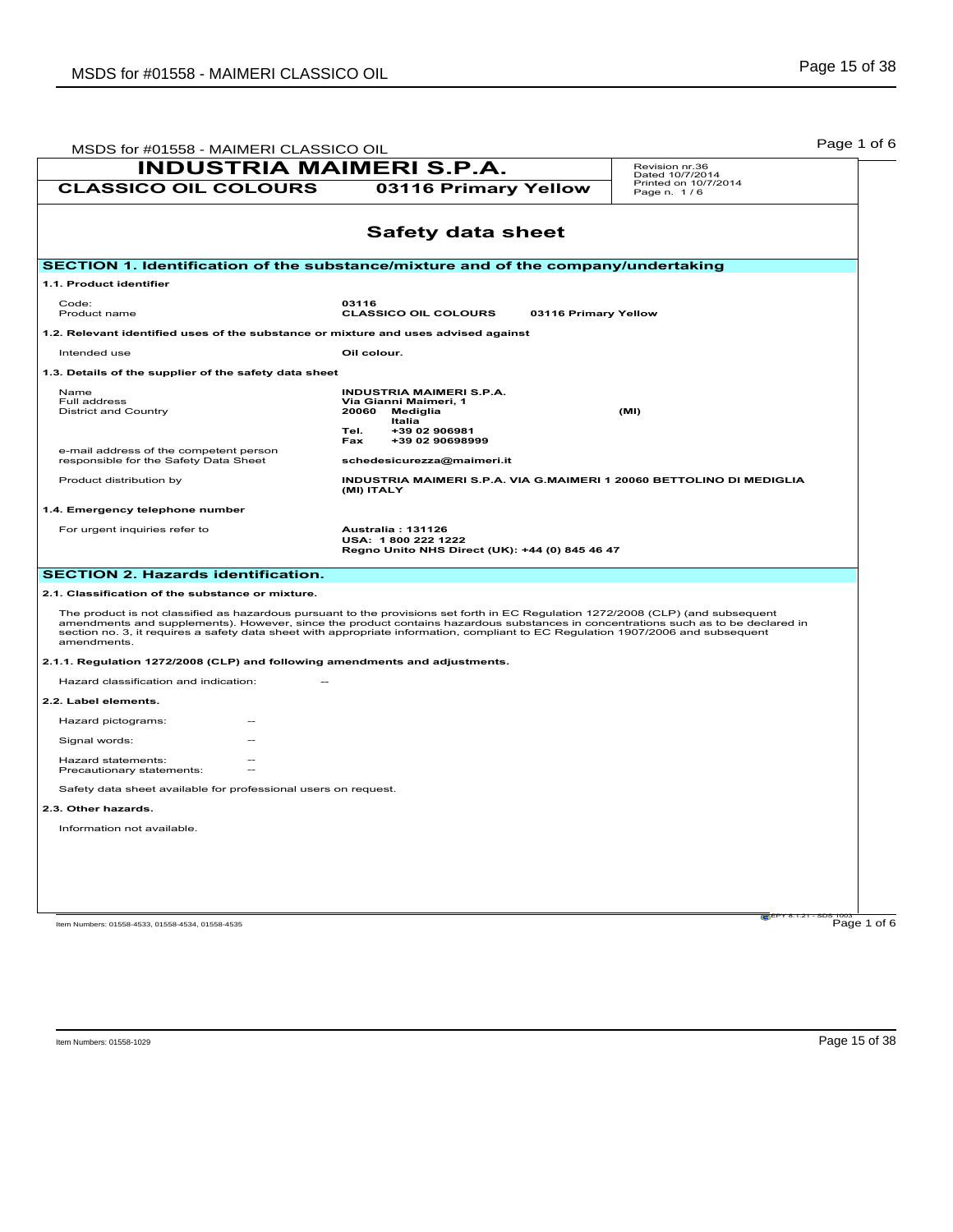| MSDS for #01558 - MAIMERI CLASSICO OIL                                                                                                                                                                                                                                                                                                                                                                                   |                                                                                                                                            |                      |                                                                      |  |
|--------------------------------------------------------------------------------------------------------------------------------------------------------------------------------------------------------------------------------------------------------------------------------------------------------------------------------------------------------------------------------------------------------------------------|--------------------------------------------------------------------------------------------------------------------------------------------|----------------------|----------------------------------------------------------------------|--|
| <b>INDUSTRIA MAIMERI S.P.A.</b><br><b>CLASSICO OIL COLOURS</b>                                                                                                                                                                                                                                                                                                                                                           | 03116 Primary Yellow                                                                                                                       |                      | Revision nr.36<br>Dated 10/7/2014<br>Printed on 10/7/2014            |  |
|                                                                                                                                                                                                                                                                                                                                                                                                                          |                                                                                                                                            |                      | Page n. 1/6                                                          |  |
|                                                                                                                                                                                                                                                                                                                                                                                                                          | <b>Safety data sheet</b>                                                                                                                   |                      |                                                                      |  |
| SECTION 1. Identification of the substance/mixture and of the company/undertaking                                                                                                                                                                                                                                                                                                                                        |                                                                                                                                            |                      |                                                                      |  |
| 1.1. Product identifier                                                                                                                                                                                                                                                                                                                                                                                                  |                                                                                                                                            |                      |                                                                      |  |
| Code:<br>Product name                                                                                                                                                                                                                                                                                                                                                                                                    | 03116<br><b>CLASSICO OIL COLOURS</b>                                                                                                       | 03116 Primary Yellow |                                                                      |  |
| 1.2. Relevant identified uses of the substance or mixture and uses advised against                                                                                                                                                                                                                                                                                                                                       |                                                                                                                                            |                      |                                                                      |  |
| Intended use                                                                                                                                                                                                                                                                                                                                                                                                             | Oil colour.                                                                                                                                |                      |                                                                      |  |
| 1.3. Details of the supplier of the safety data sheet                                                                                                                                                                                                                                                                                                                                                                    |                                                                                                                                            |                      |                                                                      |  |
| Name<br>Full address<br><b>District and Country</b>                                                                                                                                                                                                                                                                                                                                                                      | <b>INDUSTRIA MAIMERI S.P.A.</b><br>Via Gianni Maimeri, 1<br>20060<br>Mediglia<br>Italia<br>+39 02 906981<br>Tel.<br>+39 02 90698999<br>Fax |                      | (MI)                                                                 |  |
| e-mail address of the competent person<br>responsible for the Safety Data Sheet                                                                                                                                                                                                                                                                                                                                          | schedesicurezza@maimeri.it                                                                                                                 |                      |                                                                      |  |
| Product distribution by                                                                                                                                                                                                                                                                                                                                                                                                  | (MI) ITALY                                                                                                                                 |                      | INDUSTRIA MAIMERI S.P.A. VIA G.MAIMERI 1 20060 BETTOLINO DI MEDIGLIA |  |
| 1.4. Emergency telephone number                                                                                                                                                                                                                                                                                                                                                                                          |                                                                                                                                            |                      |                                                                      |  |
| For urgent inquiries refer to                                                                                                                                                                                                                                                                                                                                                                                            | Australia: 131126<br>USA: 1800 222 1222<br>Regno Unito NHS Direct (UK): +44 (0) 845 46 47                                                  |                      |                                                                      |  |
| <b>SECTION 2. Hazards identification.</b>                                                                                                                                                                                                                                                                                                                                                                                |                                                                                                                                            |                      |                                                                      |  |
| 2.1. Classification of the substance or mixture.                                                                                                                                                                                                                                                                                                                                                                         |                                                                                                                                            |                      |                                                                      |  |
| The product is not classified as hazardous pursuant to the provisions set forth in EC Regulation 1272/2008 (CLP) (and subsequent<br>amendments and supplements). However, since the product contains hazardous substances in concentrations such as to be declared in<br>section no. 3, it requires a safety data sheet with appropriate information, compliant to EC Regulation 1907/2006 and subsequent<br>amendments. |                                                                                                                                            |                      |                                                                      |  |
| 2.1.1. Regulation 1272/2008 (CLP) and following amendments and adjustments.                                                                                                                                                                                                                                                                                                                                              |                                                                                                                                            |                      |                                                                      |  |
| Hazard classification and indication:                                                                                                                                                                                                                                                                                                                                                                                    |                                                                                                                                            |                      |                                                                      |  |
| 2.2. Label elements.                                                                                                                                                                                                                                                                                                                                                                                                     |                                                                                                                                            |                      |                                                                      |  |
| Hazard pictograms:                                                                                                                                                                                                                                                                                                                                                                                                       |                                                                                                                                            |                      |                                                                      |  |
| Signal words:                                                                                                                                                                                                                                                                                                                                                                                                            |                                                                                                                                            |                      |                                                                      |  |
| Hazard statements:<br>Precautionary statements:                                                                                                                                                                                                                                                                                                                                                                          |                                                                                                                                            |                      |                                                                      |  |
| Safety data sheet available for professional users on request.                                                                                                                                                                                                                                                                                                                                                           |                                                                                                                                            |                      |                                                                      |  |
| 2.3. Other hazards.                                                                                                                                                                                                                                                                                                                                                                                                      |                                                                                                                                            |                      |                                                                      |  |
| Information not available.                                                                                                                                                                                                                                                                                                                                                                                               |                                                                                                                                            |                      |                                                                      |  |
|                                                                                                                                                                                                                                                                                                                                                                                                                          |                                                                                                                                            |                      |                                                                      |  |
|                                                                                                                                                                                                                                                                                                                                                                                                                          |                                                                                                                                            |                      |                                                                      |  |
|                                                                                                                                                                                                                                                                                                                                                                                                                          |                                                                                                                                            |                      |                                                                      |  |
|                                                                                                                                                                                                                                                                                                                                                                                                                          |                                                                                                                                            |                      |                                                                      |  |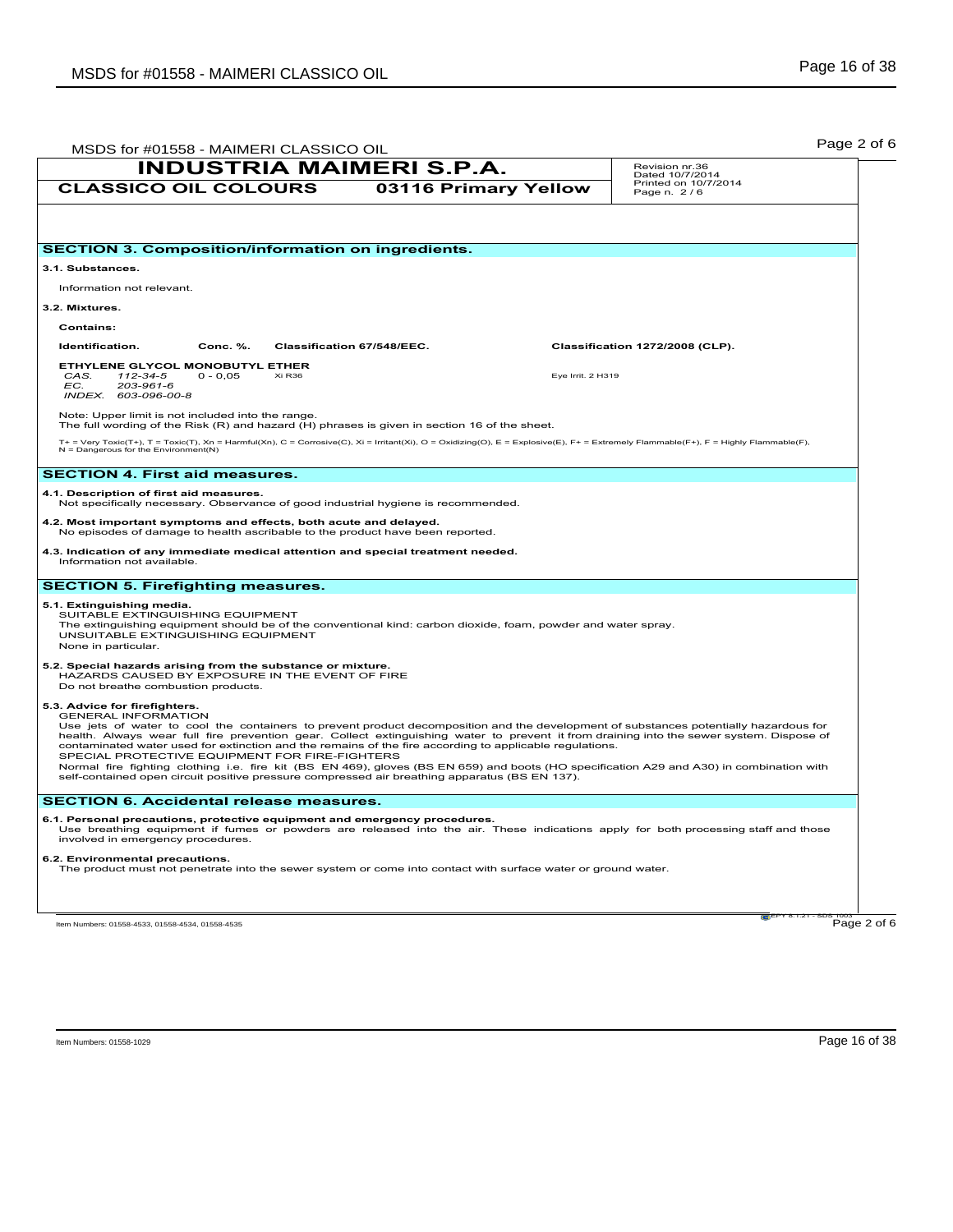| <b>INDUSTRIA MAIMERI S.P.A.</b>                                                                                                                                                                                                                                                                                                                                                                                                                                                                                                                                                                                                                                                                                                                            |                            | Revision nr.36<br>Dated 10/7/2014   |
|------------------------------------------------------------------------------------------------------------------------------------------------------------------------------------------------------------------------------------------------------------------------------------------------------------------------------------------------------------------------------------------------------------------------------------------------------------------------------------------------------------------------------------------------------------------------------------------------------------------------------------------------------------------------------------------------------------------------------------------------------------|----------------------------|-------------------------------------|
| <b>CLASSICO OIL COLOURS</b>                                                                                                                                                                                                                                                                                                                                                                                                                                                                                                                                                                                                                                                                                                                                | 03116 Primary Yellow       | Printed on 10/7/2014<br>Page n. 2/6 |
|                                                                                                                                                                                                                                                                                                                                                                                                                                                                                                                                                                                                                                                                                                                                                            |                            |                                     |
| <b>SECTION 3. Composition/information on ingredients.</b>                                                                                                                                                                                                                                                                                                                                                                                                                                                                                                                                                                                                                                                                                                  |                            |                                     |
| 3.1. Substances.                                                                                                                                                                                                                                                                                                                                                                                                                                                                                                                                                                                                                                                                                                                                           |                            |                                     |
| Information not relevant.                                                                                                                                                                                                                                                                                                                                                                                                                                                                                                                                                                                                                                                                                                                                  |                            |                                     |
| 3.2. Mixtures.                                                                                                                                                                                                                                                                                                                                                                                                                                                                                                                                                                                                                                                                                                                                             |                            |                                     |
| <b>Contains:</b>                                                                                                                                                                                                                                                                                                                                                                                                                                                                                                                                                                                                                                                                                                                                           |                            |                                     |
| Identification.<br>Conc. %.                                                                                                                                                                                                                                                                                                                                                                                                                                                                                                                                                                                                                                                                                                                                | Classification 67/548/EEC. | Classification 1272/2008 (CLP).     |
| ETHYLENE GLYCOL MONOBUTYL ETHER<br>112-34-5<br>$0 - 0.05$<br>Xi R36<br>CAS.<br>EC.<br>203-961-6<br>INDEX. 603-096-00-8                                                                                                                                                                                                                                                                                                                                                                                                                                                                                                                                                                                                                                     |                            | Eye Irrit. 2 H319                   |
| Note: Upper limit is not included into the range.<br>The full wording of the Risk (R) and hazard (H) phrases is given in section 16 of the sheet.                                                                                                                                                                                                                                                                                                                                                                                                                                                                                                                                                                                                          |                            |                                     |
| T+ = Very Toxic(T+), T = Toxic(T), Xn = Harmful(Xn), C = Corrosive(C), Xi = Irritant(Xi), O = Oxidizing(O), E = Explosive(E), F+ = Extremely Flammable(F+), F = Highly Flammable(F),<br>$N =$ Dangerous for the Environment(N)                                                                                                                                                                                                                                                                                                                                                                                                                                                                                                                             |                            |                                     |
| <b>SECTION 4. First aid measures.</b>                                                                                                                                                                                                                                                                                                                                                                                                                                                                                                                                                                                                                                                                                                                      |                            |                                     |
| 4.1. Description of first aid measures.<br>Not specifically necessary. Observance of good industrial hygiene is recommended.                                                                                                                                                                                                                                                                                                                                                                                                                                                                                                                                                                                                                               |                            |                                     |
| 4.2. Most important symptoms and effects, both acute and delayed.<br>No episodes of damage to health ascribable to the product have been reported.                                                                                                                                                                                                                                                                                                                                                                                                                                                                                                                                                                                                         |                            |                                     |
| 4.3. Indication of any immediate medical attention and special treatment needed.<br>Information not available.                                                                                                                                                                                                                                                                                                                                                                                                                                                                                                                                                                                                                                             |                            |                                     |
| <b>SECTION 5. Firefighting measures.</b>                                                                                                                                                                                                                                                                                                                                                                                                                                                                                                                                                                                                                                                                                                                   |                            |                                     |
| 5.1. Extinguishing media.<br>SUITABLE EXTINGUISHING EQUIPMENT<br>The extinguishing equipment should be of the conventional kind: carbon dioxide, foam, powder and water spray.<br>UNSUITABLE EXTINGUISHING EQUIPMENT<br>None in particular.                                                                                                                                                                                                                                                                                                                                                                                                                                                                                                                |                            |                                     |
| 5.2. Special hazards arising from the substance or mixture.<br>HAZARDS CAUSED BY EXPOSURE IN THE EVENT OF FIRE<br>Do not breathe combustion products.                                                                                                                                                                                                                                                                                                                                                                                                                                                                                                                                                                                                      |                            |                                     |
| 5.3. Advice for firefighters.<br><b>GENERAL INFORMATION</b><br>Use jets of water to cool the containers to prevent product decomposition and the development of substances potentially hazardous for<br>health. Always wear full fire prevention gear. Collect extinguishing water to prevent it from draining into the sewer system. Dispose of<br>contaminated water used for extinction and the remains of the fire according to applicable regulations.<br>SPECIAL PROTECTIVE EQUIPMENT FOR FIRE-FIGHTERS<br>Normal fire fighting clothing i.e. fire kit (BS EN 469), gloves (BS EN 659) and boots (HO specification A29 and A30) in combination with<br>self-contained open circuit positive pressure compressed air breathing apparatus (BS EN 137). |                            |                                     |
| <b>SECTION 6. Accidental release measures.</b>                                                                                                                                                                                                                                                                                                                                                                                                                                                                                                                                                                                                                                                                                                             |                            |                                     |
| 6.1. Personal precautions, protective equipment and emergency procedures.<br>Use breathing equipment if fumes or powders are released into the air. These indications apply for both processing staff and those<br>involved in emergency procedures.                                                                                                                                                                                                                                                                                                                                                                                                                                                                                                       |                            |                                     |
| 6.2. Environmental precautions.<br>The product must not penetrate into the sewer system or come into contact with surface water or ground water.                                                                                                                                                                                                                                                                                                                                                                                                                                                                                                                                                                                                           |                            |                                     |
|                                                                                                                                                                                                                                                                                                                                                                                                                                                                                                                                                                                                                                                                                                                                                            |                            | Page 2 of 6                         |
| Item Numbers: 01558-4533, 01558-4534, 01558-4535                                                                                                                                                                                                                                                                                                                                                                                                                                                                                                                                                                                                                                                                                                           |                            |                                     |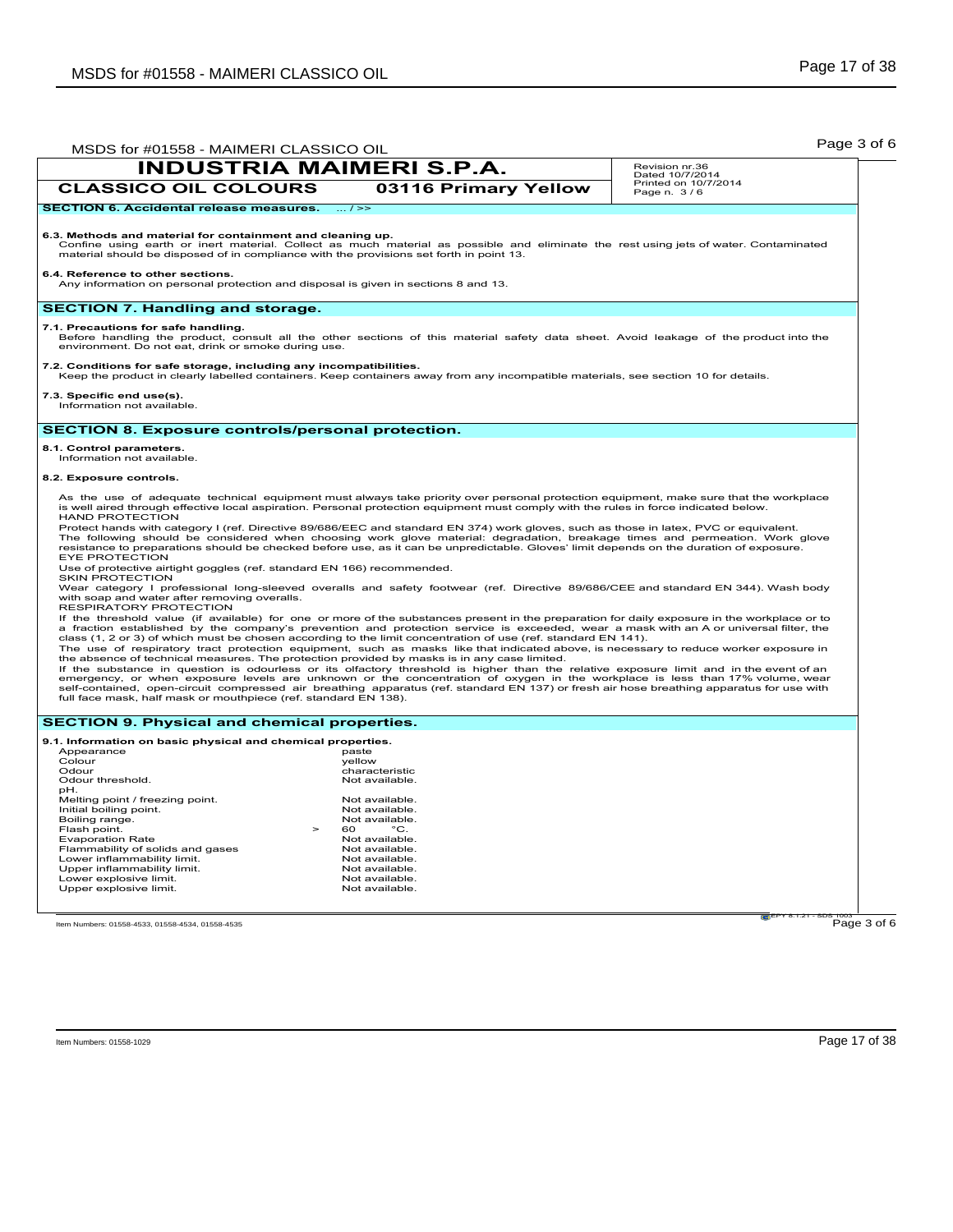| Printed on 10/7/2014<br><b>CLASSICO OIL COLOURS</b><br>03116 Primary Yellow<br>Page n. 3/6<br><b>SECTION 6. Accidental release measures.</b><br>$\dots l \geq 1$<br>6.3. Methods and material for containment and cleaning up.<br>Confine using earth or inert material. Collect as much material as possible and eliminate the rest using jets of water. Contaminated<br>material should be disposed of in compliance with the provisions set forth in point 13.<br>6.4. Reference to other sections.<br>Any information on personal protection and disposal is given in sections 8 and 13.<br><b>SECTION 7. Handling and storage.</b><br>7.1. Precautions for safe handling.<br>Before handling the product, consult all the other sections of this material safety data sheet. Avoid leakage of the product into the<br>environment. Do not eat, drink or smoke during use.<br>7.2. Conditions for safe storage, including any incompatibilities.<br>Keep the product in clearly labelled containers. Keep containers away from any incompatible materials, see section 10 for details.<br>7.3. Specific end use(s).<br>Information not available.<br><b>SECTION 8. Exposure controls/personal protection.</b><br>8.1. Control parameters.<br>Information not available.<br>8.2. Exposure controls.<br>As the use of adequate technical equipment must always take priority over personal protection equipment, make sure that the workplace<br>is well aired through effective local aspiration. Personal protection equipment must comply with the rules in force indicated below.<br><b>HAND PROTECTION</b><br>Protect hands with category I (ref. Directive 89/686/EEC and standard EN 374) work gloves, such as those in latex, PVC or equivalent.<br>The following should be considered when choosing work glove material: degradation, breakage times and permeation. Work glove<br>resistance to preparations should be checked before use, as it can be unpredictable. Gloves' limit depends on the duration of exposure.<br><b>EYE PROTECTION</b><br>Use of protective airtight goggles (ref. standard EN 166) recommended.<br><b>SKIN PROTECTION</b><br>Wear category I professional long-sleeved overalls and safety footwear (ref. Directive 89/686/CEE and standard EN 344). Wash body<br>with soap and water after removing overalls.<br>RESPIRATORY PROTECTION<br>If the threshold value (if available) for one or more of the substances present in the preparation for daily exposure in the workplace or to<br>a fraction established by the company's prevention and protection service is exceeded, wear a mask with an A or universal filter, the<br>class (1, 2 or 3) of which must be chosen according to the limit concentration of use (ref. standard EN 141).<br>The use of respiratory tract protection equipment, such as masks like that indicated above, is necessary to reduce worker exposure in<br>the absence of technical measures. The protection provided by masks is in any case limited.<br>If the substance in question is odourless or its olfactory threshold is higher than the relative exposure limit and in the event of an<br>emergency, or when exposure levels are unknown or the concentration of oxygen in the workplace is less than 17% volume, wear<br>self-contained, open-circuit compressed air breathing apparatus (ref. standard EN 137) or fresh air hose breathing apparatus for use with<br>full face mask, half mask or mouthpiece (ref. standard EN 138).<br><b>SECTION 9. Physical and chemical properties.</b><br>9.1. Information on basic physical and chemical properties.<br>Appearance<br>paste<br>Colour<br>yellow<br>Odour<br>characteristic<br>Odour threshold.<br>Not available.<br>pH.<br>Melting point / freezing point.<br>Not available.<br>Initial boiling point.<br>Not available.<br>Boiling range.<br>Not available. |              | <b>INDUSTRIA MAIMERI S.P.A.</b> | Revision nr.36<br>Dated 10/7/2014 |
|-------------------------------------------------------------------------------------------------------------------------------------------------------------------------------------------------------------------------------------------------------------------------------------------------------------------------------------------------------------------------------------------------------------------------------------------------------------------------------------------------------------------------------------------------------------------------------------------------------------------------------------------------------------------------------------------------------------------------------------------------------------------------------------------------------------------------------------------------------------------------------------------------------------------------------------------------------------------------------------------------------------------------------------------------------------------------------------------------------------------------------------------------------------------------------------------------------------------------------------------------------------------------------------------------------------------------------------------------------------------------------------------------------------------------------------------------------------------------------------------------------------------------------------------------------------------------------------------------------------------------------------------------------------------------------------------------------------------------------------------------------------------------------------------------------------------------------------------------------------------------------------------------------------------------------------------------------------------------------------------------------------------------------------------------------------------------------------------------------------------------------------------------------------------------------------------------------------------------------------------------------------------------------------------------------------------------------------------------------------------------------------------------------------------------------------------------------------------------------------------------------------------------------------------------------------------------------------------------------------------------------------------------------------------------------------------------------------------------------------------------------------------------------------------------------------------------------------------------------------------------------------------------------------------------------------------------------------------------------------------------------------------------------------------------------------------------------------------------------------------------------------------------------------------------------------------------------------------------------------------------------------------------------------------------------------------------------------------------------------------------------------------------------------------------------------------------------------------------------------------------------------------------------------------------------------------------------------------------------------------------------------------------------------------------------------------------------------------------------------------------------------------------------------------------------------------------------------------------------------------------------------------------------------|--------------|---------------------------------|-----------------------------------|
|                                                                                                                                                                                                                                                                                                                                                                                                                                                                                                                                                                                                                                                                                                                                                                                                                                                                                                                                                                                                                                                                                                                                                                                                                                                                                                                                                                                                                                                                                                                                                                                                                                                                                                                                                                                                                                                                                                                                                                                                                                                                                                                                                                                                                                                                                                                                                                                                                                                                                                                                                                                                                                                                                                                                                                                                                                                                                                                                                                                                                                                                                                                                                                                                                                                                                                                                                                                                                                                                                                                                                                                                                                                                                                                                                                                                                                                                                                             |              |                                 |                                   |
|                                                                                                                                                                                                                                                                                                                                                                                                                                                                                                                                                                                                                                                                                                                                                                                                                                                                                                                                                                                                                                                                                                                                                                                                                                                                                                                                                                                                                                                                                                                                                                                                                                                                                                                                                                                                                                                                                                                                                                                                                                                                                                                                                                                                                                                                                                                                                                                                                                                                                                                                                                                                                                                                                                                                                                                                                                                                                                                                                                                                                                                                                                                                                                                                                                                                                                                                                                                                                                                                                                                                                                                                                                                                                                                                                                                                                                                                                                             |              |                                 |                                   |
|                                                                                                                                                                                                                                                                                                                                                                                                                                                                                                                                                                                                                                                                                                                                                                                                                                                                                                                                                                                                                                                                                                                                                                                                                                                                                                                                                                                                                                                                                                                                                                                                                                                                                                                                                                                                                                                                                                                                                                                                                                                                                                                                                                                                                                                                                                                                                                                                                                                                                                                                                                                                                                                                                                                                                                                                                                                                                                                                                                                                                                                                                                                                                                                                                                                                                                                                                                                                                                                                                                                                                                                                                                                                                                                                                                                                                                                                                                             |              |                                 |                                   |
|                                                                                                                                                                                                                                                                                                                                                                                                                                                                                                                                                                                                                                                                                                                                                                                                                                                                                                                                                                                                                                                                                                                                                                                                                                                                                                                                                                                                                                                                                                                                                                                                                                                                                                                                                                                                                                                                                                                                                                                                                                                                                                                                                                                                                                                                                                                                                                                                                                                                                                                                                                                                                                                                                                                                                                                                                                                                                                                                                                                                                                                                                                                                                                                                                                                                                                                                                                                                                                                                                                                                                                                                                                                                                                                                                                                                                                                                                                             |              |                                 |                                   |
|                                                                                                                                                                                                                                                                                                                                                                                                                                                                                                                                                                                                                                                                                                                                                                                                                                                                                                                                                                                                                                                                                                                                                                                                                                                                                                                                                                                                                                                                                                                                                                                                                                                                                                                                                                                                                                                                                                                                                                                                                                                                                                                                                                                                                                                                                                                                                                                                                                                                                                                                                                                                                                                                                                                                                                                                                                                                                                                                                                                                                                                                                                                                                                                                                                                                                                                                                                                                                                                                                                                                                                                                                                                                                                                                                                                                                                                                                                             |              |                                 |                                   |
|                                                                                                                                                                                                                                                                                                                                                                                                                                                                                                                                                                                                                                                                                                                                                                                                                                                                                                                                                                                                                                                                                                                                                                                                                                                                                                                                                                                                                                                                                                                                                                                                                                                                                                                                                                                                                                                                                                                                                                                                                                                                                                                                                                                                                                                                                                                                                                                                                                                                                                                                                                                                                                                                                                                                                                                                                                                                                                                                                                                                                                                                                                                                                                                                                                                                                                                                                                                                                                                                                                                                                                                                                                                                                                                                                                                                                                                                                                             |              |                                 |                                   |
|                                                                                                                                                                                                                                                                                                                                                                                                                                                                                                                                                                                                                                                                                                                                                                                                                                                                                                                                                                                                                                                                                                                                                                                                                                                                                                                                                                                                                                                                                                                                                                                                                                                                                                                                                                                                                                                                                                                                                                                                                                                                                                                                                                                                                                                                                                                                                                                                                                                                                                                                                                                                                                                                                                                                                                                                                                                                                                                                                                                                                                                                                                                                                                                                                                                                                                                                                                                                                                                                                                                                                                                                                                                                                                                                                                                                                                                                                                             |              |                                 |                                   |
|                                                                                                                                                                                                                                                                                                                                                                                                                                                                                                                                                                                                                                                                                                                                                                                                                                                                                                                                                                                                                                                                                                                                                                                                                                                                                                                                                                                                                                                                                                                                                                                                                                                                                                                                                                                                                                                                                                                                                                                                                                                                                                                                                                                                                                                                                                                                                                                                                                                                                                                                                                                                                                                                                                                                                                                                                                                                                                                                                                                                                                                                                                                                                                                                                                                                                                                                                                                                                                                                                                                                                                                                                                                                                                                                                                                                                                                                                                             |              |                                 |                                   |
|                                                                                                                                                                                                                                                                                                                                                                                                                                                                                                                                                                                                                                                                                                                                                                                                                                                                                                                                                                                                                                                                                                                                                                                                                                                                                                                                                                                                                                                                                                                                                                                                                                                                                                                                                                                                                                                                                                                                                                                                                                                                                                                                                                                                                                                                                                                                                                                                                                                                                                                                                                                                                                                                                                                                                                                                                                                                                                                                                                                                                                                                                                                                                                                                                                                                                                                                                                                                                                                                                                                                                                                                                                                                                                                                                                                                                                                                                                             |              |                                 |                                   |
|                                                                                                                                                                                                                                                                                                                                                                                                                                                                                                                                                                                                                                                                                                                                                                                                                                                                                                                                                                                                                                                                                                                                                                                                                                                                                                                                                                                                                                                                                                                                                                                                                                                                                                                                                                                                                                                                                                                                                                                                                                                                                                                                                                                                                                                                                                                                                                                                                                                                                                                                                                                                                                                                                                                                                                                                                                                                                                                                                                                                                                                                                                                                                                                                                                                                                                                                                                                                                                                                                                                                                                                                                                                                                                                                                                                                                                                                                                             |              |                                 |                                   |
|                                                                                                                                                                                                                                                                                                                                                                                                                                                                                                                                                                                                                                                                                                                                                                                                                                                                                                                                                                                                                                                                                                                                                                                                                                                                                                                                                                                                                                                                                                                                                                                                                                                                                                                                                                                                                                                                                                                                                                                                                                                                                                                                                                                                                                                                                                                                                                                                                                                                                                                                                                                                                                                                                                                                                                                                                                                                                                                                                                                                                                                                                                                                                                                                                                                                                                                                                                                                                                                                                                                                                                                                                                                                                                                                                                                                                                                                                                             |              |                                 |                                   |
|                                                                                                                                                                                                                                                                                                                                                                                                                                                                                                                                                                                                                                                                                                                                                                                                                                                                                                                                                                                                                                                                                                                                                                                                                                                                                                                                                                                                                                                                                                                                                                                                                                                                                                                                                                                                                                                                                                                                                                                                                                                                                                                                                                                                                                                                                                                                                                                                                                                                                                                                                                                                                                                                                                                                                                                                                                                                                                                                                                                                                                                                                                                                                                                                                                                                                                                                                                                                                                                                                                                                                                                                                                                                                                                                                                                                                                                                                                             |              |                                 |                                   |
|                                                                                                                                                                                                                                                                                                                                                                                                                                                                                                                                                                                                                                                                                                                                                                                                                                                                                                                                                                                                                                                                                                                                                                                                                                                                                                                                                                                                                                                                                                                                                                                                                                                                                                                                                                                                                                                                                                                                                                                                                                                                                                                                                                                                                                                                                                                                                                                                                                                                                                                                                                                                                                                                                                                                                                                                                                                                                                                                                                                                                                                                                                                                                                                                                                                                                                                                                                                                                                                                                                                                                                                                                                                                                                                                                                                                                                                                                                             |              |                                 |                                   |
|                                                                                                                                                                                                                                                                                                                                                                                                                                                                                                                                                                                                                                                                                                                                                                                                                                                                                                                                                                                                                                                                                                                                                                                                                                                                                                                                                                                                                                                                                                                                                                                                                                                                                                                                                                                                                                                                                                                                                                                                                                                                                                                                                                                                                                                                                                                                                                                                                                                                                                                                                                                                                                                                                                                                                                                                                                                                                                                                                                                                                                                                                                                                                                                                                                                                                                                                                                                                                                                                                                                                                                                                                                                                                                                                                                                                                                                                                                             |              |                                 |                                   |
|                                                                                                                                                                                                                                                                                                                                                                                                                                                                                                                                                                                                                                                                                                                                                                                                                                                                                                                                                                                                                                                                                                                                                                                                                                                                                                                                                                                                                                                                                                                                                                                                                                                                                                                                                                                                                                                                                                                                                                                                                                                                                                                                                                                                                                                                                                                                                                                                                                                                                                                                                                                                                                                                                                                                                                                                                                                                                                                                                                                                                                                                                                                                                                                                                                                                                                                                                                                                                                                                                                                                                                                                                                                                                                                                                                                                                                                                                                             |              |                                 |                                   |
|                                                                                                                                                                                                                                                                                                                                                                                                                                                                                                                                                                                                                                                                                                                                                                                                                                                                                                                                                                                                                                                                                                                                                                                                                                                                                                                                                                                                                                                                                                                                                                                                                                                                                                                                                                                                                                                                                                                                                                                                                                                                                                                                                                                                                                                                                                                                                                                                                                                                                                                                                                                                                                                                                                                                                                                                                                                                                                                                                                                                                                                                                                                                                                                                                                                                                                                                                                                                                                                                                                                                                                                                                                                                                                                                                                                                                                                                                                             |              |                                 |                                   |
|                                                                                                                                                                                                                                                                                                                                                                                                                                                                                                                                                                                                                                                                                                                                                                                                                                                                                                                                                                                                                                                                                                                                                                                                                                                                                                                                                                                                                                                                                                                                                                                                                                                                                                                                                                                                                                                                                                                                                                                                                                                                                                                                                                                                                                                                                                                                                                                                                                                                                                                                                                                                                                                                                                                                                                                                                                                                                                                                                                                                                                                                                                                                                                                                                                                                                                                                                                                                                                                                                                                                                                                                                                                                                                                                                                                                                                                                                                             |              |                                 |                                   |
|                                                                                                                                                                                                                                                                                                                                                                                                                                                                                                                                                                                                                                                                                                                                                                                                                                                                                                                                                                                                                                                                                                                                                                                                                                                                                                                                                                                                                                                                                                                                                                                                                                                                                                                                                                                                                                                                                                                                                                                                                                                                                                                                                                                                                                                                                                                                                                                                                                                                                                                                                                                                                                                                                                                                                                                                                                                                                                                                                                                                                                                                                                                                                                                                                                                                                                                                                                                                                                                                                                                                                                                                                                                                                                                                                                                                                                                                                                             |              |                                 |                                   |
|                                                                                                                                                                                                                                                                                                                                                                                                                                                                                                                                                                                                                                                                                                                                                                                                                                                                                                                                                                                                                                                                                                                                                                                                                                                                                                                                                                                                                                                                                                                                                                                                                                                                                                                                                                                                                                                                                                                                                                                                                                                                                                                                                                                                                                                                                                                                                                                                                                                                                                                                                                                                                                                                                                                                                                                                                                                                                                                                                                                                                                                                                                                                                                                                                                                                                                                                                                                                                                                                                                                                                                                                                                                                                                                                                                                                                                                                                                             | Flash point. | $\,$<br>60<br>$^{\circ}$ C.     |                                   |
| <b>Evaporation Rate</b><br>Not available.                                                                                                                                                                                                                                                                                                                                                                                                                                                                                                                                                                                                                                                                                                                                                                                                                                                                                                                                                                                                                                                                                                                                                                                                                                                                                                                                                                                                                                                                                                                                                                                                                                                                                                                                                                                                                                                                                                                                                                                                                                                                                                                                                                                                                                                                                                                                                                                                                                                                                                                                                                                                                                                                                                                                                                                                                                                                                                                                                                                                                                                                                                                                                                                                                                                                                                                                                                                                                                                                                                                                                                                                                                                                                                                                                                                                                                                                   |              |                                 |                                   |
| Flammability of solids and gases<br>Not available.<br>Lower inflammability limit.<br>Not available.                                                                                                                                                                                                                                                                                                                                                                                                                                                                                                                                                                                                                                                                                                                                                                                                                                                                                                                                                                                                                                                                                                                                                                                                                                                                                                                                                                                                                                                                                                                                                                                                                                                                                                                                                                                                                                                                                                                                                                                                                                                                                                                                                                                                                                                                                                                                                                                                                                                                                                                                                                                                                                                                                                                                                                                                                                                                                                                                                                                                                                                                                                                                                                                                                                                                                                                                                                                                                                                                                                                                                                                                                                                                                                                                                                                                         |              |                                 |                                   |
| Upper inflammability limit.<br>Not available.                                                                                                                                                                                                                                                                                                                                                                                                                                                                                                                                                                                                                                                                                                                                                                                                                                                                                                                                                                                                                                                                                                                                                                                                                                                                                                                                                                                                                                                                                                                                                                                                                                                                                                                                                                                                                                                                                                                                                                                                                                                                                                                                                                                                                                                                                                                                                                                                                                                                                                                                                                                                                                                                                                                                                                                                                                                                                                                                                                                                                                                                                                                                                                                                                                                                                                                                                                                                                                                                                                                                                                                                                                                                                                                                                                                                                                                               |              |                                 |                                   |
| Lower explosive limit.<br>Not available.                                                                                                                                                                                                                                                                                                                                                                                                                                                                                                                                                                                                                                                                                                                                                                                                                                                                                                                                                                                                                                                                                                                                                                                                                                                                                                                                                                                                                                                                                                                                                                                                                                                                                                                                                                                                                                                                                                                                                                                                                                                                                                                                                                                                                                                                                                                                                                                                                                                                                                                                                                                                                                                                                                                                                                                                                                                                                                                                                                                                                                                                                                                                                                                                                                                                                                                                                                                                                                                                                                                                                                                                                                                                                                                                                                                                                                                                    |              |                                 |                                   |
| Upper explosive limit.<br>Not available.                                                                                                                                                                                                                                                                                                                                                                                                                                                                                                                                                                                                                                                                                                                                                                                                                                                                                                                                                                                                                                                                                                                                                                                                                                                                                                                                                                                                                                                                                                                                                                                                                                                                                                                                                                                                                                                                                                                                                                                                                                                                                                                                                                                                                                                                                                                                                                                                                                                                                                                                                                                                                                                                                                                                                                                                                                                                                                                                                                                                                                                                                                                                                                                                                                                                                                                                                                                                                                                                                                                                                                                                                                                                                                                                                                                                                                                                    |              |                                 |                                   |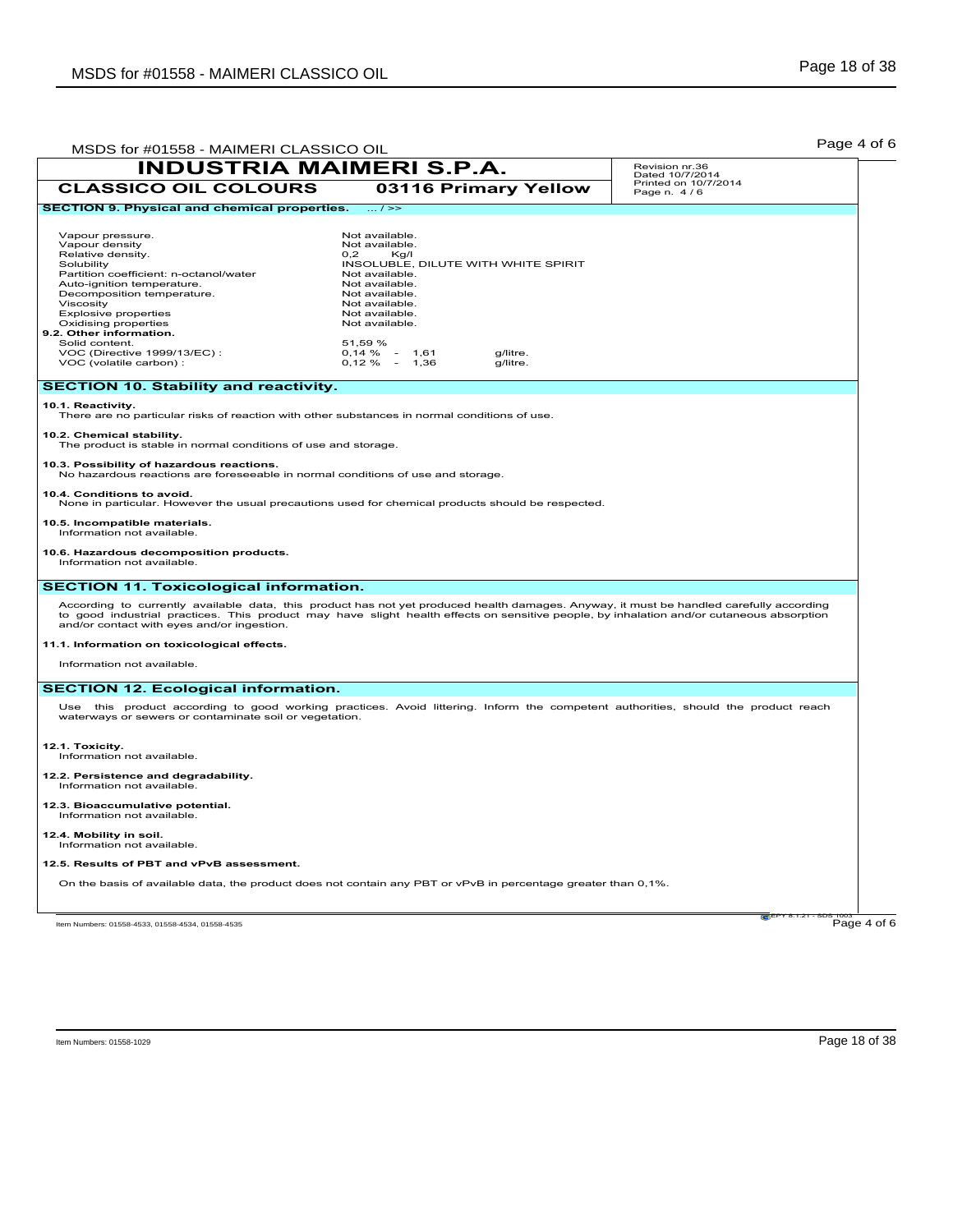| MSDS for #01558 - MAIMERI CLASSICO OIL                                                                                                                                                                                                                                                                                                                                                                                                                                              |                                                                                                                                                                                                                                                                                 | Page 4 of 6                         |
|-------------------------------------------------------------------------------------------------------------------------------------------------------------------------------------------------------------------------------------------------------------------------------------------------------------------------------------------------------------------------------------------------------------------------------------------------------------------------------------|---------------------------------------------------------------------------------------------------------------------------------------------------------------------------------------------------------------------------------------------------------------------------------|-------------------------------------|
| <b>INDUSTRIA MAIMERI S.P.A.</b>                                                                                                                                                                                                                                                                                                                                                                                                                                                     |                                                                                                                                                                                                                                                                                 | Revision nr.36<br>Dated 10/7/2014   |
| <b>CLASSICO OIL COLOURS</b>                                                                                                                                                                                                                                                                                                                                                                                                                                                         | 03116 Primary Yellow                                                                                                                                                                                                                                                            | Printed on 10/7/2014<br>Page n. 4/6 |
| <b>SECTION 9. Physical and chemical properties.</b>                                                                                                                                                                                                                                                                                                                                                                                                                                 | $\ldots$ / $\ge$                                                                                                                                                                                                                                                                |                                     |
| Vapour pressure.<br>Vapour density<br>Relative density.<br>Solubility<br>Partition coefficient: n-octanol/water<br>Auto-ignition temperature.<br>Decomposition temperature.<br>Viscosity<br><b>Explosive properties</b><br>Oxidising properties<br>9.2. Other information.<br>Solid content.<br>VOC (Directive 1999/13/EC) :<br>VOC (volatile carbon) :                                                                                                                             | Not available.<br>Not available.<br>0,2<br>Kg/I<br>INSOLUBLE, DILUTE WITH WHITE SPIRIT<br>Not available.<br>Not available.<br>Not available.<br>Not available.<br>Not available.<br>Not available.<br>51,59 %<br>$0,14 \%$ -<br>1,61<br>g/litre.<br>$0,12\% - 1,36$<br>g/litre. |                                     |
| <b>SECTION 10. Stability and reactivity.</b>                                                                                                                                                                                                                                                                                                                                                                                                                                        |                                                                                                                                                                                                                                                                                 |                                     |
| 10.1. Reactivity.<br>There are no particular risks of reaction with other substances in normal conditions of use.<br>10.2. Chemical stability.<br>The product is stable in normal conditions of use and storage.<br>10.3. Possibility of hazardous reactions.<br>No hazardous reactions are foreseeable in normal conditions of use and storage.<br>10.4. Conditions to avoid.<br>None in particular. However the usual precautions used for chemical products should be respected. |                                                                                                                                                                                                                                                                                 |                                     |
| 10.5. Incompatible materials.<br>Information not available.<br>10.6. Hazardous decomposition products.<br>Information not available.                                                                                                                                                                                                                                                                                                                                                |                                                                                                                                                                                                                                                                                 |                                     |
| <b>SECTION 11. Toxicological information.</b>                                                                                                                                                                                                                                                                                                                                                                                                                                       |                                                                                                                                                                                                                                                                                 |                                     |
| According to currently available data, this product has not yet produced health damages. Anyway, it must be handled carefully according<br>to good industrial practices. This product may have slight health effects on sensitive people, by inhalation and/or cutaneous absorption<br>and/or contact with eyes and/or ingestion.<br>11.1. Information on toxicological effects.<br>Information not available.                                                                      |                                                                                                                                                                                                                                                                                 |                                     |
| <b>SECTION 12. Ecological information.</b>                                                                                                                                                                                                                                                                                                                                                                                                                                          |                                                                                                                                                                                                                                                                                 |                                     |
| Use this product according to good working practices. Avoid littering. Inform the competent authorities, should the product reach<br>waterways or sewers or contaminate soil or vegetation.                                                                                                                                                                                                                                                                                         |                                                                                                                                                                                                                                                                                 |                                     |
| 12.1. Toxicity.<br>Information not available.                                                                                                                                                                                                                                                                                                                                                                                                                                       |                                                                                                                                                                                                                                                                                 |                                     |
| 12.2. Persistence and degradability.<br>Information not available.                                                                                                                                                                                                                                                                                                                                                                                                                  |                                                                                                                                                                                                                                                                                 |                                     |
| 12.3. Bioaccumulative potential.<br>Information not available.                                                                                                                                                                                                                                                                                                                                                                                                                      |                                                                                                                                                                                                                                                                                 |                                     |
| 12.4. Mobility in soil.<br>Information not available.                                                                                                                                                                                                                                                                                                                                                                                                                               |                                                                                                                                                                                                                                                                                 |                                     |
| 12.5. Results of PBT and vPvB assessment.                                                                                                                                                                                                                                                                                                                                                                                                                                           |                                                                                                                                                                                                                                                                                 |                                     |
| On the basis of available data, the product does not contain any PBT or vPvB in percentage greater than 0,1%.                                                                                                                                                                                                                                                                                                                                                                       |                                                                                                                                                                                                                                                                                 |                                     |
| Item Numbers: 01558-4533, 01558-4534, 01558-4535                                                                                                                                                                                                                                                                                                                                                                                                                                    |                                                                                                                                                                                                                                                                                 | <b>C</b> LPY 8.1.21<br>Page 4 of 6  |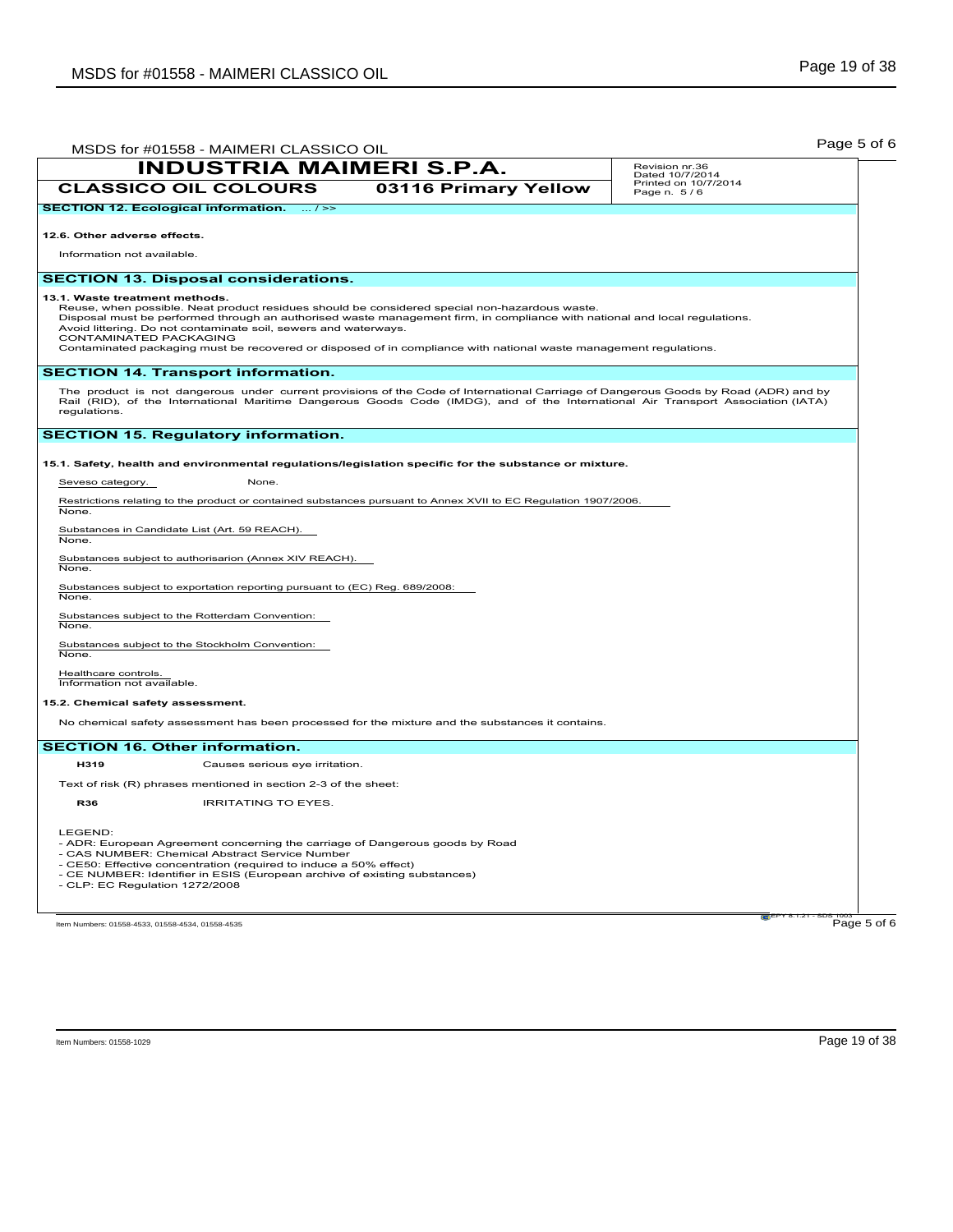| MSDS for #01558 - MAIMERI CLASSICO OIL                                                                                                                                                                                                                                                                                                                                                                                                                                          | Page 5 of 6                                            |
|---------------------------------------------------------------------------------------------------------------------------------------------------------------------------------------------------------------------------------------------------------------------------------------------------------------------------------------------------------------------------------------------------------------------------------------------------------------------------------|--------------------------------------------------------|
| <b>INDUSTRIA MAIMERI S.P.A.</b>                                                                                                                                                                                                                                                                                                                                                                                                                                                 | Revision nr.36                                         |
| <b>CLASSICO OIL COLOURS</b><br>03116 Primary Yellow                                                                                                                                                                                                                                                                                                                                                                                                                             | Dated 10/7/2014<br>Printed on 10/7/2014<br>Page n. 5/6 |
| <b>SECTION 12. Ecological information.</b><br>$\dots l \ge$                                                                                                                                                                                                                                                                                                                                                                                                                     |                                                        |
| 12.6. Other adverse effects.                                                                                                                                                                                                                                                                                                                                                                                                                                                    |                                                        |
| Information not available.                                                                                                                                                                                                                                                                                                                                                                                                                                                      |                                                        |
|                                                                                                                                                                                                                                                                                                                                                                                                                                                                                 |                                                        |
| <b>SECTION 13. Disposal considerations.</b>                                                                                                                                                                                                                                                                                                                                                                                                                                     |                                                        |
| 13.1. Waste treatment methods.<br>Reuse, when possible. Neat product residues should be considered special non-hazardous waste.<br>Disposal must be performed through an authorised waste management firm, in compliance with national and local regulations.<br>Avoid littering. Do not contaminate soil, sewers and waterways.<br>CONTAMINATED PACKAGING<br>Contaminated packaging must be recovered or disposed of in compliance with national waste management regulations. |                                                        |
| <b>SECTION 14. Transport information.</b>                                                                                                                                                                                                                                                                                                                                                                                                                                       |                                                        |
| The product is not dangerous under current provisions of the Code of International Carriage of Dangerous Goods by Road (ADR) and by<br>Rail (RID), of the International Maritime Dangerous Goods Code (IMDG), and of the International Air Transport Association (IATA)<br>regulations.                                                                                                                                                                                         |                                                        |
| <b>SECTION 15. Regulatory information.</b>                                                                                                                                                                                                                                                                                                                                                                                                                                      |                                                        |
| 15.1. Safety, health and environmental regulations/legislation specific for the substance or mixture.                                                                                                                                                                                                                                                                                                                                                                           |                                                        |
| Seveso category.<br>None.                                                                                                                                                                                                                                                                                                                                                                                                                                                       |                                                        |
| Restrictions relating to the product or contained substances pursuant to Annex XVII to EC Regulation 1907/2006.                                                                                                                                                                                                                                                                                                                                                                 |                                                        |
| None.<br>Substances in Candidate List (Art. 59 REACH).                                                                                                                                                                                                                                                                                                                                                                                                                          |                                                        |
| None.                                                                                                                                                                                                                                                                                                                                                                                                                                                                           |                                                        |
| Substances subject to authorisarion (Annex XIV REACH).<br>None.                                                                                                                                                                                                                                                                                                                                                                                                                 |                                                        |
| Substances subject to exportation reporting pursuant to (EC) Reg. 689/2008:<br>None.                                                                                                                                                                                                                                                                                                                                                                                            |                                                        |
| Substances subject to the Rotterdam Convention:<br>None.                                                                                                                                                                                                                                                                                                                                                                                                                        |                                                        |
| Substances subject to the Stockholm Convention:<br>None.                                                                                                                                                                                                                                                                                                                                                                                                                        |                                                        |
| Healthcare controls.<br>Information not available.                                                                                                                                                                                                                                                                                                                                                                                                                              |                                                        |
| 15.2. Chemical safety assessment.                                                                                                                                                                                                                                                                                                                                                                                                                                               |                                                        |
| No chemical safety assessment has been processed for the mixture and the substances it contains.                                                                                                                                                                                                                                                                                                                                                                                |                                                        |
| <b>SECTION 16. Other information.</b>                                                                                                                                                                                                                                                                                                                                                                                                                                           |                                                        |
| H319<br>Causes serious eye irritation.                                                                                                                                                                                                                                                                                                                                                                                                                                          |                                                        |
| Text of risk (R) phrases mentioned in section 2-3 of the sheet:                                                                                                                                                                                                                                                                                                                                                                                                                 |                                                        |
| <b>IRRITATING TO EYES.</b><br><b>R36</b>                                                                                                                                                                                                                                                                                                                                                                                                                                        |                                                        |
| LEGEND:<br>- ADR: European Agreement concerning the carriage of Dangerous goods by Road<br>- CAS NUMBER: Chemical Abstract Service Number<br>- CE50: Effective concentration (required to induce a 50% effect)<br>- CE NUMBER: Identifier in ESIS (European archive of existing substances)<br>- CLP: EC Regulation 1272/2008                                                                                                                                                   |                                                        |
| Item Numbers: 01558-4533, 01558-4534, 01558-4535                                                                                                                                                                                                                                                                                                                                                                                                                                | Page 5 of 6                                            |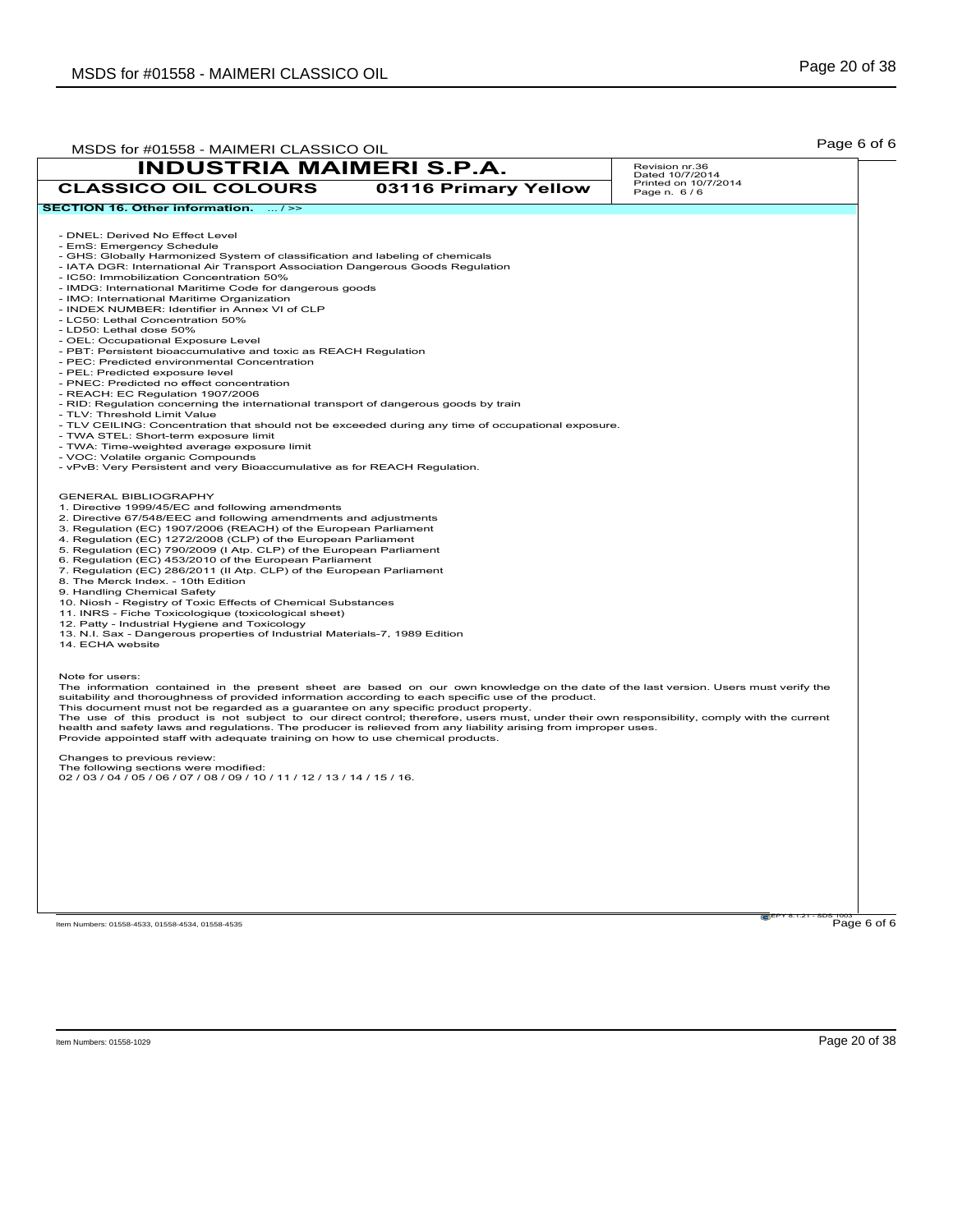| MSDS for #01558 - MAIMERI CLASSICO OIL                                                                                                                                                                                                                                                                                                                                                                                                                                                                                                                                                                                                                                                                                                                                                                                                                                                                                                                                                                                                                                                                  |                      | Page 6 of 6                         |
|---------------------------------------------------------------------------------------------------------------------------------------------------------------------------------------------------------------------------------------------------------------------------------------------------------------------------------------------------------------------------------------------------------------------------------------------------------------------------------------------------------------------------------------------------------------------------------------------------------------------------------------------------------------------------------------------------------------------------------------------------------------------------------------------------------------------------------------------------------------------------------------------------------------------------------------------------------------------------------------------------------------------------------------------------------------------------------------------------------|----------------------|-------------------------------------|
| <b>INDUSTRIA MAIMERI S.P.A.</b>                                                                                                                                                                                                                                                                                                                                                                                                                                                                                                                                                                                                                                                                                                                                                                                                                                                                                                                                                                                                                                                                         |                      | Revision nr.36<br>Dated 10/7/2014   |
| <b>CLASSICO OIL COLOURS</b>                                                                                                                                                                                                                                                                                                                                                                                                                                                                                                                                                                                                                                                                                                                                                                                                                                                                                                                                                                                                                                                                             | 03116 Primary Yellow | Printed on 10/7/2014<br>Page n. 6/6 |
| SECTION 16. Other information.  / >>                                                                                                                                                                                                                                                                                                                                                                                                                                                                                                                                                                                                                                                                                                                                                                                                                                                                                                                                                                                                                                                                    |                      |                                     |
| - DNEL: Derived No Effect Level<br>- EmS: Emergency Schedule<br>- GHS: Globally Harmonized System of classification and labeling of chemicals<br>- IATA DGR: International Air Transport Association Dangerous Goods Regulation<br>- IC50: Immobilization Concentration 50%<br>- IMDG: International Maritime Code for dangerous goods<br>- IMO: International Maritime Organization<br>- INDEX NUMBER: Identifier in Annex VI of CLP<br>- LC50: Lethal Concentration 50%<br>- LD50: Lethal dose 50%<br>- OEL: Occupational Exposure Level<br>- PBT: Persistent bioaccumulative and toxic as REACH Regulation<br>- PEC: Predicted environmental Concentration<br>- PEL: Predicted exposure level<br>- PNEC: Predicted no effect concentration<br>- REACH: EC Regulation 1907/2006<br>- RID: Regulation concerning the international transport of dangerous goods by train<br>- TLV: Threshold Limit Value<br>- TLV CEILING: Concentration that should not be exceeded during any time of occupational exposure.<br>- TWA STEL: Short-term exposure limit<br>- TWA: Time-weighted average exposure limit |                      |                                     |
| - VOC: Volatile organic Compounds<br>- vPvB: Very Persistent and very Bioaccumulative as for REACH Regulation.                                                                                                                                                                                                                                                                                                                                                                                                                                                                                                                                                                                                                                                                                                                                                                                                                                                                                                                                                                                          |                      |                                     |
| <b>GENERAL BIBLIOGRAPHY</b><br>1. Directive 1999/45/EC and following amendments<br>2. Directive 67/548/EEC and following amendments and adjustments<br>3. Regulation (EC) 1907/2006 (REACH) of the European Parliament<br>4. Regulation (EC) 1272/2008 (CLP) of the European Parliament<br>5. Regulation (EC) 790/2009 (I Atp. CLP) of the European Parliament<br>6. Regulation (EC) 453/2010 of the European Parliament<br>7. Regulation (EC) 286/2011 (II Atp. CLP) of the European Parliament<br>8. The Merck Index. - 10th Edition<br>9. Handling Chemical Safety<br>10. Niosh - Registry of Toxic Effects of Chemical Substances<br>11. INRS - Fiche Toxicologique (toxicological sheet)<br>12. Patty - Industrial Hygiene and Toxicology<br>13. N.I. Sax - Dangerous properties of Industrial Materials-7, 1989 Edition<br>14. ECHA website                                                                                                                                                                                                                                                       |                      |                                     |
| Note for users:<br>The information contained in the present sheet are based on our own knowledge on the date of the last version. Users must verify the<br>suitability and thoroughness of provided information according to each specific use of the product.<br>This document must not be regarded as a guarantee on any specific product property.<br>The use of this product is not subject to our direct control; therefore, users must, under their own responsibility, comply with the current<br>health and safety laws and regulations. The producer is relieved from any liability arising from improper uses.<br>Provide appointed staff with adequate training on how to use chemical products.                                                                                                                                                                                                                                                                                                                                                                                             |                      |                                     |
| Changes to previous review:<br>The following sections were modified:<br>02 / 03 / 04 / 05 / 06 / 07 / 08 / 09 / 10 / 11 / 12 / 13 / 14 / 15 / 16.                                                                                                                                                                                                                                                                                                                                                                                                                                                                                                                                                                                                                                                                                                                                                                                                                                                                                                                                                       |                      |                                     |
|                                                                                                                                                                                                                                                                                                                                                                                                                                                                                                                                                                                                                                                                                                                                                                                                                                                                                                                                                                                                                                                                                                         |                      |                                     |
|                                                                                                                                                                                                                                                                                                                                                                                                                                                                                                                                                                                                                                                                                                                                                                                                                                                                                                                                                                                                                                                                                                         |                      |                                     |
| Item Numbers: 01558-4533, 01558-4534, 01558-4535                                                                                                                                                                                                                                                                                                                                                                                                                                                                                                                                                                                                                                                                                                                                                                                                                                                                                                                                                                                                                                                        |                      | Page 6 of 6                         |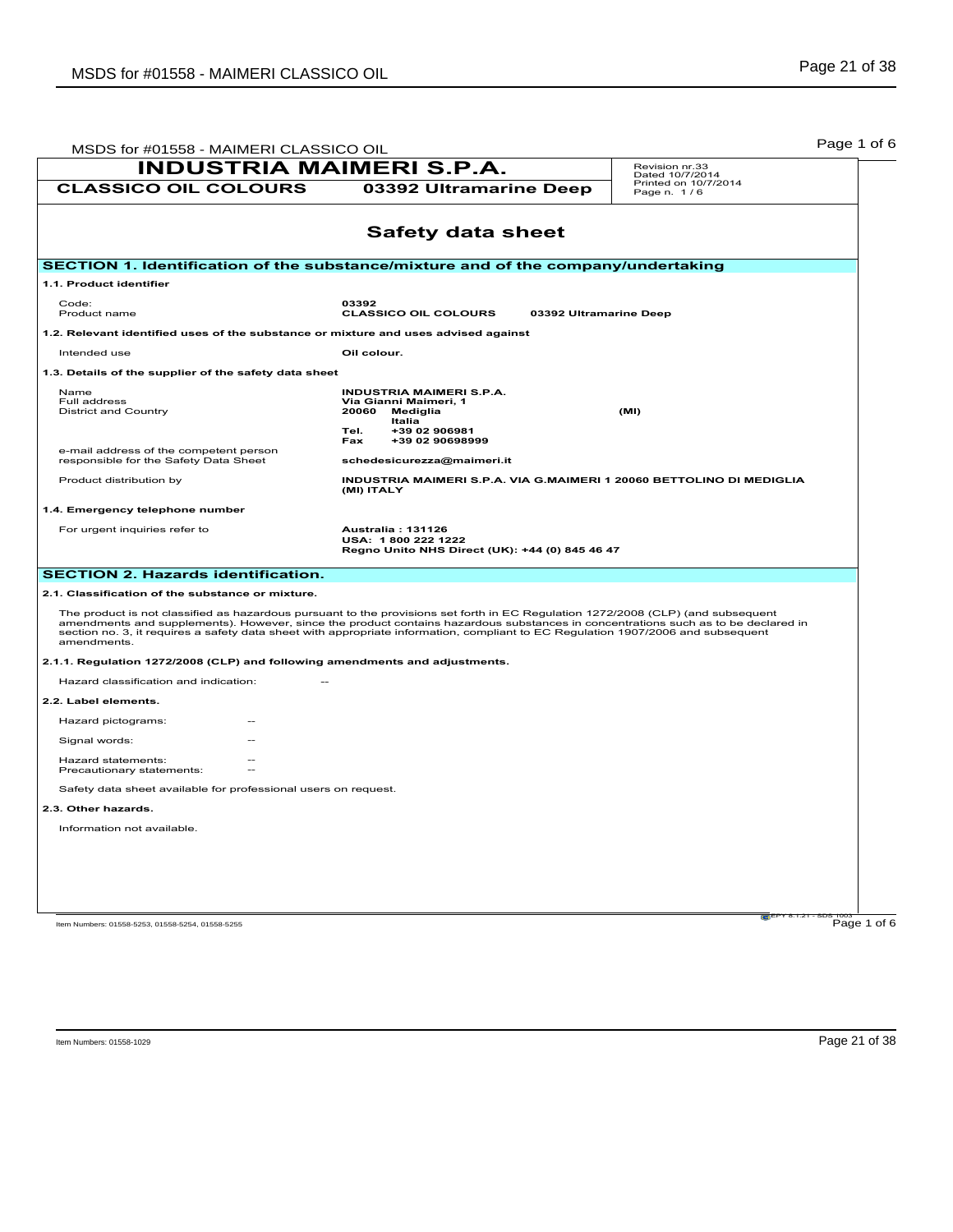| MSDS for #01558 - MAIMERI CLASSICO OIL                                             |                                                                                                                                                                                                                                                                                                                                                                                                           | Page 1 of 6                         |
|------------------------------------------------------------------------------------|-----------------------------------------------------------------------------------------------------------------------------------------------------------------------------------------------------------------------------------------------------------------------------------------------------------------------------------------------------------------------------------------------------------|-------------------------------------|
| <b>INDUSTRIA MAIMERI S.P.A.</b>                                                    |                                                                                                                                                                                                                                                                                                                                                                                                           | Revision nr.33<br>Dated 10/7/2014   |
| <b>CLASSICO OIL COLOURS</b>                                                        | 03392 Ultramarine Deep                                                                                                                                                                                                                                                                                                                                                                                    | Printed on 10/7/2014<br>Page n. 1/6 |
|                                                                                    | <b>Safety data sheet</b>                                                                                                                                                                                                                                                                                                                                                                                  |                                     |
| SECTION 1. Identification of the substance/mixture and of the company/undertaking  |                                                                                                                                                                                                                                                                                                                                                                                                           |                                     |
| 1.1. Product identifier                                                            |                                                                                                                                                                                                                                                                                                                                                                                                           |                                     |
| Code:<br>Product name                                                              | 03392<br><b>CLASSICO OIL COLOURS</b>                                                                                                                                                                                                                                                                                                                                                                      | 03392 Ultramarine Deep              |
| 1.2. Relevant identified uses of the substance or mixture and uses advised against |                                                                                                                                                                                                                                                                                                                                                                                                           |                                     |
| Intended use                                                                       | Oil colour.                                                                                                                                                                                                                                                                                                                                                                                               |                                     |
| 1.3. Details of the supplier of the safety data sheet                              |                                                                                                                                                                                                                                                                                                                                                                                                           |                                     |
| Name<br>Full address<br><b>District and Country</b>                                | <b>INDUSTRIA MAIMERI S.P.A.</b><br>Via Gianni Maimeri, 1<br>20060<br>Mediglia<br>Italia<br>Tel.<br>+39 02 906981<br>+39 02 90698999<br>Fax                                                                                                                                                                                                                                                                | (MI)                                |
| e-mail address of the competent person<br>responsible for the Safety Data Sheet    | schedesicurezza@maimeri.it                                                                                                                                                                                                                                                                                                                                                                                |                                     |
| Product distribution by                                                            | INDUSTRIA MAIMERI S.P.A. VIA G.MAIMERI 1 20060 BETTOLINO DI MEDIGLIA<br>(MI) ITALY                                                                                                                                                                                                                                                                                                                        |                                     |
| 1.4. Emergency telephone number                                                    |                                                                                                                                                                                                                                                                                                                                                                                                           |                                     |
| For urgent inquiries refer to                                                      | Australia: 131126<br>USA: 1800 222 1222<br>Regno Unito NHS Direct (UK): +44 (0) 845 46 47                                                                                                                                                                                                                                                                                                                 |                                     |
| <b>SECTION 2. Hazards identification.</b>                                          |                                                                                                                                                                                                                                                                                                                                                                                                           |                                     |
| 2.1. Classification of the substance or mixture.                                   |                                                                                                                                                                                                                                                                                                                                                                                                           |                                     |
| amendments.                                                                        | The product is not classified as hazardous pursuant to the provisions set forth in EC Regulation 1272/2008 (CLP) (and subsequent<br>amendments and supplements). However, since the product contains hazardous substances in concentrations such as to be declared in<br>section no. 3, it requires a safety data sheet with appropriate information, compliant to EC Regulation 1907/2006 and subsequent |                                     |
| 2.1.1. Regulation 1272/2008 (CLP) and following amendments and adjustments.        |                                                                                                                                                                                                                                                                                                                                                                                                           |                                     |
| Hazard classification and indication:                                              |                                                                                                                                                                                                                                                                                                                                                                                                           |                                     |
| 2.2. Label elements.                                                               |                                                                                                                                                                                                                                                                                                                                                                                                           |                                     |
| Hazard pictograms:                                                                 |                                                                                                                                                                                                                                                                                                                                                                                                           |                                     |
| Signal words:                                                                      |                                                                                                                                                                                                                                                                                                                                                                                                           |                                     |
| Hazard statements:<br>Precautionary statements:                                    |                                                                                                                                                                                                                                                                                                                                                                                                           |                                     |
| Safety data sheet available for professional users on request.                     |                                                                                                                                                                                                                                                                                                                                                                                                           |                                     |
| 2.3. Other hazards.                                                                |                                                                                                                                                                                                                                                                                                                                                                                                           |                                     |
| Information not available.                                                         |                                                                                                                                                                                                                                                                                                                                                                                                           |                                     |
|                                                                                    |                                                                                                                                                                                                                                                                                                                                                                                                           |                                     |
|                                                                                    |                                                                                                                                                                                                                                                                                                                                                                                                           |                                     |
|                                                                                    |                                                                                                                                                                                                                                                                                                                                                                                                           |                                     |
|                                                                                    |                                                                                                                                                                                                                                                                                                                                                                                                           |                                     |
| Item Numbers: 01558-5253, 01558-5254, 01558-5255                                   |                                                                                                                                                                                                                                                                                                                                                                                                           | Page 1 of 6                         |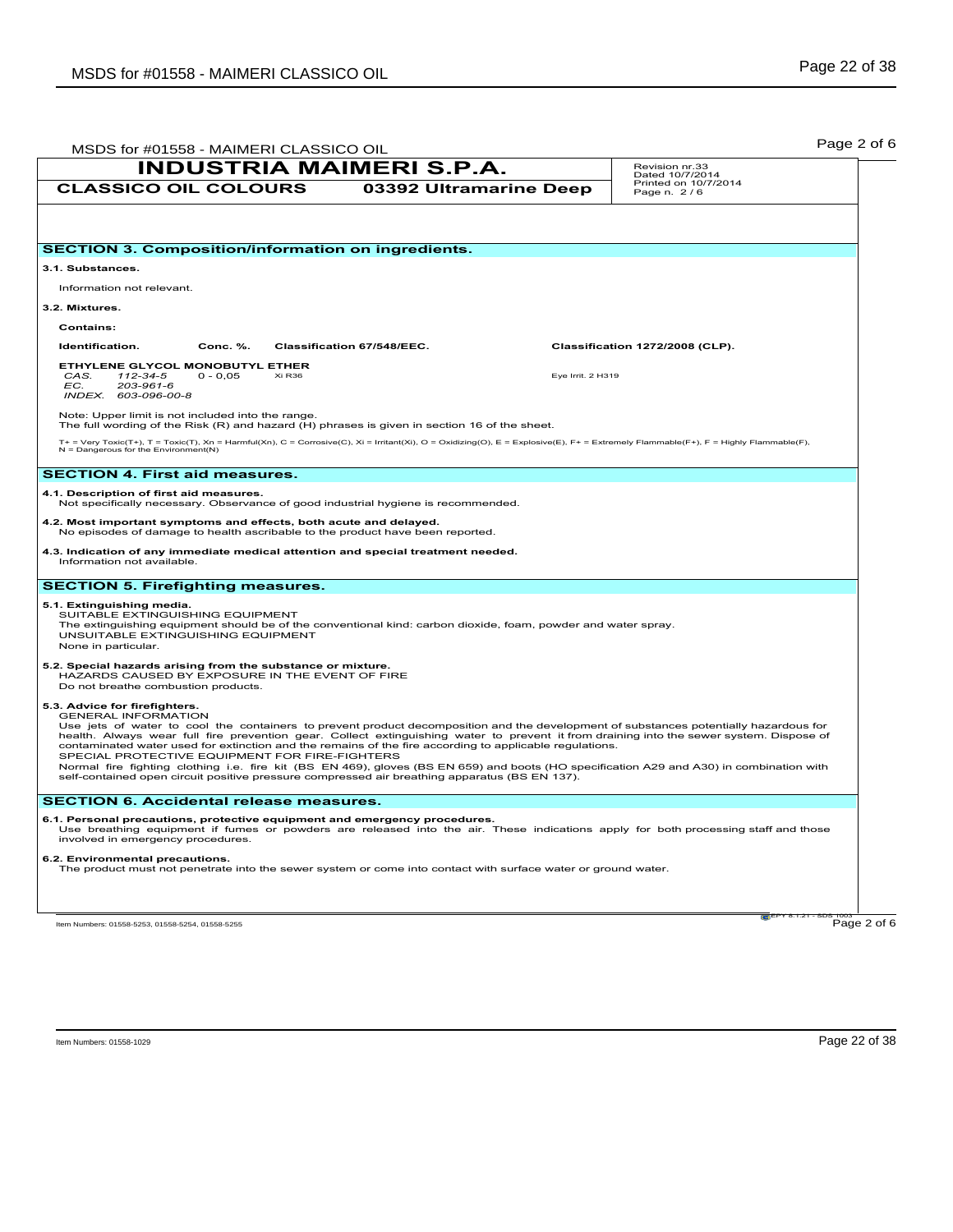|                                                                                                |                                                                                                                | <b>INDUSTRIA MAIMERI S.P.A.</b>                                                                                                                                                                          |                   | Revision nr.33<br>Dated 10/7/2014                                                                                                                                                                                                                                                                                                                                                                                             |
|------------------------------------------------------------------------------------------------|----------------------------------------------------------------------------------------------------------------|----------------------------------------------------------------------------------------------------------------------------------------------------------------------------------------------------------|-------------------|-------------------------------------------------------------------------------------------------------------------------------------------------------------------------------------------------------------------------------------------------------------------------------------------------------------------------------------------------------------------------------------------------------------------------------|
| <b>CLASSICO OIL COLOURS</b>                                                                    |                                                                                                                | 03392 Ultramarine Deep                                                                                                                                                                                   |                   | Printed on 10/7/2014<br>Page n. 2/6                                                                                                                                                                                                                                                                                                                                                                                           |
|                                                                                                |                                                                                                                |                                                                                                                                                                                                          |                   |                                                                                                                                                                                                                                                                                                                                                                                                                               |
|                                                                                                | <b>SECTION 3. Composition/information on ingredients.</b>                                                      |                                                                                                                                                                                                          |                   |                                                                                                                                                                                                                                                                                                                                                                                                                               |
| 3.1. Substances.                                                                               |                                                                                                                |                                                                                                                                                                                                          |                   |                                                                                                                                                                                                                                                                                                                                                                                                                               |
| Information not relevant.                                                                      |                                                                                                                |                                                                                                                                                                                                          |                   |                                                                                                                                                                                                                                                                                                                                                                                                                               |
| 3.2. Mixtures.                                                                                 |                                                                                                                |                                                                                                                                                                                                          |                   |                                                                                                                                                                                                                                                                                                                                                                                                                               |
| <b>Contains:</b>                                                                               |                                                                                                                |                                                                                                                                                                                                          |                   |                                                                                                                                                                                                                                                                                                                                                                                                                               |
| Identification.                                                                                | Conc. %.                                                                                                       | Classification 67/548/EEC.                                                                                                                                                                               |                   | Classification 1272/2008 (CLP).                                                                                                                                                                                                                                                                                                                                                                                               |
| ETHYLENE GLYCOL MONOBUTYL ETHER<br>CAS.<br>112-34-5<br>EC.<br>203-961-6<br>INDEX. 603-096-00-8 | Xi R <sub>36</sub><br>$0 - 0,05$                                                                               |                                                                                                                                                                                                          | Eye Irrit. 2 H319 |                                                                                                                                                                                                                                                                                                                                                                                                                               |
|                                                                                                | Note: Upper limit is not included into the range.                                                              | The full wording of the Risk (R) and hazard (H) phrases is given in section 16 of the sheet.                                                                                                             |                   |                                                                                                                                                                                                                                                                                                                                                                                                                               |
| $N =$ Dangerous for the Environment(N)                                                         |                                                                                                                |                                                                                                                                                                                                          |                   | T+ = Very Toxic(T+), T = Toxic(T), Xn = Harmful(Xn), C = Corrosive(C), Xi = Irritant(Xi), O = Oxidizing(O), E = Explosive(E), F+ = Extremely Flammable(F+), F = Highly Flammable(F),                                                                                                                                                                                                                                          |
| <b>SECTION 4. First aid measures.</b>                                                          |                                                                                                                |                                                                                                                                                                                                          |                   |                                                                                                                                                                                                                                                                                                                                                                                                                               |
| 4.1. Description of first aid measures.                                                        |                                                                                                                | Not specifically necessary. Observance of good industrial hygiene is recommended.                                                                                                                        |                   |                                                                                                                                                                                                                                                                                                                                                                                                                               |
|                                                                                                | 4.2. Most important symptoms and effects, both acute and delayed.                                              | No episodes of damage to health ascribable to the product have been reported.                                                                                                                            |                   |                                                                                                                                                                                                                                                                                                                                                                                                                               |
| Information not available.                                                                     |                                                                                                                | 4.3. Indication of any immediate medical attention and special treatment needed.                                                                                                                         |                   |                                                                                                                                                                                                                                                                                                                                                                                                                               |
|                                                                                                | <b>SECTION 5. Firefighting measures.</b>                                                                       |                                                                                                                                                                                                          |                   |                                                                                                                                                                                                                                                                                                                                                                                                                               |
| 5.1. Extinguishing media.<br>SUITABLE EXTINGUISHING EQUIPMENT<br>None in particular.           | UNSUITABLE EXTINGUISHING EQUIPMENT                                                                             | The extinguishing equipment should be of the conventional kind: carbon dioxide, foam, powder and water spray.                                                                                            |                   |                                                                                                                                                                                                                                                                                                                                                                                                                               |
| Do not breathe combustion products.                                                            | 5.2. Special hazards arising from the substance or mixture.<br>HAZARDS CAUSED BY EXPOSURE IN THE EVENT OF FIRE |                                                                                                                                                                                                          |                   |                                                                                                                                                                                                                                                                                                                                                                                                                               |
| 5.3. Advice for firefighters.<br><b>GENERAL INFORMATION</b>                                    | SPECIAL PROTECTIVE EQUIPMENT FOR FIRE-FIGHTERS                                                                 | contaminated water used for extinction and the remains of the fire according to applicable regulations.<br>self-contained open circuit positive pressure compressed air breathing apparatus (BS EN 137). |                   | Use jets of water to cool the containers to prevent product decomposition and the development of substances potentially hazardous for<br>health. Always wear full fire prevention gear. Collect extinguishing water to prevent it from draining into the sewer system. Dispose of<br>Normal fire fighting clothing i.e. fire kit (BS EN 469), gloves (BS EN 659) and boots (HO specification A29 and A30) in combination with |
|                                                                                                | <b>SECTION 6. Accidental release measures.</b>                                                                 |                                                                                                                                                                                                          |                   |                                                                                                                                                                                                                                                                                                                                                                                                                               |
| involved in emergency procedures.                                                              |                                                                                                                | 6.1. Personal precautions, protective equipment and emergency procedures.                                                                                                                                |                   | Use breathing equipment if fumes or powders are released into the air. These indications apply for both processing staff and those                                                                                                                                                                                                                                                                                            |
| 6.2. Environmental precautions.                                                                |                                                                                                                | The product must not penetrate into the sewer system or come into contact with surface water or ground water.                                                                                            |                   |                                                                                                                                                                                                                                                                                                                                                                                                                               |
|                                                                                                |                                                                                                                |                                                                                                                                                                                                          |                   |                                                                                                                                                                                                                                                                                                                                                                                                                               |
| Item Numbers: 01558-5253, 01558-5254, 01558-5255                                               |                                                                                                                |                                                                                                                                                                                                          |                   | Page 2 of 6                                                                                                                                                                                                                                                                                                                                                                                                                   |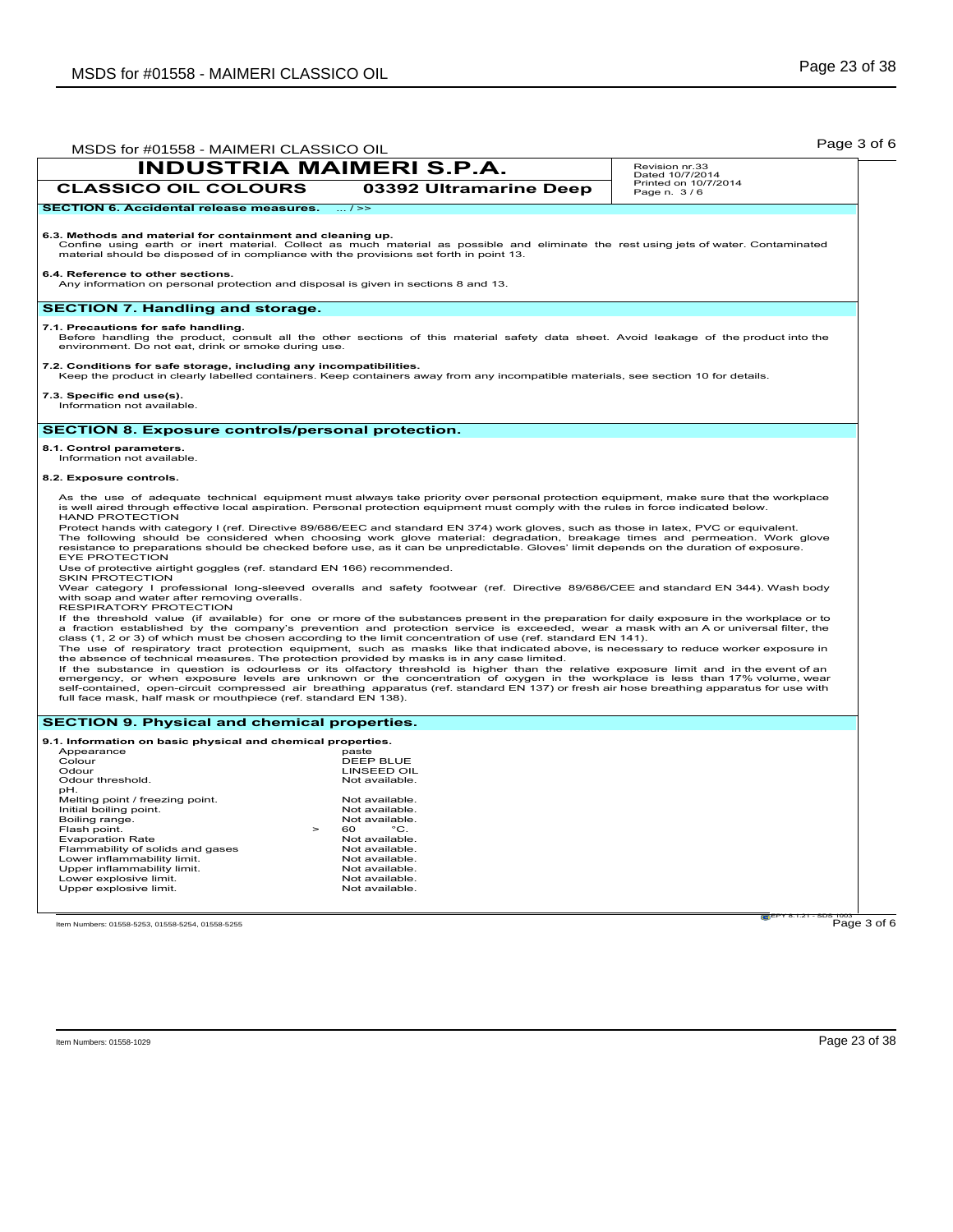|                                                                                                                                                                                                                                                                                                                                                                                                                                                        | MSDS for #01558 - MAIMERI CLASSICO OIL<br><b>INDUSTRIA MAIMERI S.P.A.</b>                                                                                                                                                                                                                                                                                                                                                                                                                                                                                                                                                                                                                                                                                                                                                                                                                                                                                                                                                                                                                                                                                                                                                                                                                                                                                                                                                                                                                                                                                                                                                                                               | Revision nr.33                          |
|--------------------------------------------------------------------------------------------------------------------------------------------------------------------------------------------------------------------------------------------------------------------------------------------------------------------------------------------------------------------------------------------------------------------------------------------------------|-------------------------------------------------------------------------------------------------------------------------------------------------------------------------------------------------------------------------------------------------------------------------------------------------------------------------------------------------------------------------------------------------------------------------------------------------------------------------------------------------------------------------------------------------------------------------------------------------------------------------------------------------------------------------------------------------------------------------------------------------------------------------------------------------------------------------------------------------------------------------------------------------------------------------------------------------------------------------------------------------------------------------------------------------------------------------------------------------------------------------------------------------------------------------------------------------------------------------------------------------------------------------------------------------------------------------------------------------------------------------------------------------------------------------------------------------------------------------------------------------------------------------------------------------------------------------------------------------------------------------------------------------------------------------|-----------------------------------------|
|                                                                                                                                                                                                                                                                                                                                                                                                                                                        |                                                                                                                                                                                                                                                                                                                                                                                                                                                                                                                                                                                                                                                                                                                                                                                                                                                                                                                                                                                                                                                                                                                                                                                                                                                                                                                                                                                                                                                                                                                                                                                                                                                                         | Dated 10/7/2014<br>Printed on 10/7/2014 |
| <b>CLASSICO OIL COLOURS</b>                                                                                                                                                                                                                                                                                                                                                                                                                            | 03392 Ultramarine Deep                                                                                                                                                                                                                                                                                                                                                                                                                                                                                                                                                                                                                                                                                                                                                                                                                                                                                                                                                                                                                                                                                                                                                                                                                                                                                                                                                                                                                                                                                                                                                                                                                                                  | Page n. 3/6                             |
| <b>SECTION 6. Accidental release measures.</b>                                                                                                                                                                                                                                                                                                                                                                                                         | $\ldots$ / $\geq$                                                                                                                                                                                                                                                                                                                                                                                                                                                                                                                                                                                                                                                                                                                                                                                                                                                                                                                                                                                                                                                                                                                                                                                                                                                                                                                                                                                                                                                                                                                                                                                                                                                       |                                         |
| 6.3. Methods and material for containment and cleaning up.<br>material should be disposed of in compliance with the provisions set forth in point 13.                                                                                                                                                                                                                                                                                                  | Confine using earth or inert material. Collect as much material as possible and eliminate the rest using jets of water. Contaminated                                                                                                                                                                                                                                                                                                                                                                                                                                                                                                                                                                                                                                                                                                                                                                                                                                                                                                                                                                                                                                                                                                                                                                                                                                                                                                                                                                                                                                                                                                                                    |                                         |
| 6.4. Reference to other sections.<br>Any information on personal protection and disposal is given in sections 8 and 13.                                                                                                                                                                                                                                                                                                                                |                                                                                                                                                                                                                                                                                                                                                                                                                                                                                                                                                                                                                                                                                                                                                                                                                                                                                                                                                                                                                                                                                                                                                                                                                                                                                                                                                                                                                                                                                                                                                                                                                                                                         |                                         |
| <b>SECTION 7. Handling and storage.</b>                                                                                                                                                                                                                                                                                                                                                                                                                |                                                                                                                                                                                                                                                                                                                                                                                                                                                                                                                                                                                                                                                                                                                                                                                                                                                                                                                                                                                                                                                                                                                                                                                                                                                                                                                                                                                                                                                                                                                                                                                                                                                                         |                                         |
| 7.1. Precautions for safe handling.<br>environment. Do not eat, drink or smoke during use.                                                                                                                                                                                                                                                                                                                                                             | Before handling the product, consult all the other sections of this material safety data sheet. Avoid leakage of the product into the                                                                                                                                                                                                                                                                                                                                                                                                                                                                                                                                                                                                                                                                                                                                                                                                                                                                                                                                                                                                                                                                                                                                                                                                                                                                                                                                                                                                                                                                                                                                   |                                         |
| 7.2. Conditions for safe storage, including any incompatibilities.                                                                                                                                                                                                                                                                                                                                                                                     | Keep the product in clearly labelled containers. Keep containers away from any incompatible materials, see section 10 for details.                                                                                                                                                                                                                                                                                                                                                                                                                                                                                                                                                                                                                                                                                                                                                                                                                                                                                                                                                                                                                                                                                                                                                                                                                                                                                                                                                                                                                                                                                                                                      |                                         |
| 7.3. Specific end use(s).<br>Information not available.                                                                                                                                                                                                                                                                                                                                                                                                |                                                                                                                                                                                                                                                                                                                                                                                                                                                                                                                                                                                                                                                                                                                                                                                                                                                                                                                                                                                                                                                                                                                                                                                                                                                                                                                                                                                                                                                                                                                                                                                                                                                                         |                                         |
| <b>SECTION 8. Exposure controls/personal protection.</b>                                                                                                                                                                                                                                                                                                                                                                                               |                                                                                                                                                                                                                                                                                                                                                                                                                                                                                                                                                                                                                                                                                                                                                                                                                                                                                                                                                                                                                                                                                                                                                                                                                                                                                                                                                                                                                                                                                                                                                                                                                                                                         |                                         |
| 8.1. Control parameters.<br>Information not available.                                                                                                                                                                                                                                                                                                                                                                                                 |                                                                                                                                                                                                                                                                                                                                                                                                                                                                                                                                                                                                                                                                                                                                                                                                                                                                                                                                                                                                                                                                                                                                                                                                                                                                                                                                                                                                                                                                                                                                                                                                                                                                         |                                         |
| 8.2. Exposure controls.                                                                                                                                                                                                                                                                                                                                                                                                                                |                                                                                                                                                                                                                                                                                                                                                                                                                                                                                                                                                                                                                                                                                                                                                                                                                                                                                                                                                                                                                                                                                                                                                                                                                                                                                                                                                                                                                                                                                                                                                                                                                                                                         |                                         |
| <b>HAND PROTECTION</b><br><b>EYE PROTECTION</b><br>Use of protective airtight goggles (ref. standard EN 166) recommended.<br><b>SKIN PROTECTION</b><br>with soap and water after removing overalls.<br>RESPIRATORY PROTECTION<br>the absence of technical measures. The protection provided by masks is in any case limited.<br>full face mask, half mask or mouthpiece (ref. standard EN 138).<br><b>SECTION 9. Physical and chemical properties.</b> | is well aired through effective local aspiration. Personal protection equipment must comply with the rules in force indicated below.<br>Protect hands with category I (ref. Directive 89/686/EEC and standard EN 374) work gloves, such as those in latex, PVC or equivalent.<br>The following should be considered when choosing work glove material: degradation, breakage times and permeation. Work glove<br>resistance to preparations should be checked before use, as it can be unpredictable. Gloves' limit depends on the duration of exposure.<br>Wear category I professional long-sleeved overalls and safety footwear (ref. Directive 89/686/CEE and standard EN 344). Wash body<br>If the threshold value (if available) for one or more of the substances present in the preparation for daily exposure in the workplace or to<br>a fraction established by the company's prevention and protection service is exceeded, wear a mask with an A or universal filter, the<br>class (1, 2 or 3) of which must be chosen according to the limit concentration of use (ref. standard EN 141).<br>The use of respiratory tract protection equipment, such as masks like that indicated above, is necessary to reduce worker exposure in<br>If the substance in question is odourless or its olfactory threshold is higher than the relative exposure limit and in the event of an<br>emergency, or when exposure levels are unknown or the concentration of oxygen in the workplace is less than 17% volume, wear<br>self-contained, open-circuit compressed air breathing apparatus (ref. standard EN 137) or fresh air hose breathing apparatus for use with |                                         |
| 9.1. Information on basic physical and chemical properties.                                                                                                                                                                                                                                                                                                                                                                                            |                                                                                                                                                                                                                                                                                                                                                                                                                                                                                                                                                                                                                                                                                                                                                                                                                                                                                                                                                                                                                                                                                                                                                                                                                                                                                                                                                                                                                                                                                                                                                                                                                                                                         |                                         |
| Appearance<br>Colour                                                                                                                                                                                                                                                                                                                                                                                                                                   | paste<br>DEEP BLUE                                                                                                                                                                                                                                                                                                                                                                                                                                                                                                                                                                                                                                                                                                                                                                                                                                                                                                                                                                                                                                                                                                                                                                                                                                                                                                                                                                                                                                                                                                                                                                                                                                                      |                                         |
| Odour<br>Odour threshold.                                                                                                                                                                                                                                                                                                                                                                                                                              | <b>LINSEED OIL</b><br>Not available.                                                                                                                                                                                                                                                                                                                                                                                                                                                                                                                                                                                                                                                                                                                                                                                                                                                                                                                                                                                                                                                                                                                                                                                                                                                                                                                                                                                                                                                                                                                                                                                                                                    |                                         |
| pH.                                                                                                                                                                                                                                                                                                                                                                                                                                                    |                                                                                                                                                                                                                                                                                                                                                                                                                                                                                                                                                                                                                                                                                                                                                                                                                                                                                                                                                                                                                                                                                                                                                                                                                                                                                                                                                                                                                                                                                                                                                                                                                                                                         |                                         |
| Melting point / freezing point.                                                                                                                                                                                                                                                                                                                                                                                                                        | Not available.<br>Not available.                                                                                                                                                                                                                                                                                                                                                                                                                                                                                                                                                                                                                                                                                                                                                                                                                                                                                                                                                                                                                                                                                                                                                                                                                                                                                                                                                                                                                                                                                                                                                                                                                                        |                                         |
| Initial boiling point.                                                                                                                                                                                                                                                                                                                                                                                                                                 | Not available.                                                                                                                                                                                                                                                                                                                                                                                                                                                                                                                                                                                                                                                                                                                                                                                                                                                                                                                                                                                                                                                                                                                                                                                                                                                                                                                                                                                                                                                                                                                                                                                                                                                          |                                         |
| Boiling range.                                                                                                                                                                                                                                                                                                                                                                                                                                         |                                                                                                                                                                                                                                                                                                                                                                                                                                                                                                                                                                                                                                                                                                                                                                                                                                                                                                                                                                                                                                                                                                                                                                                                                                                                                                                                                                                                                                                                                                                                                                                                                                                                         |                                         |
| Flash point.<br>$\geq$                                                                                                                                                                                                                                                                                                                                                                                                                                 | 60<br>°C.                                                                                                                                                                                                                                                                                                                                                                                                                                                                                                                                                                                                                                                                                                                                                                                                                                                                                                                                                                                                                                                                                                                                                                                                                                                                                                                                                                                                                                                                                                                                                                                                                                                               |                                         |
| <b>Evaporation Rate</b><br>Flammability of solids and gases                                                                                                                                                                                                                                                                                                                                                                                            | Not available.<br>Not available.                                                                                                                                                                                                                                                                                                                                                                                                                                                                                                                                                                                                                                                                                                                                                                                                                                                                                                                                                                                                                                                                                                                                                                                                                                                                                                                                                                                                                                                                                                                                                                                                                                        |                                         |
| Lower inflammability limit.                                                                                                                                                                                                                                                                                                                                                                                                                            | Not available.                                                                                                                                                                                                                                                                                                                                                                                                                                                                                                                                                                                                                                                                                                                                                                                                                                                                                                                                                                                                                                                                                                                                                                                                                                                                                                                                                                                                                                                                                                                                                                                                                                                          |                                         |
| Upper inflammability limit.                                                                                                                                                                                                                                                                                                                                                                                                                            | Not available.<br>Not available.                                                                                                                                                                                                                                                                                                                                                                                                                                                                                                                                                                                                                                                                                                                                                                                                                                                                                                                                                                                                                                                                                                                                                                                                                                                                                                                                                                                                                                                                                                                                                                                                                                        |                                         |
| Lower explosive limit.<br>Upper explosive limit.                                                                                                                                                                                                                                                                                                                                                                                                       | Not available.                                                                                                                                                                                                                                                                                                                                                                                                                                                                                                                                                                                                                                                                                                                                                                                                                                                                                                                                                                                                                                                                                                                                                                                                                                                                                                                                                                                                                                                                                                                                                                                                                                                          |                                         |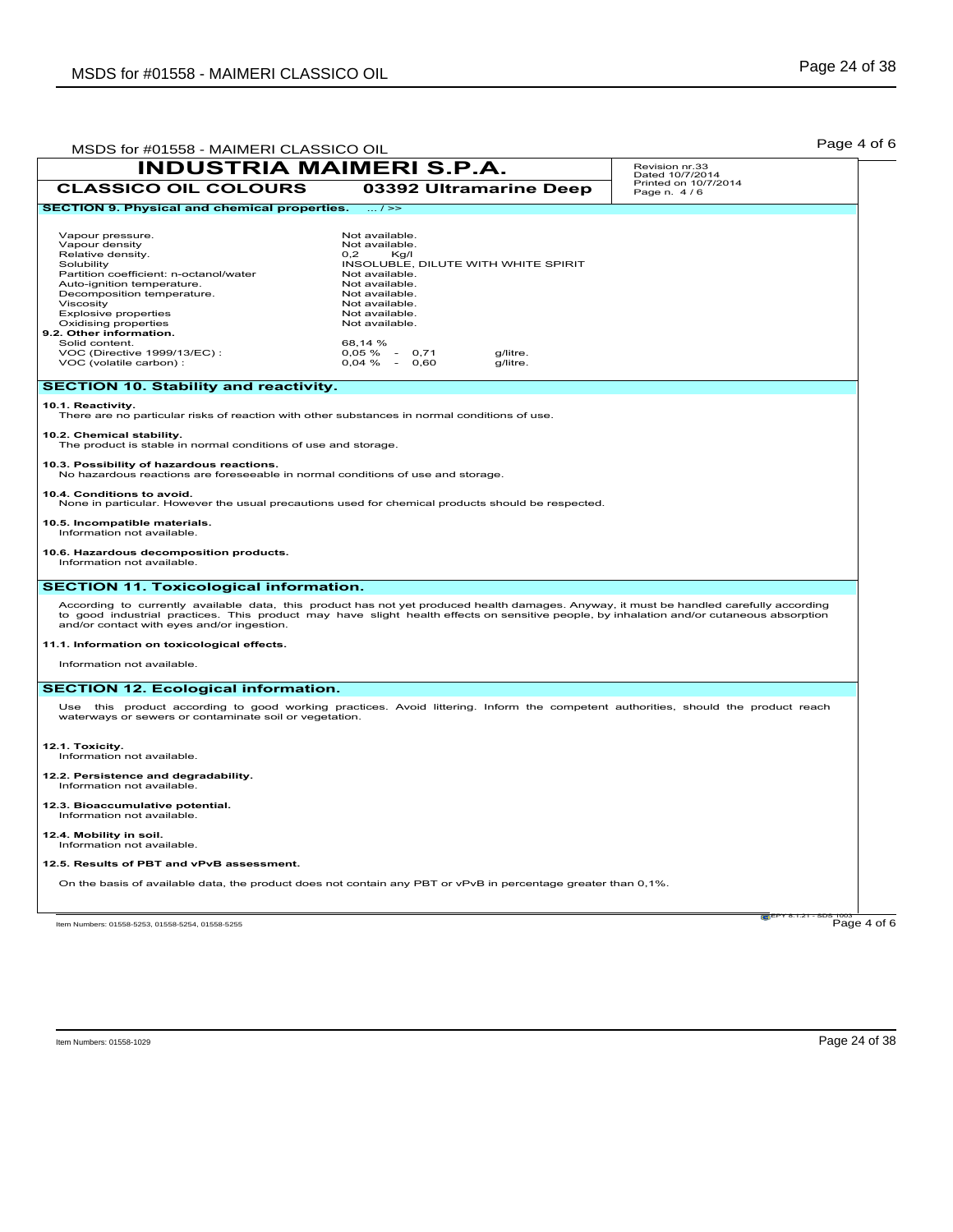| MSDS for #01558 - MAIMERI CLASSICO OIL                                                                                                                                                                                                                                                                                                                                           |                                                                                                                                                                                                                                                         |                      |                                     | Page 4 of 6 |
|----------------------------------------------------------------------------------------------------------------------------------------------------------------------------------------------------------------------------------------------------------------------------------------------------------------------------------------------------------------------------------|---------------------------------------------------------------------------------------------------------------------------------------------------------------------------------------------------------------------------------------------------------|----------------------|-------------------------------------|-------------|
| <b>INDUSTRIA MAIMERI S.P.A.</b>                                                                                                                                                                                                                                                                                                                                                  |                                                                                                                                                                                                                                                         |                      | Revision nr.33<br>Dated 10/7/2014   |             |
| <b>CLASSICO OIL COLOURS</b>                                                                                                                                                                                                                                                                                                                                                      | 03392 Ultramarine Deep                                                                                                                                                                                                                                  |                      | Printed on 10/7/2014<br>Page n. 4/6 |             |
| <b>SECTION 9. Physical and chemical properties.</b>                                                                                                                                                                                                                                                                                                                              | $\ldots$ / $\gg$                                                                                                                                                                                                                                        |                      |                                     |             |
| Vapour pressure.<br>Vapour density<br>Relative density.<br>Solubility<br>Partition coefficient: n-octanol/water<br>Auto-ignition temperature.<br>Decomposition temperature.<br>Viscosity<br><b>Explosive properties</b><br>Oxidising properties<br>9.2. Other information.<br>Solid content.<br>VOC (Directive 1999/13/EC):<br>VOC (volatile carbon) :                           | Not available.<br>Not available.<br>0.2<br>Kg/I<br>INSOLUBLE, DILUTE WITH WHITE SPIRIT<br>Not available.<br>Not available.<br>Not available.<br>Not available.<br>Not available.<br>Not available.<br>68,14 %<br>$0,05 \%$ -<br>0,71<br>$0,04\% - 0,60$ | g/litre.<br>g/litre. |                                     |             |
| <b>SECTION 10. Stability and reactivity.</b>                                                                                                                                                                                                                                                                                                                                     |                                                                                                                                                                                                                                                         |                      |                                     |             |
| 10.1. Reactivity.<br>There are no particular risks of reaction with other substances in normal conditions of use.<br>10.2. Chemical stability.<br>The product is stable in normal conditions of use and storage.                                                                                                                                                                 |                                                                                                                                                                                                                                                         |                      |                                     |             |
| 10.3. Possibility of hazardous reactions.<br>No hazardous reactions are foreseeable in normal conditions of use and storage.                                                                                                                                                                                                                                                     |                                                                                                                                                                                                                                                         |                      |                                     |             |
| 10.4. Conditions to avoid.<br>None in particular. However the usual precautions used for chemical products should be respected.                                                                                                                                                                                                                                                  |                                                                                                                                                                                                                                                         |                      |                                     |             |
| 10.5. Incompatible materials.<br>Information not available.                                                                                                                                                                                                                                                                                                                      |                                                                                                                                                                                                                                                         |                      |                                     |             |
| 10.6. Hazardous decomposition products.<br>Information not available.                                                                                                                                                                                                                                                                                                            |                                                                                                                                                                                                                                                         |                      |                                     |             |
| <b>SECTION 11. Toxicological information.</b>                                                                                                                                                                                                                                                                                                                                    |                                                                                                                                                                                                                                                         |                      |                                     |             |
| According to currently available data, this product has not yet produced health damages. Anyway, it must be handled carefully according<br>to good industrial practices. This product may have slight health effects on sensitive people, by inhalation and/or cutaneous absorption<br>and/or contact with eyes and/or ingestion.<br>11.1. Information on toxicological effects. |                                                                                                                                                                                                                                                         |                      |                                     |             |
| Information not available.                                                                                                                                                                                                                                                                                                                                                       |                                                                                                                                                                                                                                                         |                      |                                     |             |
| <b>SECTION 12. Ecological information.</b>                                                                                                                                                                                                                                                                                                                                       |                                                                                                                                                                                                                                                         |                      |                                     |             |
| Use this product according to good working practices. Avoid littering. Inform the competent authorities, should the product reach<br>waterways or sewers or contaminate soil or vegetation.                                                                                                                                                                                      |                                                                                                                                                                                                                                                         |                      |                                     |             |
| 12.1. Toxicity.<br>Information not available.                                                                                                                                                                                                                                                                                                                                    |                                                                                                                                                                                                                                                         |                      |                                     |             |
| 12.2. Persistence and degradability.<br>Information not available.                                                                                                                                                                                                                                                                                                               |                                                                                                                                                                                                                                                         |                      |                                     |             |
| 12.3. Bioaccumulative potential.<br>Information not available.                                                                                                                                                                                                                                                                                                                   |                                                                                                                                                                                                                                                         |                      |                                     |             |
| 12.4. Mobility in soil.<br>Information not available.                                                                                                                                                                                                                                                                                                                            |                                                                                                                                                                                                                                                         |                      |                                     |             |
| 12.5. Results of PBT and vPvB assessment.                                                                                                                                                                                                                                                                                                                                        |                                                                                                                                                                                                                                                         |                      |                                     |             |
| On the basis of available data, the product does not contain any PBT or vPvB in percentage greater than 0,1%.                                                                                                                                                                                                                                                                    |                                                                                                                                                                                                                                                         |                      |                                     |             |
| Item Numbers: 01558-5253, 01558-5254, 01558-5255                                                                                                                                                                                                                                                                                                                                 |                                                                                                                                                                                                                                                         |                      | 121 EPY 8.1.21                      | Page 4 of 6 |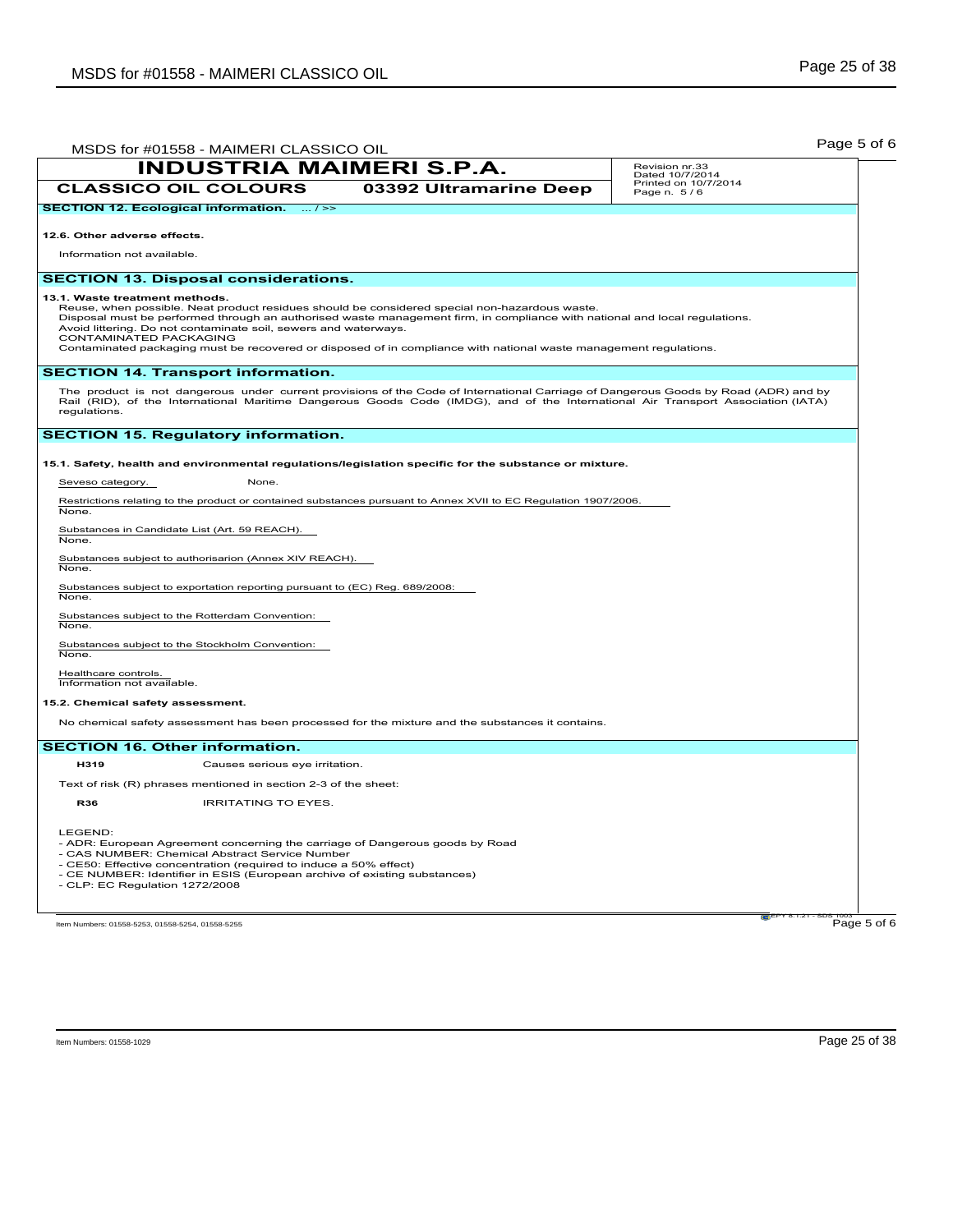| MSDS for #01558 - MAIMERI CLASSICO OIL                                                                                                                                                                                                                                                                                                                                                                                                                                          | Page 5 of 6                         |
|---------------------------------------------------------------------------------------------------------------------------------------------------------------------------------------------------------------------------------------------------------------------------------------------------------------------------------------------------------------------------------------------------------------------------------------------------------------------------------|-------------------------------------|
| <b>INDUSTRIA MAIMERI S.P.A.</b>                                                                                                                                                                                                                                                                                                                                                                                                                                                 | Revision nr.33<br>Dated 10/7/2014   |
| <b>CLASSICO OIL COLOURS</b><br>03392 Ultramarine Deep                                                                                                                                                                                                                                                                                                                                                                                                                           | Printed on 10/7/2014<br>Page n. 5/6 |
| <b>SECTION 12. Ecological information.</b><br>$\ldots$ / >>                                                                                                                                                                                                                                                                                                                                                                                                                     |                                     |
| 12.6. Other adverse effects.                                                                                                                                                                                                                                                                                                                                                                                                                                                    |                                     |
| Information not available.                                                                                                                                                                                                                                                                                                                                                                                                                                                      |                                     |
| <b>SECTION 13. Disposal considerations.</b>                                                                                                                                                                                                                                                                                                                                                                                                                                     |                                     |
| 13.1. Waste treatment methods.<br>Reuse, when possible. Neat product residues should be considered special non-hazardous waste.<br>Disposal must be performed through an authorised waste management firm, in compliance with national and local regulations.<br>Avoid littering. Do not contaminate soil, sewers and waterways.<br>CONTAMINATED PACKAGING<br>Contaminated packaging must be recovered or disposed of in compliance with national waste management regulations. |                                     |
| <b>SECTION 14. Transport information.</b>                                                                                                                                                                                                                                                                                                                                                                                                                                       |                                     |
| The product is not dangerous under current provisions of the Code of International Carriage of Dangerous Goods by Road (ADR) and by<br>Rail (RID), of the International Maritime Dangerous Goods Code (IMDG), and of the International Air Transport Association (IATA)<br>regulations.                                                                                                                                                                                         |                                     |
| <b>SECTION 15. Regulatory information.</b>                                                                                                                                                                                                                                                                                                                                                                                                                                      |                                     |
| 15.1. Safety, health and environmental regulations/legislation specific for the substance or mixture.                                                                                                                                                                                                                                                                                                                                                                           |                                     |
| Seveso category.<br>None.                                                                                                                                                                                                                                                                                                                                                                                                                                                       |                                     |
| Restrictions relating to the product or contained substances pursuant to Annex XVII to EC Regulation 1907/2006.<br>None.                                                                                                                                                                                                                                                                                                                                                        |                                     |
| Substances in Candidate List (Art. 59 REACH).<br>None.                                                                                                                                                                                                                                                                                                                                                                                                                          |                                     |
| Substances subject to authorisarion (Annex XIV REACH).<br>None.                                                                                                                                                                                                                                                                                                                                                                                                                 |                                     |
| Substances subject to exportation reporting pursuant to (EC) Reg. 689/2008:<br>None.                                                                                                                                                                                                                                                                                                                                                                                            |                                     |
| Substances subject to the Rotterdam Convention:<br>None.                                                                                                                                                                                                                                                                                                                                                                                                                        |                                     |
| Substances subject to the Stockholm Convention:<br>None.                                                                                                                                                                                                                                                                                                                                                                                                                        |                                     |
| Healthcare controls.<br>Information not available.                                                                                                                                                                                                                                                                                                                                                                                                                              |                                     |
| 15.2. Chemical safety assessment.                                                                                                                                                                                                                                                                                                                                                                                                                                               |                                     |
| No chemical safety assessment has been processed for the mixture and the substances it contains.                                                                                                                                                                                                                                                                                                                                                                                |                                     |
| <b>SECTION 16. Other information.</b>                                                                                                                                                                                                                                                                                                                                                                                                                                           |                                     |
| H319<br>Causes serious eye irritation.                                                                                                                                                                                                                                                                                                                                                                                                                                          |                                     |
| Text of risk (R) phrases mentioned in section 2-3 of the sheet:                                                                                                                                                                                                                                                                                                                                                                                                                 |                                     |
| <b>R36</b><br><b>IRRITATING TO EYES.</b>                                                                                                                                                                                                                                                                                                                                                                                                                                        |                                     |
| LEGEND:<br>- ADR: European Agreement concerning the carriage of Dangerous goods by Road<br>- CAS NUMBER: Chemical Abstract Service Number<br>- CE50: Effective concentration (required to induce a 50% effect)<br>- CE NUMBER: Identifier in ESIS (European archive of existing substances)<br>- CLP: EC Regulation 1272/2008                                                                                                                                                   |                                     |
| Item Numbers: 01558-5253, 01558-5254, 01558-5255                                                                                                                                                                                                                                                                                                                                                                                                                                | <b>CEPY 8.1.21</b><br>Page 5 of 6   |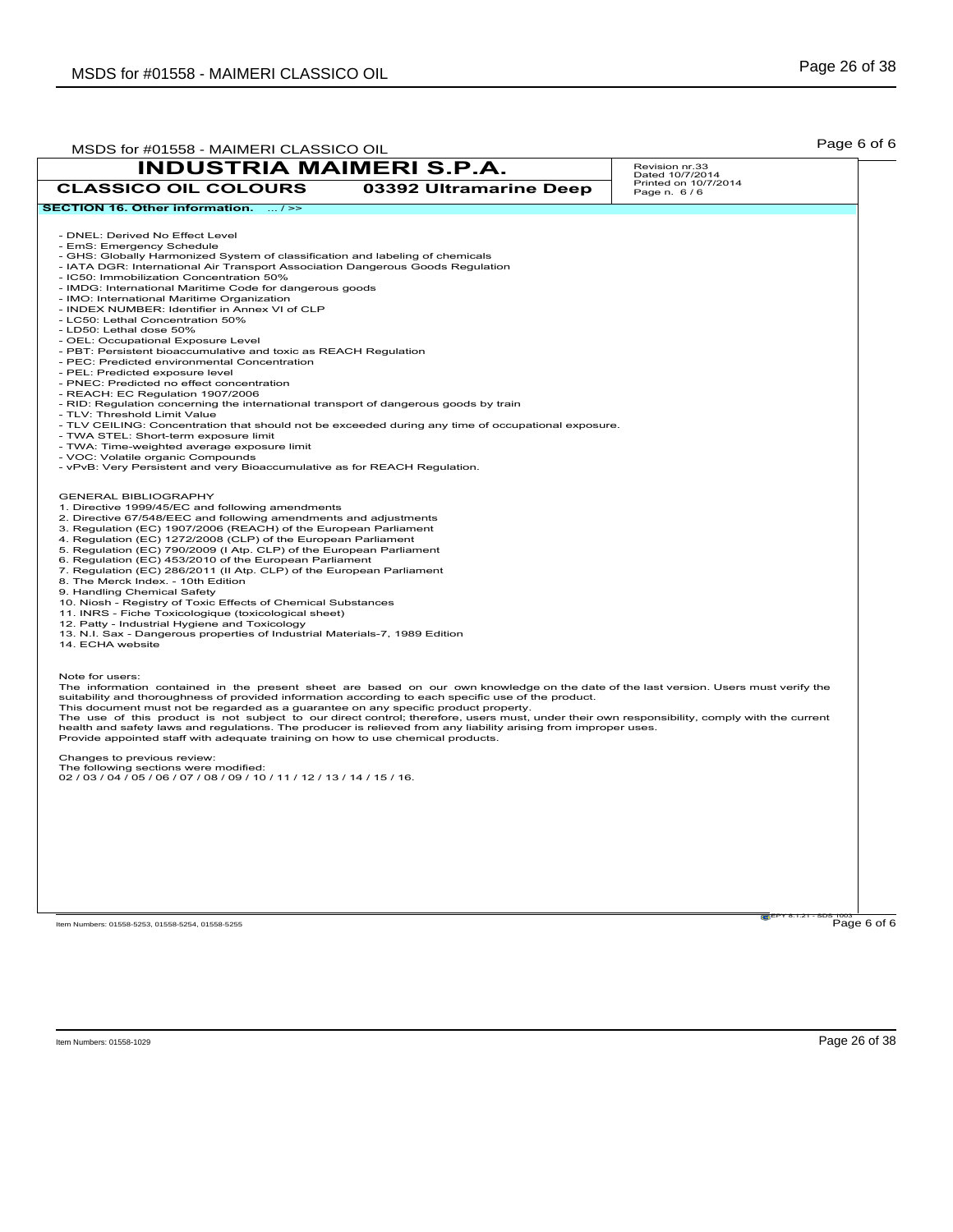| MSDS for #01558 - MAIMERI CLASSICO OIL                                                                                                                                                                                                                                                                                                                                                                                                                                                                                                                                                                                                                                                                                                                                                                                                                                                                                                                                                                                                                                                                  |                        | Page 6 of 6                                                                                                                                                                                                                                                                          |
|---------------------------------------------------------------------------------------------------------------------------------------------------------------------------------------------------------------------------------------------------------------------------------------------------------------------------------------------------------------------------------------------------------------------------------------------------------------------------------------------------------------------------------------------------------------------------------------------------------------------------------------------------------------------------------------------------------------------------------------------------------------------------------------------------------------------------------------------------------------------------------------------------------------------------------------------------------------------------------------------------------------------------------------------------------------------------------------------------------|------------------------|--------------------------------------------------------------------------------------------------------------------------------------------------------------------------------------------------------------------------------------------------------------------------------------|
| <b>INDUSTRIA MAIMERI S.P.A.</b>                                                                                                                                                                                                                                                                                                                                                                                                                                                                                                                                                                                                                                                                                                                                                                                                                                                                                                                                                                                                                                                                         |                        | Revision nr.33<br>Dated 10/7/2014                                                                                                                                                                                                                                                    |
| <b>CLASSICO OIL COLOURS</b>                                                                                                                                                                                                                                                                                                                                                                                                                                                                                                                                                                                                                                                                                                                                                                                                                                                                                                                                                                                                                                                                             | 03392 Ultramarine Deep | Printed on 10/7/2014<br>Page n. 6/6                                                                                                                                                                                                                                                  |
| SECTION 16. Other information.  / >>                                                                                                                                                                                                                                                                                                                                                                                                                                                                                                                                                                                                                                                                                                                                                                                                                                                                                                                                                                                                                                                                    |                        |                                                                                                                                                                                                                                                                                      |
| - DNEL: Derived No Effect Level<br>- EmS: Emergency Schedule<br>- GHS: Globally Harmonized System of classification and labeling of chemicals<br>- IATA DGR: International Air Transport Association Dangerous Goods Regulation<br>- IC50: Immobilization Concentration 50%<br>- IMDG: International Maritime Code for dangerous goods<br>- IMO: International Maritime Organization<br>- INDEX NUMBER: Identifier in Annex VI of CLP<br>- LC50: Lethal Concentration 50%<br>- LD50: Lethal dose 50%<br>- OEL: Occupational Exposure Level<br>- PBT: Persistent bioaccumulative and toxic as REACH Regulation<br>- PEC: Predicted environmental Concentration<br>- PEL: Predicted exposure level<br>- PNEC: Predicted no effect concentration<br>- REACH: EC Regulation 1907/2006<br>- RID: Regulation concerning the international transport of dangerous goods by train<br>- TLV: Threshold Limit Value<br>- TLV CEILING: Concentration that should not be exceeded during any time of occupational exposure.<br>- TWA STEL: Short-term exposure limit<br>- TWA: Time-weighted average exposure limit |                        |                                                                                                                                                                                                                                                                                      |
| - VOC: Volatile organic Compounds<br>- vPvB: Very Persistent and very Bioaccumulative as for REACH Regulation.<br><b>GENERAL BIBLIOGRAPHY</b>                                                                                                                                                                                                                                                                                                                                                                                                                                                                                                                                                                                                                                                                                                                                                                                                                                                                                                                                                           |                        |                                                                                                                                                                                                                                                                                      |
| 1. Directive 1999/45/EC and following amendments<br>2. Directive 67/548/EEC and following amendments and adjustments<br>3. Regulation (EC) 1907/2006 (REACH) of the European Parliament<br>4. Regulation (EC) 1272/2008 (CLP) of the European Parliament<br>5. Regulation (EC) 790/2009 (I Atp. CLP) of the European Parliament<br>6. Regulation (EC) 453/2010 of the European Parliament<br>7. Regulation (EC) 286/2011 (II Atp. CLP) of the European Parliament<br>8. The Merck Index. - 10th Edition<br>9. Handling Chemical Safety<br>10. Niosh - Registry of Toxic Effects of Chemical Substances<br>11. INRS - Fiche Toxicologique (toxicological sheet)<br>12. Patty - Industrial Hygiene and Toxicology<br>13. N.I. Sax - Dangerous properties of Industrial Materials-7, 1989 Edition<br>14. ECHA website                                                                                                                                                                                                                                                                                      |                        |                                                                                                                                                                                                                                                                                      |
| Note for users:<br>suitability and thoroughness of provided information according to each specific use of the product.<br>This document must not be regarded as a guarantee on any specific product property.<br>health and safety laws and regulations. The producer is relieved from any liability arising from improper uses.<br>Provide appointed staff with adequate training on how to use chemical products.                                                                                                                                                                                                                                                                                                                                                                                                                                                                                                                                                                                                                                                                                     |                        | The information contained in the present sheet are based on our own knowledge on the date of the last version. Users must verify the<br>The use of this product is not subject to our direct control; therefore, users must, under their own responsibility, comply with the current |
| Changes to previous review:<br>The following sections were modified:<br>02 / 03 / 04 / 05 / 06 / 07 / 08 / 09 / 10 / 11 / 12 / 13 / 14 / 15 / 16.                                                                                                                                                                                                                                                                                                                                                                                                                                                                                                                                                                                                                                                                                                                                                                                                                                                                                                                                                       |                        |                                                                                                                                                                                                                                                                                      |
|                                                                                                                                                                                                                                                                                                                                                                                                                                                                                                                                                                                                                                                                                                                                                                                                                                                                                                                                                                                                                                                                                                         |                        |                                                                                                                                                                                                                                                                                      |
| Item Numbers: 01558-5253, 01558-5254, 01558-5255                                                                                                                                                                                                                                                                                                                                                                                                                                                                                                                                                                                                                                                                                                                                                                                                                                                                                                                                                                                                                                                        |                        | Page 6 of 6                                                                                                                                                                                                                                                                          |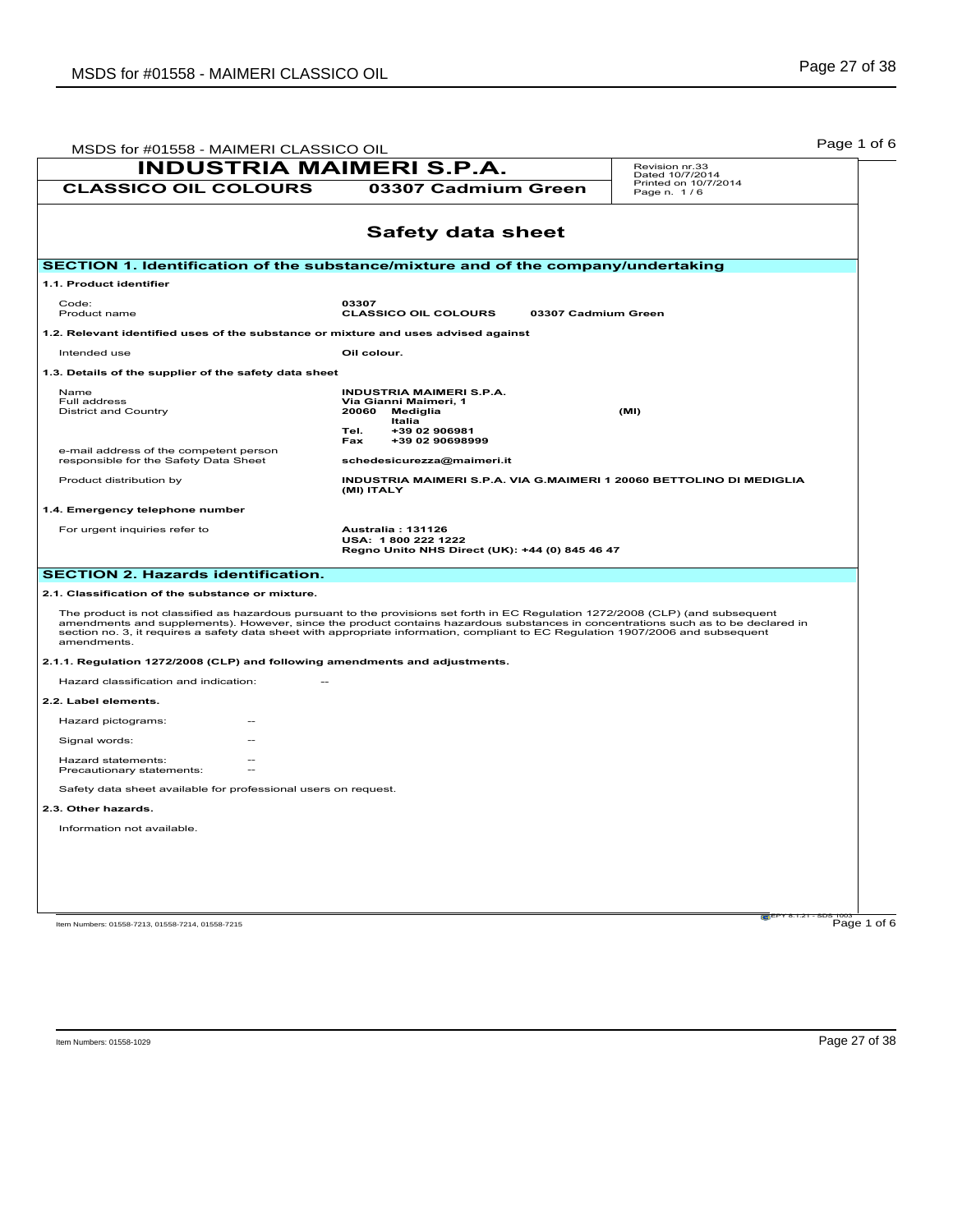| MSDS for #01558 - MAIMERI CLASSICO OIL                                                                                                                                                                                                                                                                                                                                                                                   |                                                                                                                                                                                 | Page 1 of 6                                            |
|--------------------------------------------------------------------------------------------------------------------------------------------------------------------------------------------------------------------------------------------------------------------------------------------------------------------------------------------------------------------------------------------------------------------------|---------------------------------------------------------------------------------------------------------------------------------------------------------------------------------|--------------------------------------------------------|
| <b>INDUSTRIA MAIMERI S.P.A.</b>                                                                                                                                                                                                                                                                                                                                                                                          |                                                                                                                                                                                 | Revision nr.33                                         |
| <b>CLASSICO OIL COLOURS</b>                                                                                                                                                                                                                                                                                                                                                                                              | 03307 Cadmium Green                                                                                                                                                             | Dated 10/7/2014<br>Printed on 10/7/2014<br>Page n. 1/6 |
|                                                                                                                                                                                                                                                                                                                                                                                                                          | <b>Safety data sheet</b>                                                                                                                                                        |                                                        |
| SECTION 1. Identification of the substance/mixture and of the company/undertaking                                                                                                                                                                                                                                                                                                                                        |                                                                                                                                                                                 |                                                        |
| 1.1. Product identifier                                                                                                                                                                                                                                                                                                                                                                                                  |                                                                                                                                                                                 |                                                        |
| Code:<br>Product name                                                                                                                                                                                                                                                                                                                                                                                                    | 03307<br><b>CLASSICO OIL COLOURS</b>                                                                                                                                            | 03307 Cadmium Green                                    |
| 1.2. Relevant identified uses of the substance or mixture and uses advised against                                                                                                                                                                                                                                                                                                                                       |                                                                                                                                                                                 |                                                        |
| Intended use                                                                                                                                                                                                                                                                                                                                                                                                             | Oil colour.                                                                                                                                                                     |                                                        |
| 1.3. Details of the supplier of the safety data sheet                                                                                                                                                                                                                                                                                                                                                                    |                                                                                                                                                                                 |                                                        |
| <b>Name</b><br>Full address<br><b>District and Country</b><br>e-mail address of the competent person<br>responsible for the Safety Data Sheet                                                                                                                                                                                                                                                                            | <b>INDUSTRIA MAIMERI S.P.A.</b><br>Via Gianni Maimeri, 1<br>20060<br>Mediglia<br><b>Italia</b><br>+39 02 906981<br>Tel.<br>Fax<br>+39 02 90698999<br>schedesicurezza@maimeri.it | (MI)                                                   |
| Product distribution by                                                                                                                                                                                                                                                                                                                                                                                                  | INDUSTRIA MAIMERI S.P.A. VIA G.MAIMERI 1 20060 BETTOLINO DI MEDIGLIA<br>(MI) ITALY                                                                                              |                                                        |
| 1.4. Emergency telephone number                                                                                                                                                                                                                                                                                                                                                                                          |                                                                                                                                                                                 |                                                        |
| For urgent inquiries refer to                                                                                                                                                                                                                                                                                                                                                                                            | <b>Australia: 131126</b><br>USA: 1800 222 1222<br>Regno Unito NHS Direct (UK): +44 (0) 845 46 47                                                                                |                                                        |
| <b>SECTION 2. Hazards identification.</b>                                                                                                                                                                                                                                                                                                                                                                                |                                                                                                                                                                                 |                                                        |
| 2.1. Classification of the substance or mixture.                                                                                                                                                                                                                                                                                                                                                                         |                                                                                                                                                                                 |                                                        |
| The product is not classified as hazardous pursuant to the provisions set forth in EC Regulation 1272/2008 (CLP) (and subsequent<br>amendments and supplements). However, since the product contains hazardous substances in concentrations such as to be declared in<br>section no. 3, it requires a safety data sheet with appropriate information, compliant to EC Regulation 1907/2006 and subsequent<br>amendments. |                                                                                                                                                                                 |                                                        |
| 2.1.1. Regulation 1272/2008 (CLP) and following amendments and adjustments.                                                                                                                                                                                                                                                                                                                                              |                                                                                                                                                                                 |                                                        |
| Hazard classification and indication:                                                                                                                                                                                                                                                                                                                                                                                    |                                                                                                                                                                                 |                                                        |
| 2.2. Label elements.                                                                                                                                                                                                                                                                                                                                                                                                     |                                                                                                                                                                                 |                                                        |
| Hazard pictograms:                                                                                                                                                                                                                                                                                                                                                                                                       |                                                                                                                                                                                 |                                                        |
| Signal words:                                                                                                                                                                                                                                                                                                                                                                                                            |                                                                                                                                                                                 |                                                        |
| Hazard statements:<br>Precautionary statements:                                                                                                                                                                                                                                                                                                                                                                          |                                                                                                                                                                                 |                                                        |
| Safety data sheet available for professional users on request.                                                                                                                                                                                                                                                                                                                                                           |                                                                                                                                                                                 |                                                        |
| 2.3. Other hazards.                                                                                                                                                                                                                                                                                                                                                                                                      |                                                                                                                                                                                 |                                                        |
| Information not available.                                                                                                                                                                                                                                                                                                                                                                                               |                                                                                                                                                                                 |                                                        |
|                                                                                                                                                                                                                                                                                                                                                                                                                          |                                                                                                                                                                                 |                                                        |
|                                                                                                                                                                                                                                                                                                                                                                                                                          |                                                                                                                                                                                 |                                                        |
|                                                                                                                                                                                                                                                                                                                                                                                                                          |                                                                                                                                                                                 |                                                        |
|                                                                                                                                                                                                                                                                                                                                                                                                                          |                                                                                                                                                                                 |                                                        |
| Item Numbers: 01558-7213, 01558-7214, 01558-7215                                                                                                                                                                                                                                                                                                                                                                         |                                                                                                                                                                                 | Page 1 of 6                                            |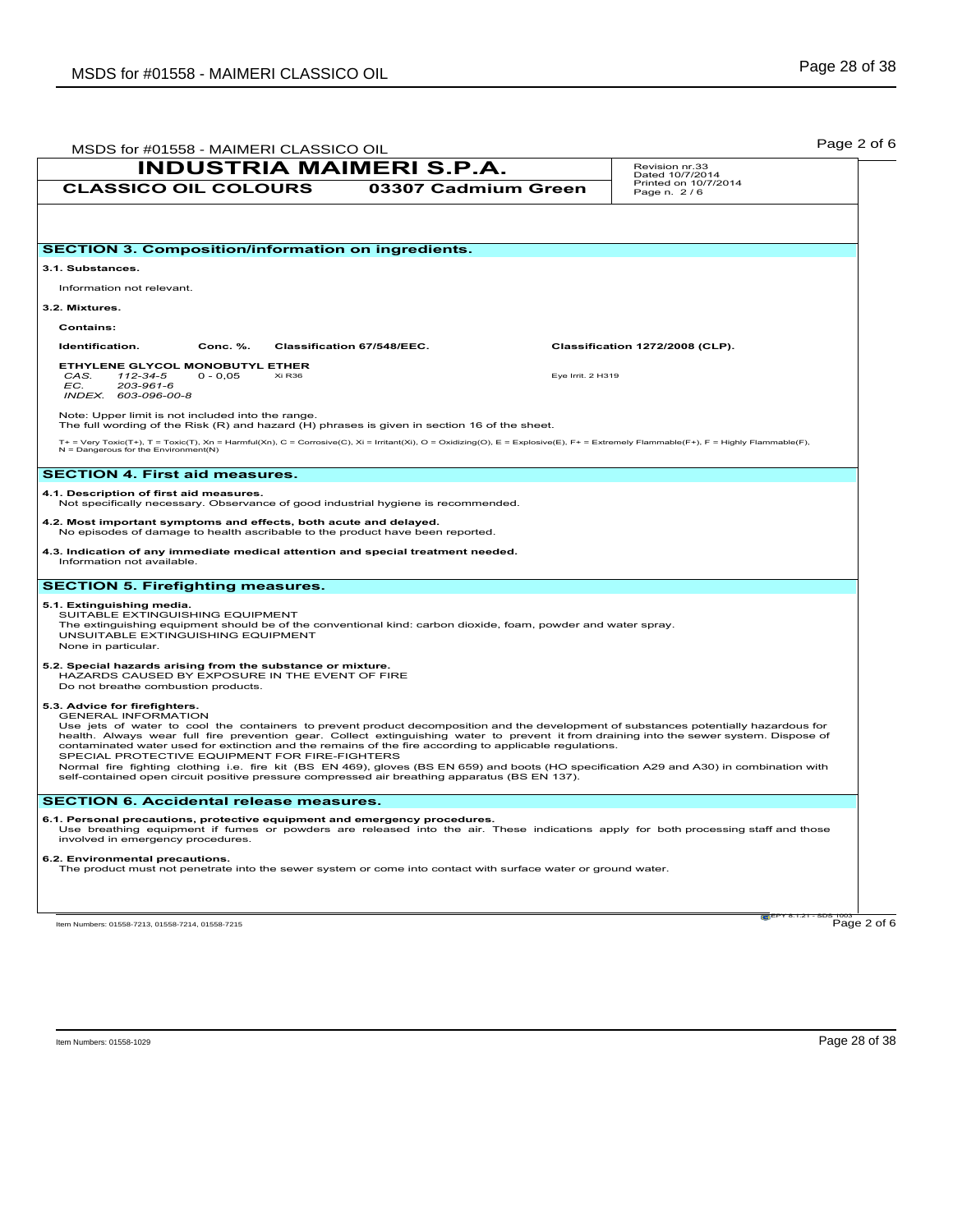|                                                                                                                            |                                                                                                                | <b>INDUSTRIA MAIMERI S.P.A.</b>                                                                                                                                                                          |                   | Revision nr.33<br>Dated 10/7/2014                                                                                                                                                                                                                                                                                                                                                                                             |
|----------------------------------------------------------------------------------------------------------------------------|----------------------------------------------------------------------------------------------------------------|----------------------------------------------------------------------------------------------------------------------------------------------------------------------------------------------------------|-------------------|-------------------------------------------------------------------------------------------------------------------------------------------------------------------------------------------------------------------------------------------------------------------------------------------------------------------------------------------------------------------------------------------------------------------------------|
| <b>CLASSICO OIL COLOURS</b>                                                                                                |                                                                                                                | 03307 Cadmium Green                                                                                                                                                                                      |                   | Printed on 10/7/2014<br>Page n. 2/6                                                                                                                                                                                                                                                                                                                                                                                           |
|                                                                                                                            |                                                                                                                |                                                                                                                                                                                                          |                   |                                                                                                                                                                                                                                                                                                                                                                                                                               |
|                                                                                                                            | <b>SECTION 3. Composition/information on ingredients.</b>                                                      |                                                                                                                                                                                                          |                   |                                                                                                                                                                                                                                                                                                                                                                                                                               |
| 3.1. Substances.                                                                                                           |                                                                                                                |                                                                                                                                                                                                          |                   |                                                                                                                                                                                                                                                                                                                                                                                                                               |
| Information not relevant.                                                                                                  |                                                                                                                |                                                                                                                                                                                                          |                   |                                                                                                                                                                                                                                                                                                                                                                                                                               |
| 3.2. Mixtures.                                                                                                             |                                                                                                                |                                                                                                                                                                                                          |                   |                                                                                                                                                                                                                                                                                                                                                                                                                               |
| <b>Contains:</b>                                                                                                           |                                                                                                                |                                                                                                                                                                                                          |                   |                                                                                                                                                                                                                                                                                                                                                                                                                               |
| Identification.                                                                                                            | Conc. %.                                                                                                       | Classification 67/548/EEC.                                                                                                                                                                               |                   | Classification 1272/2008 (CLP).                                                                                                                                                                                                                                                                                                                                                                                               |
| ETHYLENE GLYCOL MONOBUTYL ETHER<br>CAS.<br>112-34-5<br>EC.<br>203-961-6<br>INDEX. 603-096-00-8                             | Xi R36<br>$0 - 0.05$                                                                                           |                                                                                                                                                                                                          | Eye Irrit. 2 H319 |                                                                                                                                                                                                                                                                                                                                                                                                                               |
| Note: Upper limit is not included into the range.                                                                          |                                                                                                                | The full wording of the Risk (R) and hazard (H) phrases is given in section 16 of the sheet.                                                                                                             |                   |                                                                                                                                                                                                                                                                                                                                                                                                                               |
| $N =$ Dangerous for the Environment(N)                                                                                     |                                                                                                                |                                                                                                                                                                                                          |                   | T+ = Very Toxic(T+), T = Toxic(T), Xn = Harmful(Xn), C = Corrosive(C), Xi = Irritant(Xi), O = Oxidizing(O), E = Explosive(E), F+ = Extremely Flammable(F+), F = Highly Flammable(F),                                                                                                                                                                                                                                          |
| <b>SECTION 4. First aid measures.</b>                                                                                      |                                                                                                                |                                                                                                                                                                                                          |                   |                                                                                                                                                                                                                                                                                                                                                                                                                               |
| 4.1. Description of first aid measures.                                                                                    |                                                                                                                | Not specifically necessary. Observance of good industrial hygiene is recommended.                                                                                                                        |                   |                                                                                                                                                                                                                                                                                                                                                                                                                               |
|                                                                                                                            | 4.2. Most important symptoms and effects, both acute and delayed.                                              | No episodes of damage to health ascribable to the product have been reported.                                                                                                                            |                   |                                                                                                                                                                                                                                                                                                                                                                                                                               |
| Information not available.                                                                                                 |                                                                                                                | 4.3. Indication of any immediate medical attention and special treatment needed.                                                                                                                         |                   |                                                                                                                                                                                                                                                                                                                                                                                                                               |
| <b>SECTION 5. Firefighting measures.</b>                                                                                   |                                                                                                                |                                                                                                                                                                                                          |                   |                                                                                                                                                                                                                                                                                                                                                                                                                               |
| 5.1. Extinguishing media.<br>SUITABLE EXTINGUISHING EQUIPMENT<br>UNSUITABLE EXTINGUISHING EQUIPMENT<br>None in particular. |                                                                                                                | The extinguishing equipment should be of the conventional kind: carbon dioxide, foam, powder and water spray.                                                                                            |                   |                                                                                                                                                                                                                                                                                                                                                                                                                               |
| Do not breathe combustion products.                                                                                        | 5.2. Special hazards arising from the substance or mixture.<br>HAZARDS CAUSED BY EXPOSURE IN THE EVENT OF FIRE |                                                                                                                                                                                                          |                   |                                                                                                                                                                                                                                                                                                                                                                                                                               |
| 5.3. Advice for firefighters.<br><b>GENERAL INFORMATION</b>                                                                | SPECIAL PROTECTIVE EQUIPMENT FOR FIRE-FIGHTERS                                                                 | contaminated water used for extinction and the remains of the fire according to applicable regulations.<br>self-contained open circuit positive pressure compressed air breathing apparatus (BS EN 137). |                   | Use jets of water to cool the containers to prevent product decomposition and the development of substances potentially hazardous for<br>health. Always wear full fire prevention gear. Collect extinguishing water to prevent it from draining into the sewer system. Dispose of<br>Normal fire fighting clothing i.e. fire kit (BS EN 469), gloves (BS EN 659) and boots (HO specification A29 and A30) in combination with |
|                                                                                                                            | <b>SECTION 6. Accidental release measures.</b>                                                                 |                                                                                                                                                                                                          |                   |                                                                                                                                                                                                                                                                                                                                                                                                                               |
| involved in emergency procedures.                                                                                          |                                                                                                                | 6.1. Personal precautions, protective equipment and emergency procedures.                                                                                                                                |                   | Use breathing equipment if fumes or powders are released into the air. These indications apply for both processing staff and those                                                                                                                                                                                                                                                                                            |
| 6.2. Environmental precautions.                                                                                            |                                                                                                                | The product must not penetrate into the sewer system or come into contact with surface water or ground water.                                                                                            |                   |                                                                                                                                                                                                                                                                                                                                                                                                                               |
|                                                                                                                            |                                                                                                                |                                                                                                                                                                                                          |                   |                                                                                                                                                                                                                                                                                                                                                                                                                               |
| Item Numbers: 01558-7213, 01558-7214, 01558-7215                                                                           |                                                                                                                |                                                                                                                                                                                                          |                   | Page 2 of 6                                                                                                                                                                                                                                                                                                                                                                                                                   |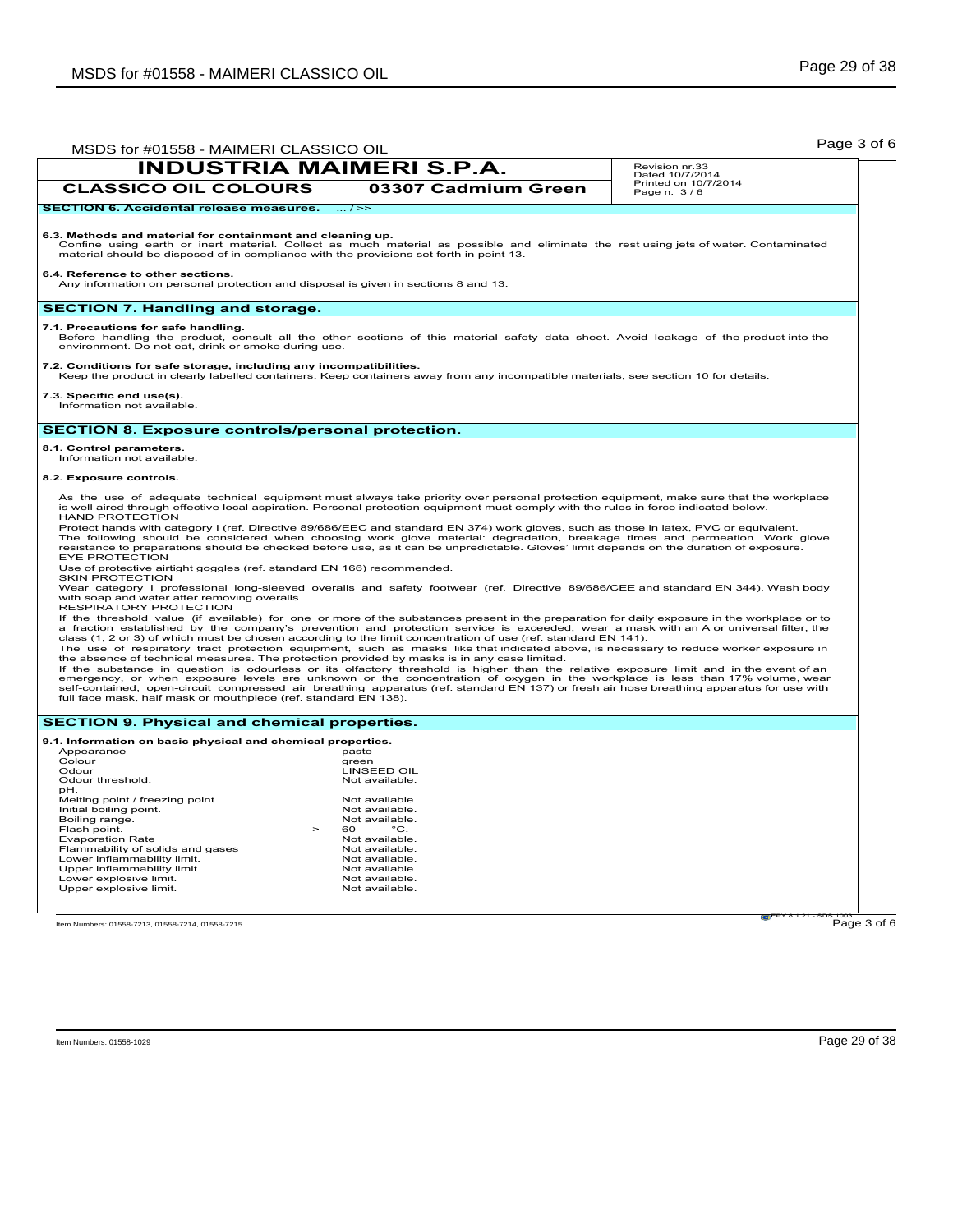|                                                                                                                                                       | MSDS for #01558 - MAIMERI CLASSICO OIL<br><b>INDUSTRIA MAIMERI S.P.A.</b><br>Revision nr.33                                                                                                                                                                                                                                                                                                                                                                                                                                                                                                                                                                                                                                                                                                                                                                                                                                                                                                                                                                           |                                         |
|-------------------------------------------------------------------------------------------------------------------------------------------------------|-----------------------------------------------------------------------------------------------------------------------------------------------------------------------------------------------------------------------------------------------------------------------------------------------------------------------------------------------------------------------------------------------------------------------------------------------------------------------------------------------------------------------------------------------------------------------------------------------------------------------------------------------------------------------------------------------------------------------------------------------------------------------------------------------------------------------------------------------------------------------------------------------------------------------------------------------------------------------------------------------------------------------------------------------------------------------|-----------------------------------------|
|                                                                                                                                                       |                                                                                                                                                                                                                                                                                                                                                                                                                                                                                                                                                                                                                                                                                                                                                                                                                                                                                                                                                                                                                                                                       | Dated 10/7/2014<br>Printed on 10/7/2014 |
| <b>CLASSICO OIL COLOURS</b>                                                                                                                           | 03307 Cadmium Green                                                                                                                                                                                                                                                                                                                                                                                                                                                                                                                                                                                                                                                                                                                                                                                                                                                                                                                                                                                                                                                   | Page n. 3/6                             |
| <b>SECTION 6. Accidental release measures.</b>                                                                                                        | $\ldots$ / $\geq$                                                                                                                                                                                                                                                                                                                                                                                                                                                                                                                                                                                                                                                                                                                                                                                                                                                                                                                                                                                                                                                     |                                         |
| 6.3. Methods and material for containment and cleaning up.<br>material should be disposed of in compliance with the provisions set forth in point 13. | Confine using earth or inert material. Collect as much material as possible and eliminate the rest using jets of water. Contaminated                                                                                                                                                                                                                                                                                                                                                                                                                                                                                                                                                                                                                                                                                                                                                                                                                                                                                                                                  |                                         |
| 6.4. Reference to other sections.<br>Any information on personal protection and disposal is given in sections 8 and 13.                               |                                                                                                                                                                                                                                                                                                                                                                                                                                                                                                                                                                                                                                                                                                                                                                                                                                                                                                                                                                                                                                                                       |                                         |
| <b>SECTION 7. Handling and storage.</b>                                                                                                               |                                                                                                                                                                                                                                                                                                                                                                                                                                                                                                                                                                                                                                                                                                                                                                                                                                                                                                                                                                                                                                                                       |                                         |
| 7.1. Precautions for safe handling.<br>environment. Do not eat, drink or smoke during use.                                                            | Before handling the product, consult all the other sections of this material safety data sheet. Avoid leakage of the product into the                                                                                                                                                                                                                                                                                                                                                                                                                                                                                                                                                                                                                                                                                                                                                                                                                                                                                                                                 |                                         |
| 7.2. Conditions for safe storage, including any incompatibilities.                                                                                    | Keep the product in clearly labelled containers. Keep containers away from any incompatible materials, see section 10 for details.                                                                                                                                                                                                                                                                                                                                                                                                                                                                                                                                                                                                                                                                                                                                                                                                                                                                                                                                    |                                         |
| 7.3. Specific end use(s).<br>Information not available.                                                                                               |                                                                                                                                                                                                                                                                                                                                                                                                                                                                                                                                                                                                                                                                                                                                                                                                                                                                                                                                                                                                                                                                       |                                         |
| <b>SECTION 8. Exposure controls/personal protection.</b>                                                                                              |                                                                                                                                                                                                                                                                                                                                                                                                                                                                                                                                                                                                                                                                                                                                                                                                                                                                                                                                                                                                                                                                       |                                         |
| 8.1. Control parameters.                                                                                                                              |                                                                                                                                                                                                                                                                                                                                                                                                                                                                                                                                                                                                                                                                                                                                                                                                                                                                                                                                                                                                                                                                       |                                         |
| Information not available.                                                                                                                            |                                                                                                                                                                                                                                                                                                                                                                                                                                                                                                                                                                                                                                                                                                                                                                                                                                                                                                                                                                                                                                                                       |                                         |
| 8.2. Exposure controls.                                                                                                                               |                                                                                                                                                                                                                                                                                                                                                                                                                                                                                                                                                                                                                                                                                                                                                                                                                                                                                                                                                                                                                                                                       |                                         |
| <b>HAND PROTECTION</b>                                                                                                                                | As the use of adequate technical equipment must always take priority over personal protection equipment, make sure that the workplace<br>is well aired through effective local aspiration. Personal protection equipment must comply with the rules in force indicated below.<br>Protect hands with category I (ref. Directive 89/686/EEC and standard EN 374) work gloves, such as those in latex, PVC or equivalent.                                                                                                                                                                                                                                                                                                                                                                                                                                                                                                                                                                                                                                                |                                         |
| <b>EYE PROTECTION</b><br>Use of protective airtight goggles (ref. standard EN 166) recommended.                                                       | The following should be considered when choosing work glove material: degradation, breakage times and permeation. Work glove<br>resistance to preparations should be checked before use, as it can be unpredictable. Gloves' limit depends on the duration of exposure.                                                                                                                                                                                                                                                                                                                                                                                                                                                                                                                                                                                                                                                                                                                                                                                               |                                         |
| <b>SKIN PROTECTION</b><br>with soap and water after removing overalls.<br>RESPIRATORY PROTECTION                                                      | Wear category I professional long-sleeved overalls and safety footwear (ref. Directive 89/686/CEE and standard EN 344). Wash body                                                                                                                                                                                                                                                                                                                                                                                                                                                                                                                                                                                                                                                                                                                                                                                                                                                                                                                                     |                                         |
|                                                                                                                                                       | If the threshold value (if available) for one or more of the substances present in the preparation for daily exposure in the workplace or to<br>a fraction established by the company's prevention and protection service is exceeded, wear a mask with an A or universal filter, the<br>class (1, 2 or 3) of which must be chosen according to the limit concentration of use (ref. standard EN 141).<br>The use of respiratory tract protection equipment, such as masks like that indicated above, is necessary to reduce worker exposure in<br>the absence of technical measures. The protection provided by masks is in any case limited.<br>If the substance in question is odourless or its olfactory threshold is higher than the relative exposure limit and in the event of an<br>emergency, or when exposure levels are unknown or the concentration of oxygen in the workplace is less than 17% volume, wear<br>self-contained, open-circuit compressed air breathing apparatus (ref. standard EN 137) or fresh air hose breathing apparatus for use with |                                         |
| full face mask, half mask or mouthpiece (ref. standard EN 138).                                                                                       |                                                                                                                                                                                                                                                                                                                                                                                                                                                                                                                                                                                                                                                                                                                                                                                                                                                                                                                                                                                                                                                                       |                                         |
|                                                                                                                                                       |                                                                                                                                                                                                                                                                                                                                                                                                                                                                                                                                                                                                                                                                                                                                                                                                                                                                                                                                                                                                                                                                       |                                         |
| <b>SECTION 9. Physical and chemical properties.</b>                                                                                                   |                                                                                                                                                                                                                                                                                                                                                                                                                                                                                                                                                                                                                                                                                                                                                                                                                                                                                                                                                                                                                                                                       |                                         |
| 9.1. Information on basic physical and chemical properties.                                                                                           |                                                                                                                                                                                                                                                                                                                                                                                                                                                                                                                                                                                                                                                                                                                                                                                                                                                                                                                                                                                                                                                                       |                                         |
| Appearance<br>Colour                                                                                                                                  | paste<br>green                                                                                                                                                                                                                                                                                                                                                                                                                                                                                                                                                                                                                                                                                                                                                                                                                                                                                                                                                                                                                                                        |                                         |
|                                                                                                                                                       | <b>LINSEED OIL</b><br>Not available.                                                                                                                                                                                                                                                                                                                                                                                                                                                                                                                                                                                                                                                                                                                                                                                                                                                                                                                                                                                                                                  |                                         |
| Odour<br>Odour threshold.<br>pH.                                                                                                                      |                                                                                                                                                                                                                                                                                                                                                                                                                                                                                                                                                                                                                                                                                                                                                                                                                                                                                                                                                                                                                                                                       |                                         |
| Melting point / freezing point.                                                                                                                       | Not available.<br>Not available.                                                                                                                                                                                                                                                                                                                                                                                                                                                                                                                                                                                                                                                                                                                                                                                                                                                                                                                                                                                                                                      |                                         |
|                                                                                                                                                       | Not available.                                                                                                                                                                                                                                                                                                                                                                                                                                                                                                                                                                                                                                                                                                                                                                                                                                                                                                                                                                                                                                                        |                                         |
|                                                                                                                                                       | 60<br>°C.<br>$\geq$                                                                                                                                                                                                                                                                                                                                                                                                                                                                                                                                                                                                                                                                                                                                                                                                                                                                                                                                                                                                                                                   |                                         |
| Initial boiling point.<br>Boiling range.<br>Flash point.<br><b>Evaporation Rate</b>                                                                   | Not available.                                                                                                                                                                                                                                                                                                                                                                                                                                                                                                                                                                                                                                                                                                                                                                                                                                                                                                                                                                                                                                                        |                                         |
| Flammability of solids and gases                                                                                                                      | Not available.                                                                                                                                                                                                                                                                                                                                                                                                                                                                                                                                                                                                                                                                                                                                                                                                                                                                                                                                                                                                                                                        |                                         |
| Lower inflammability limit.                                                                                                                           | Not available.                                                                                                                                                                                                                                                                                                                                                                                                                                                                                                                                                                                                                                                                                                                                                                                                                                                                                                                                                                                                                                                        |                                         |
| Upper inflammability limit.<br>Lower explosive limit.                                                                                                 | Not available.<br>Not available.                                                                                                                                                                                                                                                                                                                                                                                                                                                                                                                                                                                                                                                                                                                                                                                                                                                                                                                                                                                                                                      |                                         |
| Upper explosive limit.                                                                                                                                | Not available.                                                                                                                                                                                                                                                                                                                                                                                                                                                                                                                                                                                                                                                                                                                                                                                                                                                                                                                                                                                                                                                        |                                         |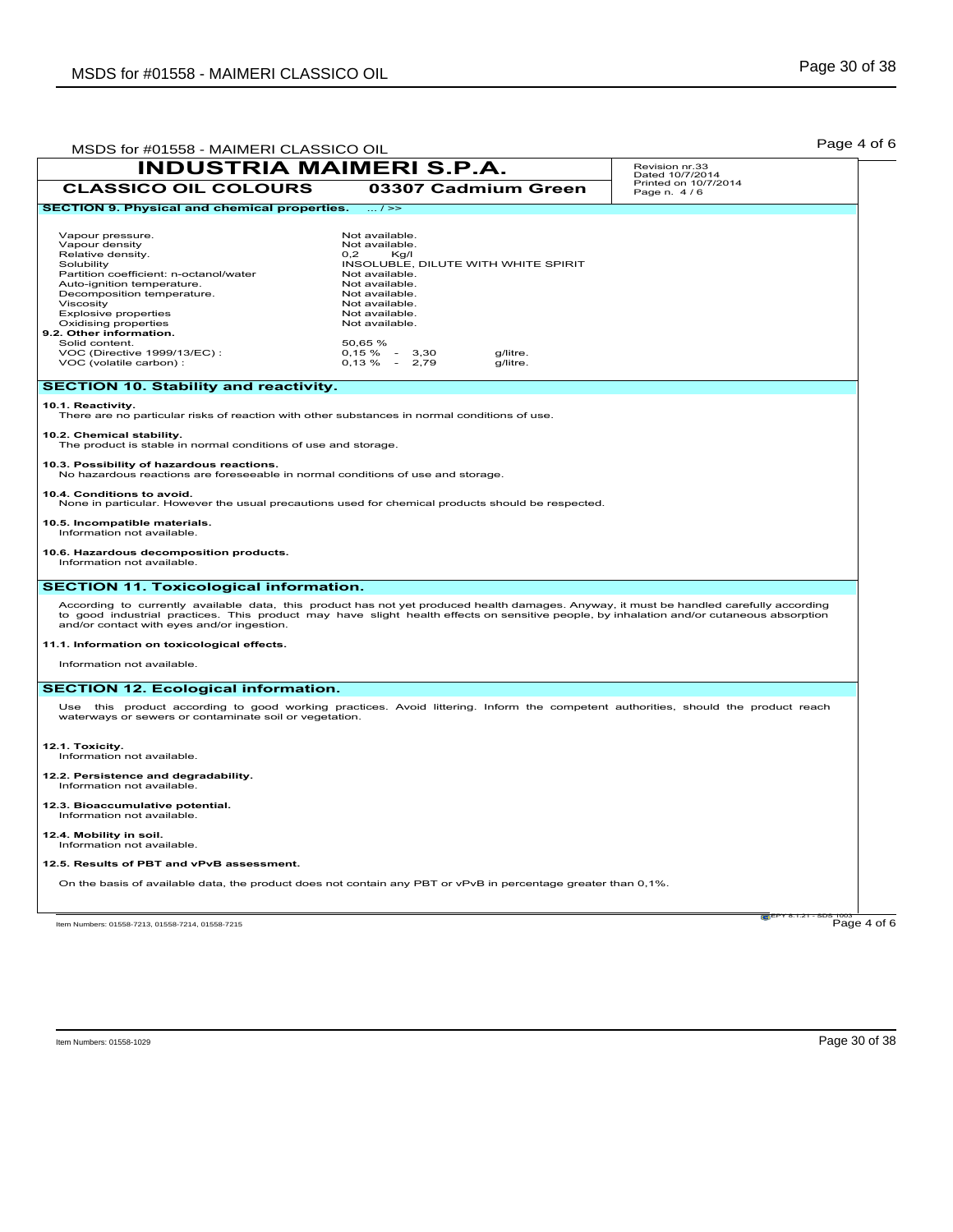| MSDS for #01558 - MAIMERI CLASSICO OIL                                                                                                                                                                                                                                                                                                                                                                                                                                                                                                             |                                                                                                                                                                                                                                                                                 | Page 4 of 6                         |
|----------------------------------------------------------------------------------------------------------------------------------------------------------------------------------------------------------------------------------------------------------------------------------------------------------------------------------------------------------------------------------------------------------------------------------------------------------------------------------------------------------------------------------------------------|---------------------------------------------------------------------------------------------------------------------------------------------------------------------------------------------------------------------------------------------------------------------------------|-------------------------------------|
| <b>INDUSTRIA MAIMERI S.P.A.</b>                                                                                                                                                                                                                                                                                                                                                                                                                                                                                                                    |                                                                                                                                                                                                                                                                                 | Revision nr.33<br>Dated 10/7/2014   |
| <b>CLASSICO OIL COLOURS</b>                                                                                                                                                                                                                                                                                                                                                                                                                                                                                                                        | 03307 Cadmium Green                                                                                                                                                                                                                                                             | Printed on 10/7/2014<br>Page n. 4/6 |
| <b>SECTION 9. Physical and chemical properties.</b>                                                                                                                                                                                                                                                                                                                                                                                                                                                                                                | $\ldots$ / $\gg$                                                                                                                                                                                                                                                                |                                     |
| Vapour pressure.<br>Vapour density<br>Relative density.<br>Solubility<br>Partition coefficient: n-octanol/water<br>Auto-ignition temperature.<br>Decomposition temperature.<br>Viscosity<br><b>Explosive properties</b><br>Oxidising properties<br>9.2. Other information.<br>Solid content.<br>VOC (Directive 1999/13/EC):<br>VOC (volatile carbon) :                                                                                                                                                                                             | Not available.<br>Not available.<br>0.2<br>Kg/I<br>INSOLUBLE, DILUTE WITH WHITE SPIRIT<br>Not available.<br>Not available.<br>Not available.<br>Not available.<br>Not available.<br>Not available.<br>50,65 %<br>$0,15 \%$ -<br>g/litre.<br>3,30<br>$0,13\% - 2,79$<br>g/litre. |                                     |
| <b>SECTION 10. Stability and reactivity.</b>                                                                                                                                                                                                                                                                                                                                                                                                                                                                                                       |                                                                                                                                                                                                                                                                                 |                                     |
| 10.1. Reactivity.<br>There are no particular risks of reaction with other substances in normal conditions of use.<br>10.2. Chemical stability.<br>The product is stable in normal conditions of use and storage.<br>10.3. Possibility of hazardous reactions.<br>No hazardous reactions are foreseeable in normal conditions of use and storage.<br>10.4. Conditions to avoid.<br>None in particular. However the usual precautions used for chemical products should be respected.<br>10.5. Incompatible materials.<br>Information not available. |                                                                                                                                                                                                                                                                                 |                                     |
| 10.6. Hazardous decomposition products.<br>Information not available.                                                                                                                                                                                                                                                                                                                                                                                                                                                                              |                                                                                                                                                                                                                                                                                 |                                     |
| <b>SECTION 11. Toxicological information.</b>                                                                                                                                                                                                                                                                                                                                                                                                                                                                                                      |                                                                                                                                                                                                                                                                                 |                                     |
| According to currently available data, this product has not yet produced health damages. Anyway, it must be handled carefully according<br>to good industrial practices. This product may have slight health effects on sensitive people, by inhalation and/or cutaneous absorption<br>and/or contact with eyes and/or ingestion.<br>11.1. Information on toxicological effects.<br>Information not available.                                                                                                                                     |                                                                                                                                                                                                                                                                                 |                                     |
| <b>SECTION 12. Ecological information.</b>                                                                                                                                                                                                                                                                                                                                                                                                                                                                                                         |                                                                                                                                                                                                                                                                                 |                                     |
| Use this product according to good working practices. Avoid littering. Inform the competent authorities, should the product reach<br>waterways or sewers or contaminate soil or vegetation.                                                                                                                                                                                                                                                                                                                                                        |                                                                                                                                                                                                                                                                                 |                                     |
| 12.1. Toxicity.<br>Information not available.                                                                                                                                                                                                                                                                                                                                                                                                                                                                                                      |                                                                                                                                                                                                                                                                                 |                                     |
| 12.2. Persistence and degradability.<br>Information not available.                                                                                                                                                                                                                                                                                                                                                                                                                                                                                 |                                                                                                                                                                                                                                                                                 |                                     |
| 12.3. Bioaccumulative potential.<br>Information not available.                                                                                                                                                                                                                                                                                                                                                                                                                                                                                     |                                                                                                                                                                                                                                                                                 |                                     |
| 12.4. Mobility in soil.<br>Information not available.                                                                                                                                                                                                                                                                                                                                                                                                                                                                                              |                                                                                                                                                                                                                                                                                 |                                     |
| 12.5. Results of PBT and vPvB assessment.                                                                                                                                                                                                                                                                                                                                                                                                                                                                                                          |                                                                                                                                                                                                                                                                                 |                                     |
| On the basis of available data, the product does not contain any PBT or vPvB in percentage greater than 0,1%.                                                                                                                                                                                                                                                                                                                                                                                                                                      |                                                                                                                                                                                                                                                                                 |                                     |
| Item Numbers: 01558-7213, 01558-7214, 01558-7215                                                                                                                                                                                                                                                                                                                                                                                                                                                                                                   |                                                                                                                                                                                                                                                                                 | 121 EPY 8.1.21<br>Page 4 of 6       |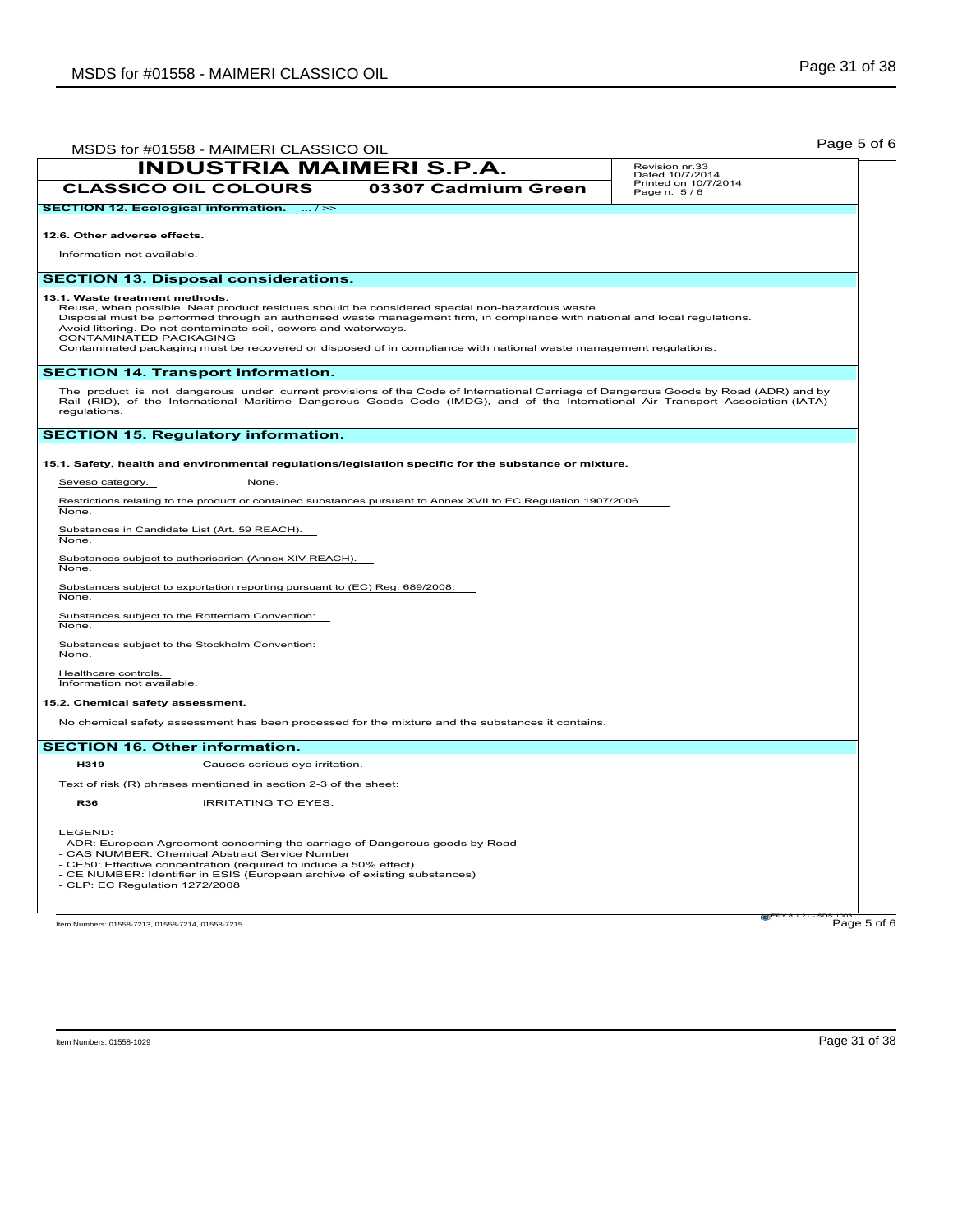| MSDS for #01558 - MAIMERI CLASSICO OIL                                                                                                                                                                                                                                                                                           | Page 5 of 6                         |
|----------------------------------------------------------------------------------------------------------------------------------------------------------------------------------------------------------------------------------------------------------------------------------------------------------------------------------|-------------------------------------|
| <b>INDUSTRIA MAIMERI S.P.A.</b>                                                                                                                                                                                                                                                                                                  | Revision nr.33<br>Dated 10/7/2014   |
| <b>CLASSICO OIL COLOURS</b><br>03307 Cadmium Green                                                                                                                                                                                                                                                                               | Printed on 10/7/2014<br>Page n. 5/6 |
| <b>SECTION 12. Ecological information.</b><br>$\ldots$ / $\geq$                                                                                                                                                                                                                                                                  |                                     |
| 12.6. Other adverse effects.                                                                                                                                                                                                                                                                                                     |                                     |
| Information not available.                                                                                                                                                                                                                                                                                                       |                                     |
| <b>SECTION 13. Disposal considerations.</b>                                                                                                                                                                                                                                                                                      |                                     |
| 13.1. Waste treatment methods.<br>Reuse, when possible. Neat product residues should be considered special non-hazardous waste.<br>Disposal must be performed through an authorised waste management firm, in compliance with national and local regulations.<br>Avoid littering. Do not contaminate soil, sewers and waterways. |                                     |
| CONTAMINATED PACKAGING<br>Contaminated packaging must be recovered or disposed of in compliance with national waste management regulations.                                                                                                                                                                                      |                                     |
| <b>SECTION 14. Transport information.</b>                                                                                                                                                                                                                                                                                        |                                     |
| The product is not dangerous under current provisions of the Code of International Carriage of Dangerous Goods by Road (ADR) and by<br>Rail (RID), of the International Maritime Dangerous Goods Code (IMDG), and of the International Air Transport Association (IATA)<br>regulations.                                          |                                     |
| <b>SECTION 15. Regulatory information.</b>                                                                                                                                                                                                                                                                                       |                                     |
| 15.1. Safety, health and environmental regulations/legislation specific for the substance or mixture.                                                                                                                                                                                                                            |                                     |
| Seveso category.<br>None.                                                                                                                                                                                                                                                                                                        |                                     |
| Restrictions relating to the product or contained substances pursuant to Annex XVII to EC Regulation 1907/2006.<br>None.                                                                                                                                                                                                         |                                     |
| Substances in Candidate List (Art. 59 REACH).<br>None.                                                                                                                                                                                                                                                                           |                                     |
| Substances subject to authorisarion (Annex XIV REACH).<br>None.                                                                                                                                                                                                                                                                  |                                     |
| Substances subject to exportation reporting pursuant to (EC) Reg. 689/2008:<br>None.                                                                                                                                                                                                                                             |                                     |
| Substances subject to the Rotterdam Convention:<br>None.                                                                                                                                                                                                                                                                         |                                     |
| Substances subject to the Stockholm Convention:<br>None.                                                                                                                                                                                                                                                                         |                                     |
| Healthcare controls.<br>Information not available.                                                                                                                                                                                                                                                                               |                                     |
| 15.2. Chemical safety assessment.                                                                                                                                                                                                                                                                                                |                                     |
| No chemical safety assessment has been processed for the mixture and the substances it contains.                                                                                                                                                                                                                                 |                                     |
| <b>SECTION 16. Other information.</b>                                                                                                                                                                                                                                                                                            |                                     |
| H319<br>Causes serious eye irritation.                                                                                                                                                                                                                                                                                           |                                     |
| Text of risk (R) phrases mentioned in section 2-3 of the sheet:                                                                                                                                                                                                                                                                  |                                     |
| <b>R36</b><br><b>IRRITATING TO EYES.</b>                                                                                                                                                                                                                                                                                         |                                     |
| LEGEND:<br>- ADR: European Agreement concerning the carriage of Dangerous goods by Road<br>- CAS NUMBER: Chemical Abstract Service Number<br>- CE50: Effective concentration (required to induce a 50% effect)<br>- CE NUMBER: Identifier in ESIS (European archive of existing substances)<br>- CLP: EC Regulation 1272/2008    |                                     |
| Item Numbers: 01558-7213, 01558-7214, 01558-7215                                                                                                                                                                                                                                                                                 | Page 5 of 6                         |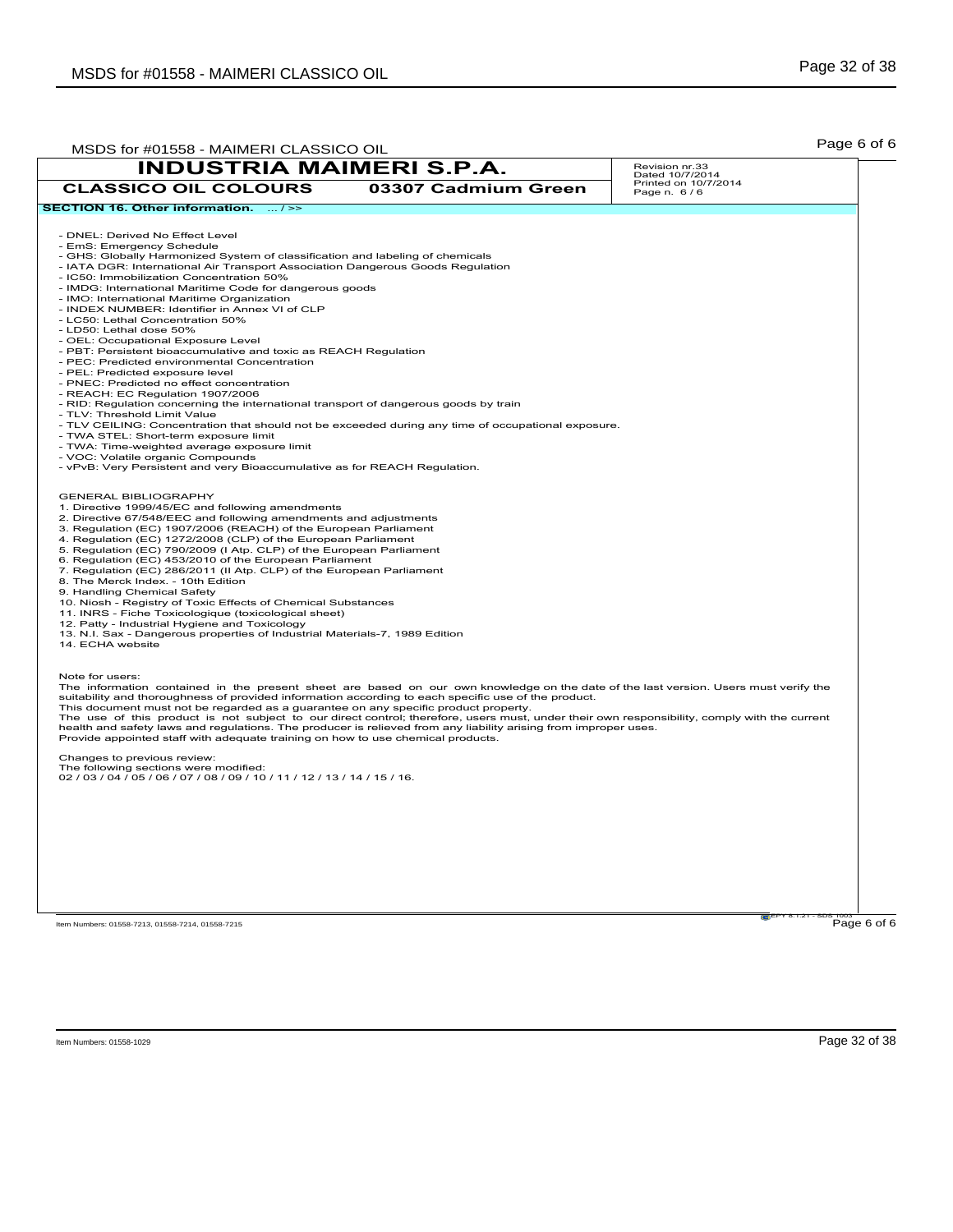| MSDS for #01558 - MAIMERI CLASSICO OIL                                                                                                                                                                                                                                                                                                                                                                                                                                                                                                                                                                                                                                                                                                                                                                                                                                                                                                                                                                                                                                                                  |                     | Page 6 of 6                         |
|---------------------------------------------------------------------------------------------------------------------------------------------------------------------------------------------------------------------------------------------------------------------------------------------------------------------------------------------------------------------------------------------------------------------------------------------------------------------------------------------------------------------------------------------------------------------------------------------------------------------------------------------------------------------------------------------------------------------------------------------------------------------------------------------------------------------------------------------------------------------------------------------------------------------------------------------------------------------------------------------------------------------------------------------------------------------------------------------------------|---------------------|-------------------------------------|
| <b>INDUSTRIA MAIMERI S.P.A.</b>                                                                                                                                                                                                                                                                                                                                                                                                                                                                                                                                                                                                                                                                                                                                                                                                                                                                                                                                                                                                                                                                         |                     | Revision nr.33<br>Dated 10/7/2014   |
| <b>CLASSICO OIL COLOURS</b>                                                                                                                                                                                                                                                                                                                                                                                                                                                                                                                                                                                                                                                                                                                                                                                                                                                                                                                                                                                                                                                                             | 03307 Cadmium Green | Printed on 10/7/2014<br>Page n. 6/6 |
| SECTION 16. Other information.  / >>                                                                                                                                                                                                                                                                                                                                                                                                                                                                                                                                                                                                                                                                                                                                                                                                                                                                                                                                                                                                                                                                    |                     |                                     |
| - DNEL: Derived No Effect Level<br>- EmS: Emergency Schedule<br>- GHS: Globally Harmonized System of classification and labeling of chemicals<br>- IATA DGR: International Air Transport Association Dangerous Goods Regulation<br>- IC50: Immobilization Concentration 50%<br>- IMDG: International Maritime Code for dangerous goods<br>- IMO: International Maritime Organization<br>- INDEX NUMBER: Identifier in Annex VI of CLP<br>- LC50: Lethal Concentration 50%<br>- LD50: Lethal dose 50%<br>- OEL: Occupational Exposure Level<br>- PBT: Persistent bioaccumulative and toxic as REACH Regulation<br>- PEC: Predicted environmental Concentration<br>- PEL: Predicted exposure level<br>- PNEC: Predicted no effect concentration<br>- REACH: EC Regulation 1907/2006<br>- RID: Regulation concerning the international transport of dangerous goods by train<br>- TLV: Threshold Limit Value<br>- TLV CEILING: Concentration that should not be exceeded during any time of occupational exposure.<br>- TWA STEL: Short-term exposure limit<br>- TWA: Time-weighted average exposure limit |                     |                                     |
| - VOC: Volatile organic Compounds<br>- vPvB: Very Persistent and very Bioaccumulative as for REACH Regulation.                                                                                                                                                                                                                                                                                                                                                                                                                                                                                                                                                                                                                                                                                                                                                                                                                                                                                                                                                                                          |                     |                                     |
| <b>GENERAL BIBLIOGRAPHY</b><br>1. Directive 1999/45/EC and following amendments<br>2. Directive 67/548/EEC and following amendments and adjustments<br>3. Regulation (EC) 1907/2006 (REACH) of the European Parliament<br>4. Regulation (EC) 1272/2008 (CLP) of the European Parliament<br>5. Regulation (EC) 790/2009 (I Atp. CLP) of the European Parliament<br>6. Regulation (EC) 453/2010 of the European Parliament<br>7. Regulation (EC) 286/2011 (II Atp. CLP) of the European Parliament<br>8. The Merck Index. - 10th Edition<br>9. Handling Chemical Safety<br>10. Niosh - Registry of Toxic Effects of Chemical Substances<br>11. INRS - Fiche Toxicologique (toxicological sheet)<br>12. Patty - Industrial Hygiene and Toxicology<br>13. N.I. Sax - Dangerous properties of Industrial Materials-7, 1989 Edition<br>14. ECHA website                                                                                                                                                                                                                                                       |                     |                                     |
| Note for users:<br>The information contained in the present sheet are based on our own knowledge on the date of the last version. Users must verify the<br>suitability and thoroughness of provided information according to each specific use of the product.<br>This document must not be regarded as a guarantee on any specific product property.<br>The use of this product is not subject to our direct control; therefore, users must, under their own responsibility, comply with the current<br>health and safety laws and regulations. The producer is relieved from any liability arising from improper uses.<br>Provide appointed staff with adequate training on how to use chemical products.                                                                                                                                                                                                                                                                                                                                                                                             |                     |                                     |
| Changes to previous review:<br>The following sections were modified:<br>02 / 03 / 04 / 05 / 06 / 07 / 08 / 09 / 10 / 11 / 12 / 13 / 14 / 15 / 16.                                                                                                                                                                                                                                                                                                                                                                                                                                                                                                                                                                                                                                                                                                                                                                                                                                                                                                                                                       |                     |                                     |
|                                                                                                                                                                                                                                                                                                                                                                                                                                                                                                                                                                                                                                                                                                                                                                                                                                                                                                                                                                                                                                                                                                         |                     |                                     |
|                                                                                                                                                                                                                                                                                                                                                                                                                                                                                                                                                                                                                                                                                                                                                                                                                                                                                                                                                                                                                                                                                                         |                     |                                     |
| Item Numbers: 01558-7213, 01558-7214, 01558-7215                                                                                                                                                                                                                                                                                                                                                                                                                                                                                                                                                                                                                                                                                                                                                                                                                                                                                                                                                                                                                                                        |                     | Page 6 of 6                         |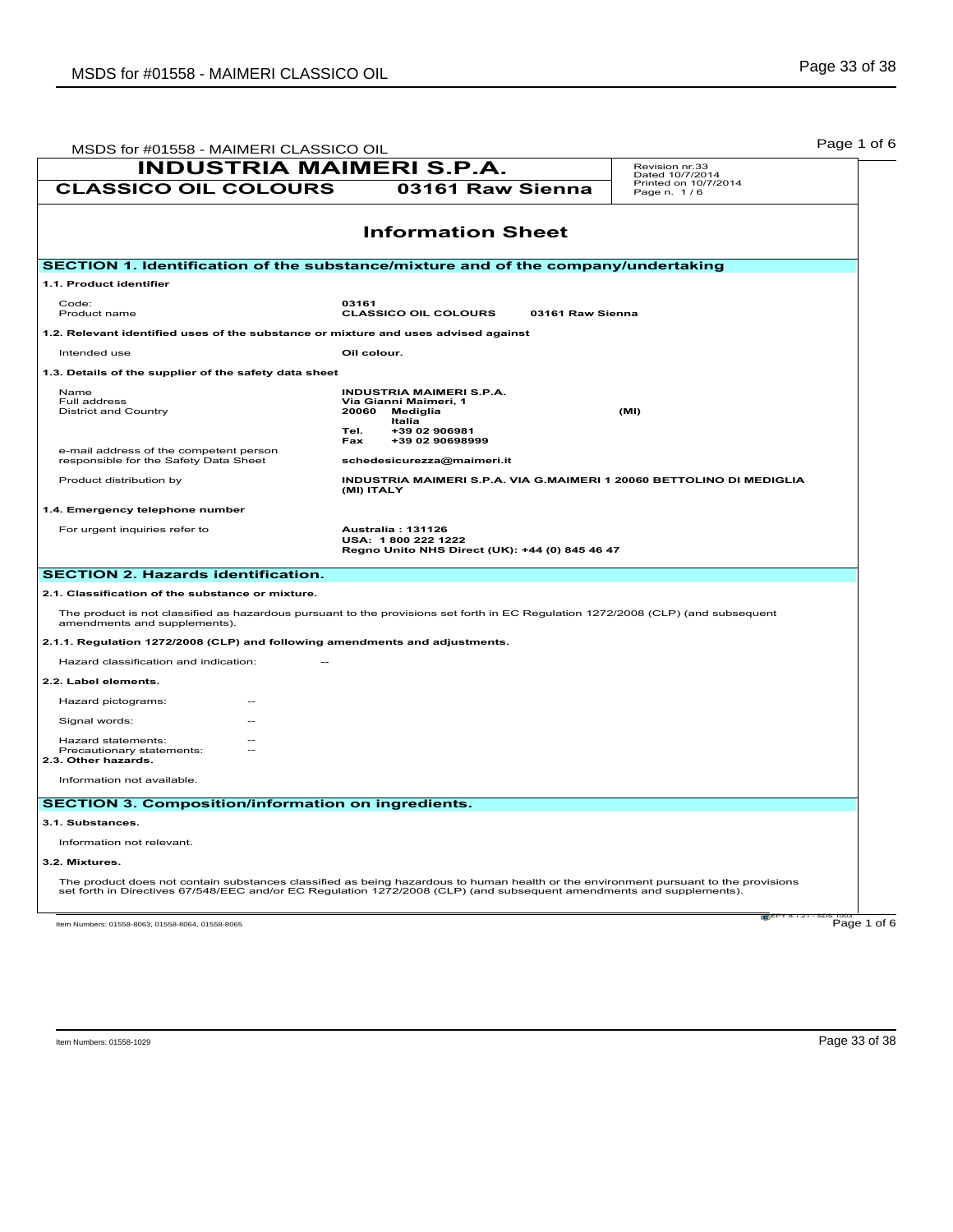| MSDS for #01558 - MAIMERI CLASSICO OIL                                                                                                                                                                                                                      |                                                                                                                                            | Page 1 of 6                         |
|-------------------------------------------------------------------------------------------------------------------------------------------------------------------------------------------------------------------------------------------------------------|--------------------------------------------------------------------------------------------------------------------------------------------|-------------------------------------|
| <b>INDUSTRIA MAIMERI S.P.A.</b>                                                                                                                                                                                                                             |                                                                                                                                            | Revision nr.33<br>Dated 10/7/2014   |
| <b>CLASSICO OIL COLOURS</b>                                                                                                                                                                                                                                 | 03161 Raw Sienna                                                                                                                           | Printed on 10/7/2014<br>Page n. 1/6 |
|                                                                                                                                                                                                                                                             | <b>Information Sheet</b>                                                                                                                   |                                     |
|                                                                                                                                                                                                                                                             |                                                                                                                                            |                                     |
| SECTION 1. Identification of the substance/mixture and of the company/undertaking                                                                                                                                                                           |                                                                                                                                            |                                     |
| 1.1. Product identifier                                                                                                                                                                                                                                     |                                                                                                                                            |                                     |
| Code:<br>Product name                                                                                                                                                                                                                                       | 03161<br><b>CLASSICO OIL COLOURS</b><br>03161 Raw Sienna                                                                                   |                                     |
| 1.2. Relevant identified uses of the substance or mixture and uses advised against                                                                                                                                                                          |                                                                                                                                            |                                     |
| Intended use                                                                                                                                                                                                                                                | Oil colour.                                                                                                                                |                                     |
| 1.3. Details of the supplier of the safety data sheet                                                                                                                                                                                                       |                                                                                                                                            |                                     |
| Name<br>Full address<br><b>District and Country</b>                                                                                                                                                                                                         | <b>INDUSTRIA MAIMERI S.P.A.</b><br>Via Gianni Maimeri, 1<br>20060<br>Mediglia<br>Italia<br>+39 02 906981<br>Tel.<br>+39 02 90698999<br>Fax | (MI)                                |
| e-mail address of the competent person<br>responsible for the Safety Data Sheet                                                                                                                                                                             | schedesicurezza@maimeri.it                                                                                                                 |                                     |
| Product distribution by                                                                                                                                                                                                                                     | INDUSTRIA MAIMERI S.P.A. VIA G.MAIMERI 1 20060 BETTOLINO DI MEDIGLIA<br>(MI) ITALY                                                         |                                     |
| 1.4. Emergency telephone number                                                                                                                                                                                                                             |                                                                                                                                            |                                     |
| For urgent inquiries refer to                                                                                                                                                                                                                               | <b>Australia: 131126</b><br>USA: 1800 222 1222<br>Regno Unito NHS Direct (UK): +44 (0) 845 46 47                                           |                                     |
| <b>SECTION 2. Hazards identification.</b>                                                                                                                                                                                                                   |                                                                                                                                            |                                     |
| 2.1. Classification of the substance or mixture.                                                                                                                                                                                                            |                                                                                                                                            |                                     |
| The product is not classified as hazardous pursuant to the provisions set forth in EC Regulation 1272/2008 (CLP) (and subsequent<br>amendments and supplements).                                                                                            |                                                                                                                                            |                                     |
| 2.1.1. Regulation 1272/2008 (CLP) and following amendments and adjustments.                                                                                                                                                                                 |                                                                                                                                            |                                     |
| Hazard classification and indication:                                                                                                                                                                                                                       |                                                                                                                                            |                                     |
| 2.2. Label elements.                                                                                                                                                                                                                                        |                                                                                                                                            |                                     |
| Hazard pictograms:                                                                                                                                                                                                                                          |                                                                                                                                            |                                     |
| Signal words:                                                                                                                                                                                                                                               |                                                                                                                                            |                                     |
| Hazard statements:<br>Precautionary statements:<br>2.3. Other hazards.                                                                                                                                                                                      |                                                                                                                                            |                                     |
| Information not available.                                                                                                                                                                                                                                  |                                                                                                                                            |                                     |
| <b>SECTION 3. Composition/information on ingredients.</b>                                                                                                                                                                                                   |                                                                                                                                            |                                     |
| 3.1. Substances.                                                                                                                                                                                                                                            |                                                                                                                                            |                                     |
| Information not relevant.                                                                                                                                                                                                                                   |                                                                                                                                            |                                     |
| 3.2. Mixtures.                                                                                                                                                                                                                                              |                                                                                                                                            |                                     |
| The product does not contain substances classified as being hazardous to human health or the environment pursuant to the provisions<br>set forth in Directives 67/548/EEC and/or EC Regulation 1272/2008 (CLP) (and subsequent amendments and supplements). |                                                                                                                                            |                                     |
| Item Numbers: 01558-8063, 01558-8064, 01558-8065                                                                                                                                                                                                            |                                                                                                                                            | Page 1 of 6                         |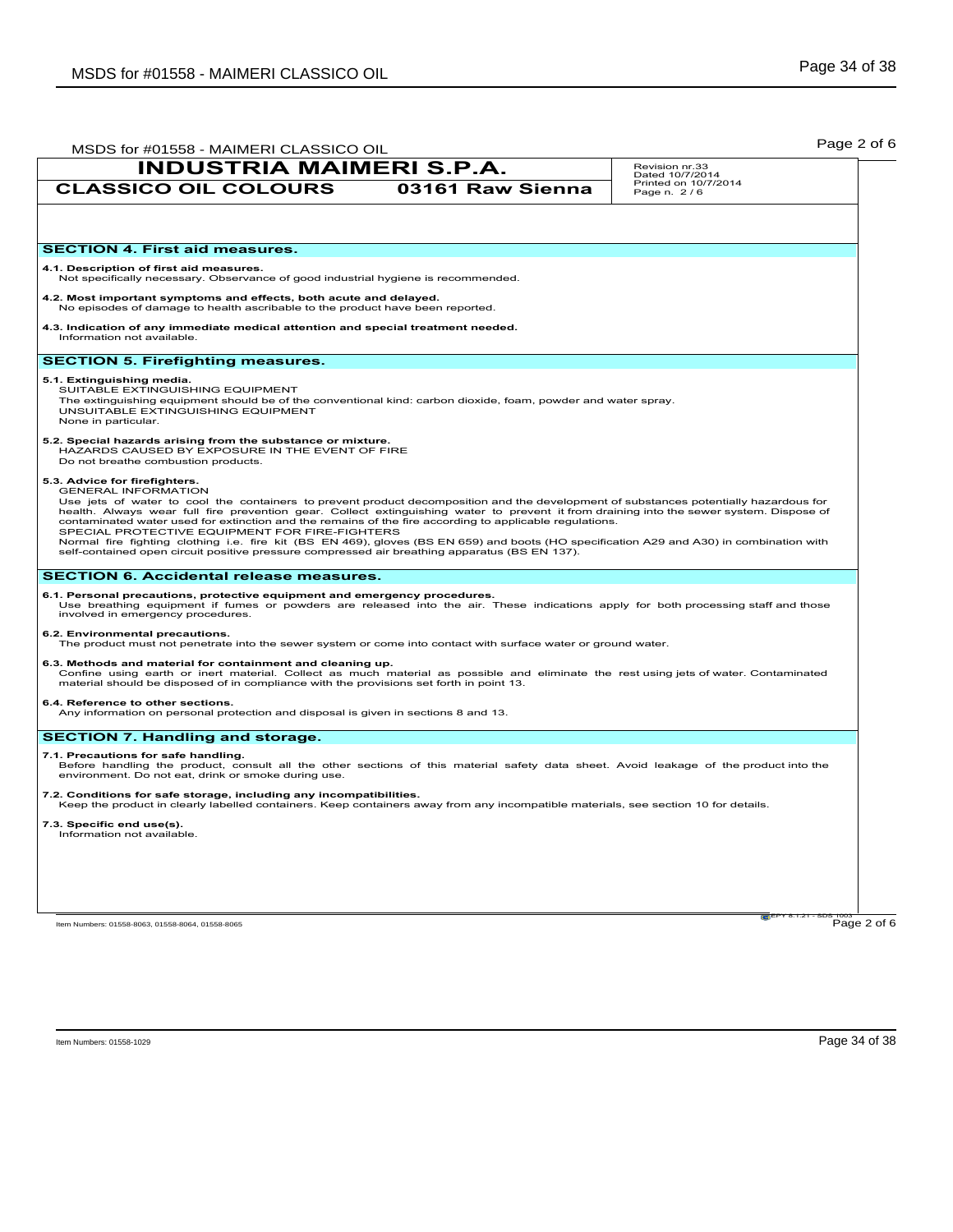| MSDS for #01558 - MAIMERI CLASSICO OIL                                                                                                                                                                                                                                                                                                                                                                                                                                                                                                                                                                                                                                                                                                                     | Page 2 of 6                         |
|------------------------------------------------------------------------------------------------------------------------------------------------------------------------------------------------------------------------------------------------------------------------------------------------------------------------------------------------------------------------------------------------------------------------------------------------------------------------------------------------------------------------------------------------------------------------------------------------------------------------------------------------------------------------------------------------------------------------------------------------------------|-------------------------------------|
| <b>INDUSTRIA MAIMERI S.P.A.</b>                                                                                                                                                                                                                                                                                                                                                                                                                                                                                                                                                                                                                                                                                                                            | Revision nr.33<br>Dated 10/7/2014   |
| <b>CLASSICO OIL COLOURS</b><br>03161 Raw Sienna                                                                                                                                                                                                                                                                                                                                                                                                                                                                                                                                                                                                                                                                                                            | Printed on 10/7/2014<br>Page n. 2/6 |
|                                                                                                                                                                                                                                                                                                                                                                                                                                                                                                                                                                                                                                                                                                                                                            |                                     |
| <b>SECTION 4. First aid measures.</b>                                                                                                                                                                                                                                                                                                                                                                                                                                                                                                                                                                                                                                                                                                                      |                                     |
| 4.1. Description of first aid measures.<br>Not specifically necessary. Observance of good industrial hygiene is recommended.                                                                                                                                                                                                                                                                                                                                                                                                                                                                                                                                                                                                                               |                                     |
| 4.2. Most important symptoms and effects, both acute and delayed.<br>No episodes of damage to health ascribable to the product have been reported.                                                                                                                                                                                                                                                                                                                                                                                                                                                                                                                                                                                                         |                                     |
| 4.3. Indication of any immediate medical attention and special treatment needed.<br>Information not available.                                                                                                                                                                                                                                                                                                                                                                                                                                                                                                                                                                                                                                             |                                     |
| <b>SECTION 5. Firefighting measures.</b>                                                                                                                                                                                                                                                                                                                                                                                                                                                                                                                                                                                                                                                                                                                   |                                     |
| 5.1. Extinguishing media.<br>SUITABLE EXTINGUISHING EQUIPMENT<br>The extinguishing equipment should be of the conventional kind: carbon dioxide, foam, powder and water spray.<br>UNSUITABLE EXTINGUISHING EQUIPMENT<br>None in particular.                                                                                                                                                                                                                                                                                                                                                                                                                                                                                                                |                                     |
| 5.2. Special hazards arising from the substance or mixture.<br>HAZARDS CAUSED BY EXPOSURE IN THE EVENT OF FIRE<br>Do not breathe combustion products.                                                                                                                                                                                                                                                                                                                                                                                                                                                                                                                                                                                                      |                                     |
| 5.3. Advice for firefighters.<br><b>GENERAL INFORMATION</b><br>Use jets of water to cool the containers to prevent product decomposition and the development of substances potentially hazardous for<br>health. Always wear full fire prevention gear. Collect extinguishing water to prevent it from draining into the sewer system. Dispose of<br>contaminated water used for extinction and the remains of the fire according to applicable regulations.<br>SPECIAL PROTECTIVE EQUIPMENT FOR FIRE-FIGHTERS<br>Normal fire fighting clothing i.e. fire kit (BS EN 469), gloves (BS EN 659) and boots (HO specification A29 and A30) in combination with<br>self-contained open circuit positive pressure compressed air breathing apparatus (BS EN 137). |                                     |
| <b>SECTION 6. Accidental release measures.</b>                                                                                                                                                                                                                                                                                                                                                                                                                                                                                                                                                                                                                                                                                                             |                                     |
| 6.1. Personal precautions, protective equipment and emergency procedures.<br>Use breathing equipment if fumes or powders are released into the air. These indications apply for both processing staff and those<br>involved in emergency procedures.                                                                                                                                                                                                                                                                                                                                                                                                                                                                                                       |                                     |
| 6.2. Environmental precautions.<br>The product must not penetrate into the sewer system or come into contact with surface water or ground water.                                                                                                                                                                                                                                                                                                                                                                                                                                                                                                                                                                                                           |                                     |
| 6.3. Methods and material for containment and cleaning up.<br>Confine using earth or inert material. Collect as much material as possible and eliminate the rest using jets of water. Contaminated<br>material should be disposed of in compliance with the provisions set forth in point 13.                                                                                                                                                                                                                                                                                                                                                                                                                                                              |                                     |
| 6.4. Reference to other sections.<br>Any information on personal protection and disposal is given in sections 8 and 13.                                                                                                                                                                                                                                                                                                                                                                                                                                                                                                                                                                                                                                    |                                     |
| <b>SECTION 7. Handling and storage.</b>                                                                                                                                                                                                                                                                                                                                                                                                                                                                                                                                                                                                                                                                                                                    |                                     |
| 7.1. Precautions for safe handling.<br>Before handling the product, consult all the other sections of this material safety data sheet. Avoid leakage of the product into the<br>environment. Do not eat, drink or smoke during use.                                                                                                                                                                                                                                                                                                                                                                                                                                                                                                                        |                                     |
| 7.2. Conditions for safe storage, including any incompatibilities.<br>Keep the product in clearly labelled containers. Keep containers away from any incompatible materials, see section 10 for details.                                                                                                                                                                                                                                                                                                                                                                                                                                                                                                                                                   |                                     |
| 7.3. Specific end use(s).<br>Information not available.                                                                                                                                                                                                                                                                                                                                                                                                                                                                                                                                                                                                                                                                                                    |                                     |
|                                                                                                                                                                                                                                                                                                                                                                                                                                                                                                                                                                                                                                                                                                                                                            |                                     |
|                                                                                                                                                                                                                                                                                                                                                                                                                                                                                                                                                                                                                                                                                                                                                            |                                     |
|                                                                                                                                                                                                                                                                                                                                                                                                                                                                                                                                                                                                                                                                                                                                                            |                                     |
| Item Numbers: 01558-8063, 01558-8064, 01558-8065                                                                                                                                                                                                                                                                                                                                                                                                                                                                                                                                                                                                                                                                                                           | raiEPY 8.1.21<br>Page 2 of 6        |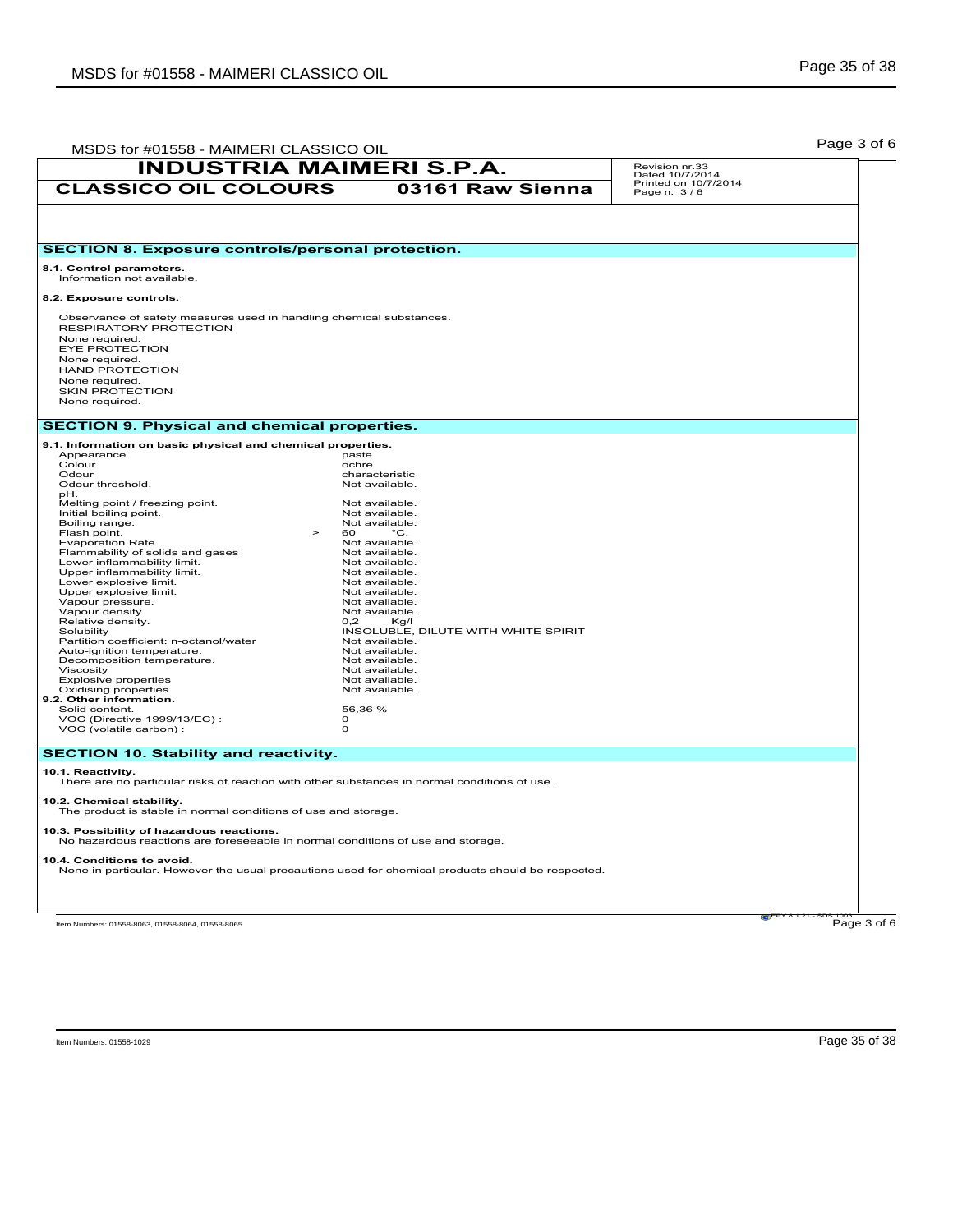| MSDS for #01558 - MAIMERI CLASSICO OIL                                                                            |                                     |                                     | Page 3 of 6 |
|-------------------------------------------------------------------------------------------------------------------|-------------------------------------|-------------------------------------|-------------|
| <b>INDUSTRIA MAIMERI S.P.A.</b>                                                                                   |                                     | Revision nr.33<br>Dated 10/7/2014   |             |
| <b>CLASSICO OIL COLOURS</b>                                                                                       | 03161 Raw Sienna                    | Printed on 10/7/2014<br>Page n. 3/6 |             |
|                                                                                                                   |                                     |                                     |             |
|                                                                                                                   |                                     |                                     |             |
| <b>SECTION 8. Exposure controls/personal protection.</b>                                                          |                                     |                                     |             |
| 8.1. Control parameters.<br>Information not available.                                                            |                                     |                                     |             |
| 8.2. Exposure controls.                                                                                           |                                     |                                     |             |
| Observance of safety measures used in handling chemical substances.                                               |                                     |                                     |             |
| RESPIRATORY PROTECTION                                                                                            |                                     |                                     |             |
| None required.<br>EYE PROTECTION                                                                                  |                                     |                                     |             |
| None required.                                                                                                    |                                     |                                     |             |
| <b>HAND PROTECTION</b>                                                                                            |                                     |                                     |             |
| None required.                                                                                                    |                                     |                                     |             |
| <b>SKIN PROTECTION</b><br>None required.                                                                          |                                     |                                     |             |
|                                                                                                                   |                                     |                                     |             |
| <b>SECTION 9. Physical and chemical properties.</b>                                                               |                                     |                                     |             |
| 9.1. Information on basic physical and chemical properties.                                                       |                                     |                                     |             |
| Appearance<br>Colour                                                                                              | paste<br>ochre                      |                                     |             |
| Odour                                                                                                             | characteristic                      |                                     |             |
| Odour threshold.                                                                                                  | Not available.                      |                                     |             |
| pH.<br>Melting point / freezing point.                                                                            | Not available.                      |                                     |             |
| Initial boiling point.                                                                                            | Not available.                      |                                     |             |
| Boiling range.                                                                                                    | Not available.                      |                                     |             |
| Flash point.<br>$\geq$                                                                                            | 60<br>$^{\circ}$ C.                 |                                     |             |
| <b>Evaporation Rate</b><br>Flammability of solids and gases                                                       | Not available.<br>Not available.    |                                     |             |
| Lower inflammability limit.                                                                                       | Not available.                      |                                     |             |
| Upper inflammability limit.                                                                                       | Not available.                      |                                     |             |
| Lower explosive limit.                                                                                            | Not available.                      |                                     |             |
| Upper explosive limit.                                                                                            | Not available.                      |                                     |             |
| Vapour pressure.<br>Vapour density                                                                                | Not available.<br>Not available.    |                                     |             |
| Relative density.                                                                                                 | 0,2<br>Kg/I                         |                                     |             |
| Solubility                                                                                                        | INSOLUBLE, DILUTE WITH WHITE SPIRIT |                                     |             |
| Partition coefficient: n-octanol/water                                                                            | Not available.                      |                                     |             |
| Auto-ignition temperature.<br>Decomposition temperature.                                                          | Not available.<br>Not available.    |                                     |             |
| Viscosity                                                                                                         | Not available.                      |                                     |             |
| <b>Explosive properties</b>                                                                                       | Not available.                      |                                     |             |
| Oxidising properties                                                                                              | Not available.                      |                                     |             |
| 9.2. Other information.<br>Solid content.                                                                         | 56,36 %                             |                                     |             |
| VOC (Directive 1999/13/EC):                                                                                       | $\circ$                             |                                     |             |
| VOC (volatile carbon) :                                                                                           | $\Omega$                            |                                     |             |
| <b>SECTION 10. Stability and reactivity.</b>                                                                      |                                     |                                     |             |
|                                                                                                                   |                                     |                                     |             |
| 10.1. Reactivity.<br>There are no particular risks of reaction with other substances in normal conditions of use. |                                     |                                     |             |
| 10.2. Chemical stability.                                                                                         |                                     |                                     |             |
| The product is stable in normal conditions of use and storage.                                                    |                                     |                                     |             |
| 10.3. Possibility of hazardous reactions.                                                                         |                                     |                                     |             |
| No hazardous reactions are foreseeable in normal conditions of use and storage.                                   |                                     |                                     |             |
| 10.4. Conditions to avoid.                                                                                        |                                     |                                     |             |
| None in particular. However the usual precautions used for chemical products should be respected.                 |                                     |                                     |             |
|                                                                                                                   |                                     |                                     |             |
|                                                                                                                   |                                     |                                     |             |
|                                                                                                                   |                                     |                                     |             |

 $\overline{e}$ EPY 8.1.21 - SDS 1003<br>Page 3 of 6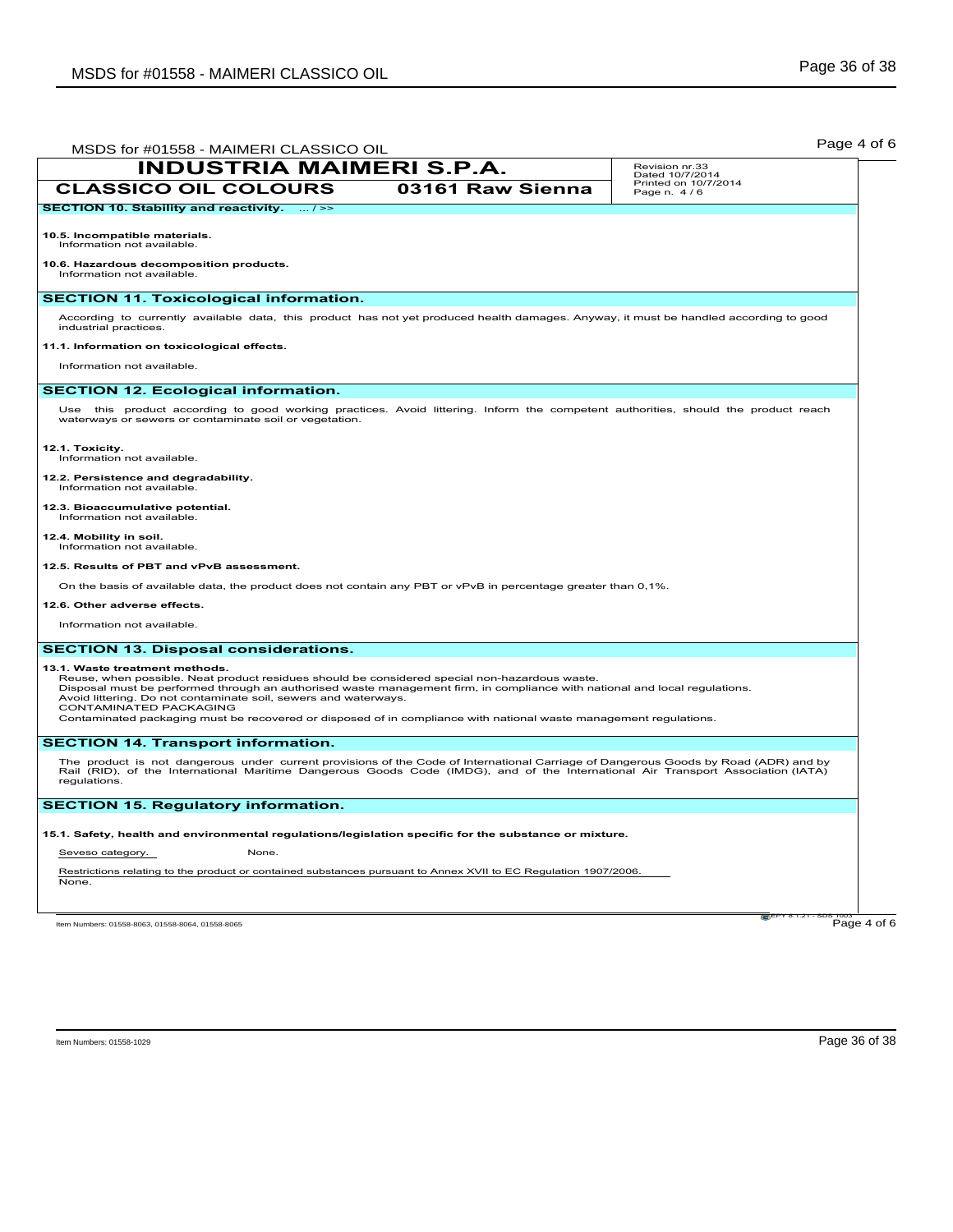| MSDS for #01558 - MAIMERI CLASSICO OIL                                                                                                                                                                                                                                                  | Page 4 of 6                         |
|-----------------------------------------------------------------------------------------------------------------------------------------------------------------------------------------------------------------------------------------------------------------------------------------|-------------------------------------|
| <b>INDUSTRIA MAIMERI S.P.A.</b>                                                                                                                                                                                                                                                         | Revision nr.33<br>Dated 10/7/2014   |
| <b>CLASSICO OIL COLOURS</b><br>03161 Raw Sienna                                                                                                                                                                                                                                         | Printed on 10/7/2014<br>Page n. 4/6 |
| SECTION 10. Stability and reactivity.  / >>                                                                                                                                                                                                                                             |                                     |
| 10.5. Incompatible materials.<br>Information not available.                                                                                                                                                                                                                             |                                     |
| 10.6. Hazardous decomposition products.<br>Information not available.                                                                                                                                                                                                                   |                                     |
| <b>SECTION 11. Toxicological information.</b>                                                                                                                                                                                                                                           |                                     |
| According to currently available data, this product has not yet produced health damages. Anyway, it must be handled according to good<br>industrial practices.                                                                                                                          |                                     |
| 11.1. Information on toxicological effects.                                                                                                                                                                                                                                             |                                     |
| Information not available.                                                                                                                                                                                                                                                              |                                     |
| <b>SECTION 12. Ecological information.</b>                                                                                                                                                                                                                                              |                                     |
| Use this product according to good working practices. Avoid littering. Inform the competent authorities, should the product reach<br>waterways or sewers or contaminate soil or vegetation.                                                                                             |                                     |
| 12.1. Toxicity.<br>Information not available.                                                                                                                                                                                                                                           |                                     |
| 12.2. Persistence and degradability.<br>Information not available.                                                                                                                                                                                                                      |                                     |
| 12.3. Bioaccumulative potential.<br>Information not available.                                                                                                                                                                                                                          |                                     |
| 12.4. Mobility in soil.<br>Information not available.                                                                                                                                                                                                                                   |                                     |
| 12.5. Results of PBT and vPvB assessment.                                                                                                                                                                                                                                               |                                     |
| On the basis of available data, the product does not contain any PBT or vPvB in percentage greater than 0,1%.                                                                                                                                                                           |                                     |
| 12.6. Other adverse effects.                                                                                                                                                                                                                                                            |                                     |
| Information not available.                                                                                                                                                                                                                                                              |                                     |
| <b>SECTION 13. Disposal considerations.</b>                                                                                                                                                                                                                                             |                                     |
| 13.1. Waste treatment methods.                                                                                                                                                                                                                                                          |                                     |
| Reuse, when possible. Neat product residues should be considered special non-hazardous waste.<br>Disposal must be performed through an authorised waste management firm, in compliance with national and local regulations.                                                             |                                     |
| Avoid littering. Do not contaminate soil, sewers and waterways.<br>CONTAMINATED PACKAGING                                                                                                                                                                                               |                                     |
| Contaminated packaging must be recovered or disposed of in compliance with national waste management regulations.                                                                                                                                                                       |                                     |
| <b>SECTION 14. Transport information.</b>                                                                                                                                                                                                                                               |                                     |
| The product is not dangerous under current provisions of the Code of International Carriage of Dangerous Goods by Road (ADR) and by<br>Rail (RID), of the International Maritime Dangerous Goods Code (IMDG), and of the International Air Transport Association (IATA)<br>regulations. |                                     |
| <b>SECTION 15. Regulatory information.</b>                                                                                                                                                                                                                                              |                                     |
| 15.1. Safety, health and environmental regulations/legislation specific for the substance or mixture.                                                                                                                                                                                   |                                     |
| Seveso category.<br>None.                                                                                                                                                                                                                                                               |                                     |
| Restrictions relating to the product or contained substances pursuant to Annex XVII to EC Regulation 1907/2006.<br>None.                                                                                                                                                                |                                     |
| Item Numbers: 01558-8063, 01558-8064, 01558-8065                                                                                                                                                                                                                                        | Page 4 of 6                         |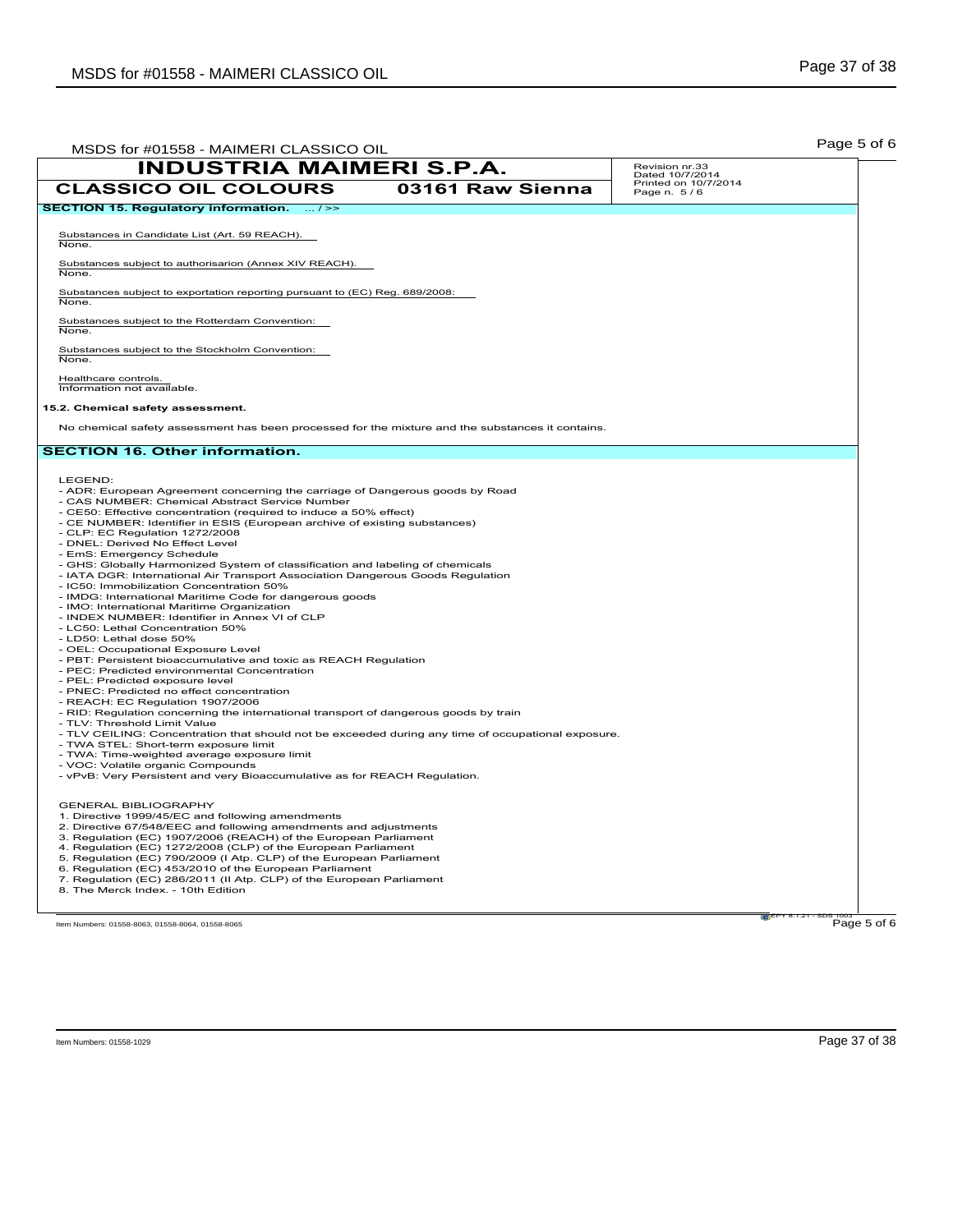| MSDS for #01558 - MAIMERI CLASSICO OIL                                                                                                                                                                                                                                                                                                                                                                                                                                                                                                                                                                                                                                                                                                                                                                                                                                                                                                                                                                                                                                                                                                                                                                                                                                                                                                                                                                                                                                                                                                          |                  |                                     | Page 5 of 6 |
|-------------------------------------------------------------------------------------------------------------------------------------------------------------------------------------------------------------------------------------------------------------------------------------------------------------------------------------------------------------------------------------------------------------------------------------------------------------------------------------------------------------------------------------------------------------------------------------------------------------------------------------------------------------------------------------------------------------------------------------------------------------------------------------------------------------------------------------------------------------------------------------------------------------------------------------------------------------------------------------------------------------------------------------------------------------------------------------------------------------------------------------------------------------------------------------------------------------------------------------------------------------------------------------------------------------------------------------------------------------------------------------------------------------------------------------------------------------------------------------------------------------------------------------------------|------------------|-------------------------------------|-------------|
| <b>INDUSTRIA MAIMERI S.P.A.</b>                                                                                                                                                                                                                                                                                                                                                                                                                                                                                                                                                                                                                                                                                                                                                                                                                                                                                                                                                                                                                                                                                                                                                                                                                                                                                                                                                                                                                                                                                                                 |                  | Revision nr.33<br>Dated 10/7/2014   |             |
| <b>CLASSICO OIL COLOURS</b>                                                                                                                                                                                                                                                                                                                                                                                                                                                                                                                                                                                                                                                                                                                                                                                                                                                                                                                                                                                                                                                                                                                                                                                                                                                                                                                                                                                                                                                                                                                     | 03161 Raw Sienna | Printed on 10/7/2014<br>Page n. 5/6 |             |
| SECTION 15. Regulatory information.  / >>                                                                                                                                                                                                                                                                                                                                                                                                                                                                                                                                                                                                                                                                                                                                                                                                                                                                                                                                                                                                                                                                                                                                                                                                                                                                                                                                                                                                                                                                                                       |                  |                                     |             |
| Substances in Candidate List (Art. 59 REACH).<br>None.                                                                                                                                                                                                                                                                                                                                                                                                                                                                                                                                                                                                                                                                                                                                                                                                                                                                                                                                                                                                                                                                                                                                                                                                                                                                                                                                                                                                                                                                                          |                  |                                     |             |
| Substances subject to authorisarion (Annex XIV REACH).<br>None.                                                                                                                                                                                                                                                                                                                                                                                                                                                                                                                                                                                                                                                                                                                                                                                                                                                                                                                                                                                                                                                                                                                                                                                                                                                                                                                                                                                                                                                                                 |                  |                                     |             |
| Substances subject to exportation reporting pursuant to (EC) Reg. 689/2008:<br>None.                                                                                                                                                                                                                                                                                                                                                                                                                                                                                                                                                                                                                                                                                                                                                                                                                                                                                                                                                                                                                                                                                                                                                                                                                                                                                                                                                                                                                                                            |                  |                                     |             |
| Substances subject to the Rotterdam Convention:<br>None.                                                                                                                                                                                                                                                                                                                                                                                                                                                                                                                                                                                                                                                                                                                                                                                                                                                                                                                                                                                                                                                                                                                                                                                                                                                                                                                                                                                                                                                                                        |                  |                                     |             |
| Substances subject to the Stockholm Convention:<br>None.                                                                                                                                                                                                                                                                                                                                                                                                                                                                                                                                                                                                                                                                                                                                                                                                                                                                                                                                                                                                                                                                                                                                                                                                                                                                                                                                                                                                                                                                                        |                  |                                     |             |
| Healthcare controls.<br>Information not available.                                                                                                                                                                                                                                                                                                                                                                                                                                                                                                                                                                                                                                                                                                                                                                                                                                                                                                                                                                                                                                                                                                                                                                                                                                                                                                                                                                                                                                                                                              |                  |                                     |             |
| 15.2. Chemical safety assessment.                                                                                                                                                                                                                                                                                                                                                                                                                                                                                                                                                                                                                                                                                                                                                                                                                                                                                                                                                                                                                                                                                                                                                                                                                                                                                                                                                                                                                                                                                                               |                  |                                     |             |
| No chemical safety assessment has been processed for the mixture and the substances it contains.                                                                                                                                                                                                                                                                                                                                                                                                                                                                                                                                                                                                                                                                                                                                                                                                                                                                                                                                                                                                                                                                                                                                                                                                                                                                                                                                                                                                                                                |                  |                                     |             |
| <b>SECTION 16. Other information.</b>                                                                                                                                                                                                                                                                                                                                                                                                                                                                                                                                                                                                                                                                                                                                                                                                                                                                                                                                                                                                                                                                                                                                                                                                                                                                                                                                                                                                                                                                                                           |                  |                                     |             |
| - ADR: European Agreement concerning the carriage of Dangerous goods by Road<br>- CAS NUMBER: Chemical Abstract Service Number<br>- CE50: Effective concentration (required to induce a 50% effect)<br>- CE NUMBER: Identifier in ESIS (European archive of existing substances)<br>- CLP: EC Regulation 1272/2008<br>- DNEL: Derived No Effect Level<br>- EmS: Emergency Schedule<br>- GHS: Globally Harmonized System of classification and labeling of chemicals<br>- IATA DGR: International Air Transport Association Dangerous Goods Regulation<br>- IC50: Immobilization Concentration 50%<br>- IMDG: International Maritime Code for dangerous goods<br>- IMO: International Maritime Organization<br>- INDEX NUMBER: Identifier in Annex VI of CLP<br>- LC50: Lethal Concentration 50%<br>- LD50: Lethal dose 50%<br>- OEL: Occupational Exposure Level<br>- PBT: Persistent bioaccumulative and toxic as REACH Regulation<br>- PEC: Predicted environmental Concentration<br>- PEL: Predicted exposure level<br>- PNEC: Predicted no effect concentration<br>- REACH: EC Regulation 1907/2006<br>- RID: Regulation concerning the international transport of dangerous goods by train<br>- TLV: Threshold Limit Value<br>- TLV CEILING: Concentration that should not be exceeded during any time of occupational exposure.<br>- TWA STEL: Short-term exposure limit<br>- TWA: Time-weighted average exposure limit<br>- VOC: Volatile organic Compounds<br>- vPvB: Very Persistent and very Bioaccumulative as for REACH Regulation. |                  |                                     |             |
| <b>GENERAL BIBLIOGRAPHY</b><br>1. Directive 1999/45/EC and following amendments<br>2. Directive 67/548/EEC and following amendments and adjustments<br>3. Regulation (EC) 1907/2006 (REACH) of the European Parliament<br>4. Regulation (EC) 1272/2008 (CLP) of the European Parliament<br>5. Regulation (EC) 790/2009 (I Atp. CLP) of the European Parliament<br>6. Regulation (EC) 453/2010 of the European Parliament<br>7. Regulation (EC) 286/2011 (II Atp. CLP) of the European Parliament<br>8. The Merck Index. - 10th Edition                                                                                                                                                                                                                                                                                                                                                                                                                                                                                                                                                                                                                                                                                                                                                                                                                                                                                                                                                                                                          |                  |                                     |             |
| Item Numbers: 01558-8063, 01558-8064, 01558-8065                                                                                                                                                                                                                                                                                                                                                                                                                                                                                                                                                                                                                                                                                                                                                                                                                                                                                                                                                                                                                                                                                                                                                                                                                                                                                                                                                                                                                                                                                                |                  |                                     | Page 5 of 6 |